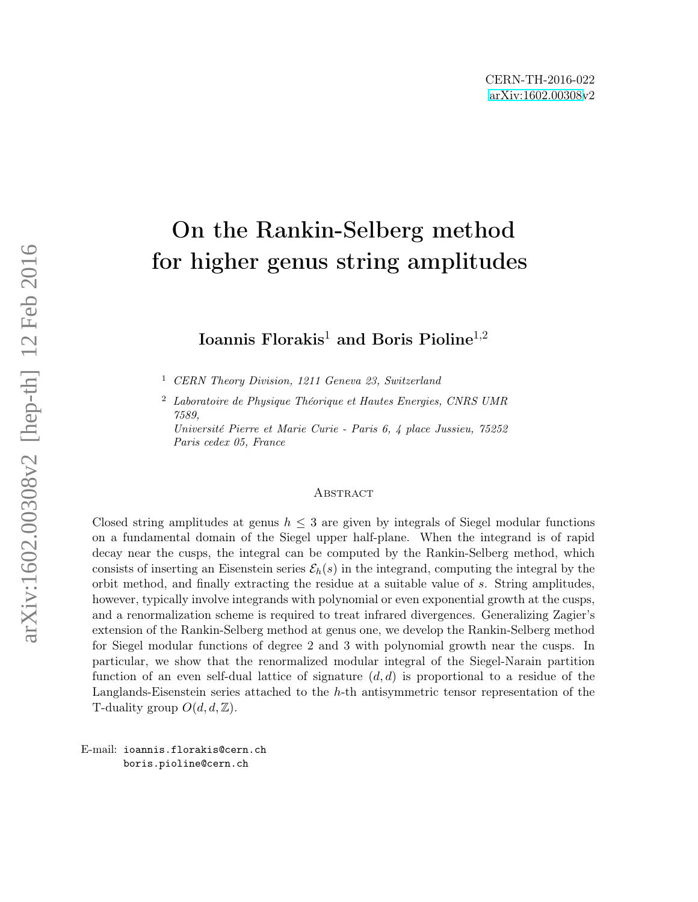# <span id="page-0-0"></span>On the Rankin-Selberg method for higher genus string amplitudes

Ioannis Florakis<sup>1</sup> and Boris Pioline<sup>1,2</sup>

<sup>1</sup> CERN Theory Division, 1211 Geneva 23, Switzerland

Paris cedex 05, France

<sup>2</sup> Laboratoire de Physique Théorique et Hautes Energies, CNRS UMR 7589, Université Pierre et Marie Curie - Paris 6, 4 place Jussieu, 75252

#### **ABSTRACT**

Closed string amplitudes at genus  $h \leq 3$  are given by integrals of Siegel modular functions on a fundamental domain of the Siegel upper half-plane. When the integrand is of rapid decay near the cusps, the integral can be computed by the Rankin-Selberg method, which consists of inserting an Eisenstein series  $\mathcal{E}_h(s)$  in the integrand, computing the integral by the orbit method, and finally extracting the residue at a suitable value of s. String amplitudes, however, typically involve integrands with polynomial or even exponential growth at the cusps, and a renormalization scheme is required to treat infrared divergences. Generalizing Zagier's extension of the Rankin-Selberg method at genus one, we develop the Rankin-Selberg method for Siegel modular functions of degree 2 and 3 with polynomial growth near the cusps. In particular, we show that the renormalized modular integral of the Siegel-Narain partition function of an even self-dual lattice of signature  $(d, d)$  is proportional to a residue of the Langlands-Eisenstein series attached to the h-th antisymmetric tensor representation of the T-duality group  $O(d, d, \mathbb{Z})$ .

E-mail: ioannis.florakis@cern.ch boris.pioline@cern.ch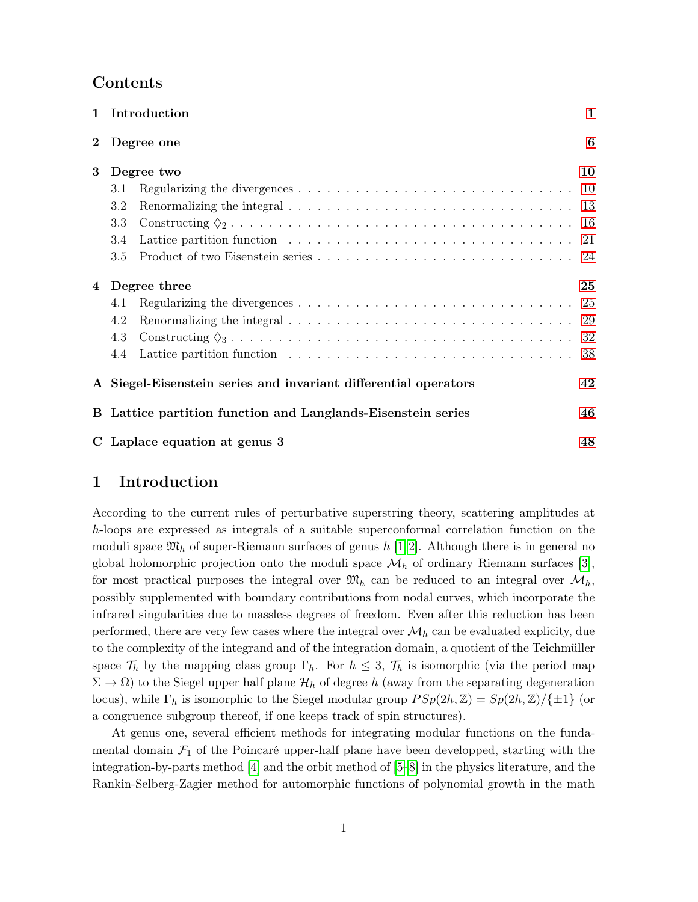|          | 1 Introduction                                                                                                        | 1  |
|----------|-----------------------------------------------------------------------------------------------------------------------|----|
| $\bf{2}$ | Degree one                                                                                                            | 6  |
| 3        | Degree two                                                                                                            | 10 |
|          | Regularizing the divergences $\ldots \ldots \ldots \ldots \ldots \ldots \ldots \ldots \ldots \ldots \ldots 10$<br>3.1 |    |
|          | 3.2                                                                                                                   |    |
|          | 3.3                                                                                                                   |    |
|          | 3.4                                                                                                                   |    |
|          | 3.5                                                                                                                   |    |
| 4        | Degree three                                                                                                          | 25 |
|          | Regularizing the divergences $\ldots \ldots \ldots \ldots \ldots \ldots \ldots \ldots \ldots \ldots \ldots 25$<br>4.1 |    |
|          | 4.2                                                                                                                   |    |
|          | 4.3                                                                                                                   |    |
|          | 4.4                                                                                                                   | 38 |
|          | A Siegel-Eisenstein series and invariant differential operators                                                       | 42 |
| B.       | Lattice partition function and Langlands-Eisenstein series                                                            | 46 |
|          | C Laplace equation at genus 3                                                                                         | 48 |

# <span id="page-1-0"></span>1 Introduction

According to the current rules of perturbative superstring theory, scattering amplitudes at h-loops are expressed as integrals of a suitable superconformal correlation function on the moduli space  $\mathfrak{M}_h$  of super-Riemann surfaces of genus h [\[1,](#page-50-0)[2\]](#page-50-1). Although there is in general no global holomorphic projection onto the moduli space  $\mathcal{M}_h$  of ordinary Riemann surfaces [\[3\]](#page-50-2), for most practical purposes the integral over  $\mathfrak{M}_h$  can be reduced to an integral over  $\mathcal{M}_h$ , possibly supplemented with boundary contributions from nodal curves, which incorporate the infrared singularities due to massless degrees of freedom. Even after this reduction has been performed, there are very few cases where the integral over  $\mathcal{M}_h$  can be evaluated explicity, due to the complexity of the integrand and of the integration domain, a quotient of the Teichmüller space  $\mathcal{T}_h$  by the mapping class group  $\Gamma_h$ . For  $h \leq 3$ ,  $\mathcal{T}_h$  is isomorphic (via the period map  $\Sigma \to \Omega$ ) to the Siegel upper half plane  $\mathcal{H}_h$  of degree h (away from the separating degeneration locus), while  $\Gamma_h$  is isomorphic to the Siegel modular group  $PSp(2h, \mathbb{Z}) = Sp(2h, \mathbb{Z})/\{\pm 1\}$  (or a congruence subgroup thereof, if one keeps track of spin structures).

At genus one, several efficient methods for integrating modular functions on the fundamental domain  $\mathcal{F}_1$  of the Poincaré upper-half plane have been developped, starting with the integration-by-parts method [\[4\]](#page-50-3) and the orbit method of [\[5–](#page-50-4)[8\]](#page-50-5) in the physics literature, and the Rankin-Selberg-Zagier method for automorphic functions of polynomial growth in the math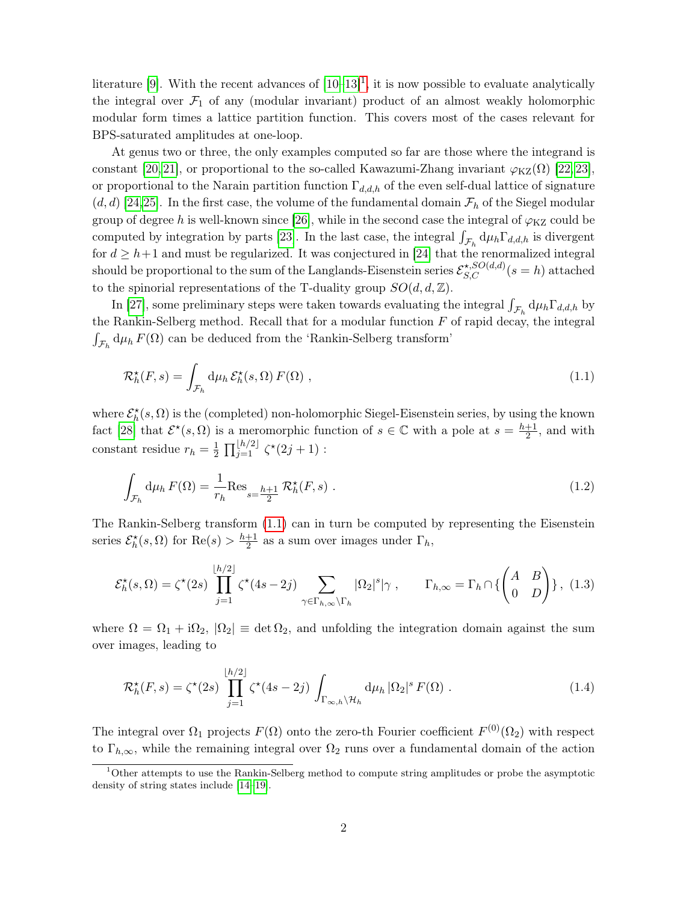literature [\[9\]](#page-50-6). With the recent advances of  $[10-13]^1$  $[10-13]^1$  $[10-13]^1$  $[10-13]^1$ , it is now possible to evaluate analytically the integral over  $\mathcal{F}_1$  of any (modular invariant) product of an almost weakly holomorphic modular form times a lattice partition function. This covers most of the cases relevant for BPS-saturated amplitudes at one-loop.

At genus two or three, the only examples computed so far are those where the integrand is constant [\[20,](#page-51-0) [21\]](#page-51-1), or proportional to the so-called Kawazumi-Zhang invariant  $\varphi_{\text{KZ}}(\Omega)$  [\[22,](#page-51-2) [23\]](#page-51-3), or proportional to the Narain partition function  $\Gamma_{d,d,h}$  of the even self-dual lattice of signature  $(d, d)$  [\[24,](#page-51-4)[25\]](#page-51-5). In the first case, the volume of the fundamental domain  $\mathcal{F}_h$  of the Siegel modular group of degree h is well-known since [\[26\]](#page-51-6), while in the second case the integral of  $\varphi_{KZ}$  could be computed by integration by parts [\[23\]](#page-51-3). In the last case, the integral  $\int_{\mathcal{F}_h} d\mu_h \Gamma_{d,d,h}$  is divergent for  $d \geq h+1$  and must be regularized. It was conjectured in [\[24\]](#page-51-4) that the renormalized integral should be proportional to the sum of the Langlands-Eisenstein series  $\mathcal{E}_{S,C}^{\star, SO(d,d)}(s=h)$  attached to the spinorial representations of the T-duality group  $SO(d, d, \mathbb{Z})$ .

In [\[27\]](#page-51-7), some preliminary steps were taken towards evaluating the integral  $\int_{\mathcal{F}_h} d\mu_h \Gamma_{d,d,h}$  by the Rankin-Selberg method. Recall that for a modular function  $F$  of rapid decay, the integral  $\int_{\mathcal{F}_h} \mathrm{d} \mu_h \, F(\Omega)$  can be deduced from the 'Rankin-Selberg transform'

<span id="page-2-0"></span>
$$
\mathcal{R}_h^{\star}(F,s) = \int_{\mathcal{F}_h} d\mu_h \, \mathcal{E}_h^{\star}(s,\Omega) \, F(\Omega) \;, \tag{1.1}
$$

where  $\mathcal{E}^{\star}_h(s, \Omega)$  is the (completed) non-holomorphic Siegel-Eisenstein series, by using the known fact [\[28\]](#page-51-8) that  $\mathcal{E}^{\star}(s, \Omega)$  is a meromorphic function of  $s \in \mathbb{C}$  with a pole at  $s = \frac{h+1}{2}$  $\frac{+1}{2}$ , and with constant residue  $r_h = \frac{1}{2}$  $\frac{1}{2}$   $\prod_{j=1}^{\lfloor h/2 \rfloor}$   $\zeta^*(2j+1)$  :

<span id="page-2-2"></span>
$$
\int_{\mathcal{F}_h} d\mu_h F(\Omega) = \frac{1}{r_h} \text{Res}_{s=\frac{h+1}{2}} \mathcal{R}_h^{\star}(F, s) . \tag{1.2}
$$

The Rankin-Selberg transform [\(1.1\)](#page-2-0) can in turn be computed by representing the Eisenstein series  $\mathcal{E}_{h}^{\star}(s, \Omega)$  for  $\text{Re}(s) > \frac{h+1}{2}$  $\frac{+1}{2}$  as a sum over images under  $\Gamma_h$ ,

$$
\mathcal{E}_h^{\star}(s,\Omega) = \zeta^{\star}(2s) \prod_{j=1}^{\lfloor h/2 \rfloor} \zeta^{\star}(4s-2j) \sum_{\gamma \in \Gamma_{h,\infty} \backslash \Gamma_h} |\Omega_2|^s |\gamma|, \qquad \Gamma_{h,\infty} = \Gamma_h \cap \left\{ \begin{pmatrix} A & B \\ 0 & D \end{pmatrix} \right\}, \tag{1.3}
$$

where  $\Omega = \Omega_1 + i\Omega_2$ ,  $|\Omega_2| \equiv \det \Omega_2$ , and unfolding the integration domain against the sum over images, leading to

<span id="page-2-1"></span>
$$
\mathcal{R}_h^{\star}(F,s) = \zeta^{\star}(2s) \prod_{j=1}^{\lfloor h/2 \rfloor} \zeta^{\star}(4s - 2j) \int_{\Gamma_{\infty,h} \backslash \mathcal{H}_h} d\mu_h |\Omega_2|^s F(\Omega).
$$
 (1.4)

The integral over  $\Omega_1$  projects  $F(\Omega)$  onto the zero-th Fourier coefficient  $F^{(0)}(\Omega_2)$  with respect to  $\Gamma_{h,\infty}$ , while the remaining integral over  $\Omega_2$  runs over a fundamental domain of the action

<sup>&</sup>lt;sup>1</sup>Other attempts to use the Rankin-Selberg method to compute string amplitudes or probe the asymptotic density of string states include [\[14–](#page-50-9)[19\]](#page-51-9).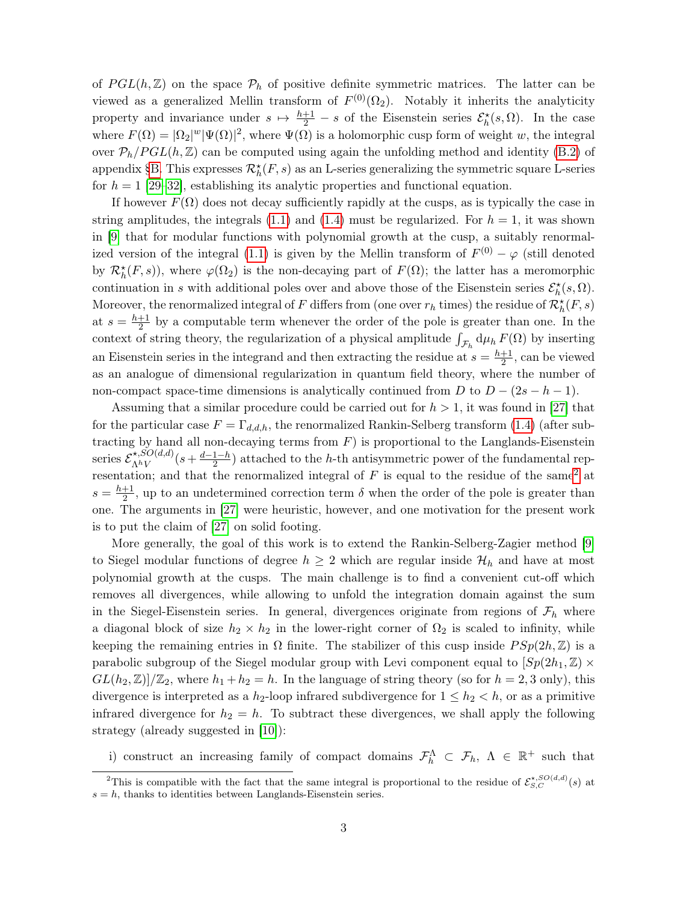of  $PGL(h,\mathbb{Z})$  on the space  $\mathcal{P}_h$  of positive definite symmetric matrices. The latter can be viewed as a generalized Mellin transform of  $F^{(0)}(\Omega_2)$ . Notably it inherits the analyticity property and invariance under  $s \mapsto \frac{h+1}{2} - s$  of the Eisenstein series  $\mathcal{E}_h^{\star}(s, \Omega)$ . In the case where  $F(\Omega) = |\Omega_2|^w |\Psi(\Omega)|^2$ , where  $\Psi(\Omega)$  is a holomorphic cusp form of weight w, the integral over  $\mathcal{P}_h/PGL(h,\mathbb{Z})$  can be computed using again the unfolding method and identity [\(B.2\)](#page-46-1) of appendix [§B.](#page-46-0) This expresses  $\mathcal{R}_h^{\star}(F, s)$  as an L-series generalizing the symmetric square L-series for  $h = 1$  [\[29](#page-51-10)[–32\]](#page-52-0), establishing its analytic properties and functional equation.

If however  $F(\Omega)$  does not decay sufficiently rapidly at the cusps, as is typically the case in string amplitudes, the integrals  $(1.1)$  and  $(1.4)$  must be regularized. For  $h = 1$ , it was shown in [\[9\]](#page-50-6) that for modular functions with polynomial growth at the cusp, a suitably renormal-ized version of the integral [\(1.1\)](#page-2-0) is given by the Mellin transform of  $F^{(0)} - \varphi$  (still denoted by  $\mathcal{R}^{\star}_{h}(F, s)$ , where  $\varphi(\Omega_2)$  is the non-decaying part of  $F(\Omega)$ ; the latter has a meromorphic continuation in s with additional poles over and above those of the Eisenstein series  $\mathcal{E}_h^{\star}(s, \Omega)$ . Moreover, the renormalized integral of F differs from (one over  $r_h$  times) the residue of  $\mathcal{R}^\star_h(F,s)$ at  $s=\frac{h+1}{2}$  $\frac{+1}{2}$  by a computable term whenever the order of the pole is greater than one. In the context of string theory, the regularization of a physical amplitude  $\int_{\mathcal{F}_h} d\mu_h F(\Omega)$  by inserting an Eisenstein series in the integrand and then extracting the residue at  $s = \frac{h+1}{2}$  $\frac{+1}{2}$ , can be viewed as an analogue of dimensional regularization in quantum field theory, where the number of non-compact space-time dimensions is analytically continued from D to  $D - (2s - h - 1)$ .

Assuming that a similar procedure could be carried out for  $h > 1$ , it was found in [\[27\]](#page-51-7) that for the particular case  $F = \Gamma_{d,d,h}$ , the renormalized Rankin-Selberg transform [\(1.4\)](#page-2-1) (after subtracting by hand all non-decaying terms from  $F$ ) is proportional to the Langlands-Eisenstein series  $\mathcal{E}_{\Lambda hV}^{\star,SO(d,d)}$  $\frac{\lambda^{k}}{\Lambda^{h}V}(s+\frac{d-1-h}{2})$  $\frac{1-h}{2}$  attached to the *h*-th antisymmetric power of the fundamental representation; and that the renormalized integral of  $F$  is equal to the residue of the same<sup>[2](#page-0-0)</sup> at  $s=\frac{h+1}{2}$  $\frac{+1}{2}$ , up to an undetermined correction term  $\delta$  when the order of the pole is greater than one. The arguments in [\[27\]](#page-51-7) were heuristic, however, and one motivation for the present work is to put the claim of [\[27\]](#page-51-7) on solid footing.

More generally, the goal of this work is to extend the Rankin-Selberg-Zagier method [\[9\]](#page-50-6) to Siegel modular functions of degree  $h \geq 2$  which are regular inside  $\mathcal{H}_h$  and have at most polynomial growth at the cusps. The main challenge is to find a convenient cut-off which removes all divergences, while allowing to unfold the integration domain against the sum in the Siegel-Eisenstein series. In general, divergences originate from regions of  $\mathcal{F}_h$  where a diagonal block of size  $h_2 \times h_2$  in the lower-right corner of  $\Omega_2$  is scaled to infinity, while keeping the remaining entries in  $\Omega$  finite. The stabilizer of this cusp inside  $PSp(2h, \mathbb{Z})$  is a parabolic subgroup of the Siegel modular group with Levi component equal to  $[Sp(2h_1, \mathbb{Z}) \times]$  $GL(h_2, \mathbb{Z})/\mathbb{Z}_2$ , where  $h_1 + h_2 = h$ . In the language of string theory (so for  $h = 2, 3$  only), this divergence is interpreted as a  $h_2$ -loop infrared subdivergence for  $1 \leq h_2 < h$ , or as a primitive infrared divergence for  $h_2 = h$ . To subtract these divergences, we shall apply the following strategy (already suggested in [\[10\]](#page-50-7)):

i) construct an increasing family of compact domains  $\mathcal{F}_h^{\Lambda} \subset \mathcal{F}_h$ ,  $\Lambda \in \mathbb{R}^+$  such that

<sup>&</sup>lt;sup>2</sup>This is compatible with the fact that the same integral is proportional to the residue of  $\mathcal{E}_{S,C}^{\star, SO(d,d)}(s)$  at  $s = h$ , thanks to identities between Langlands-Eisenstein series.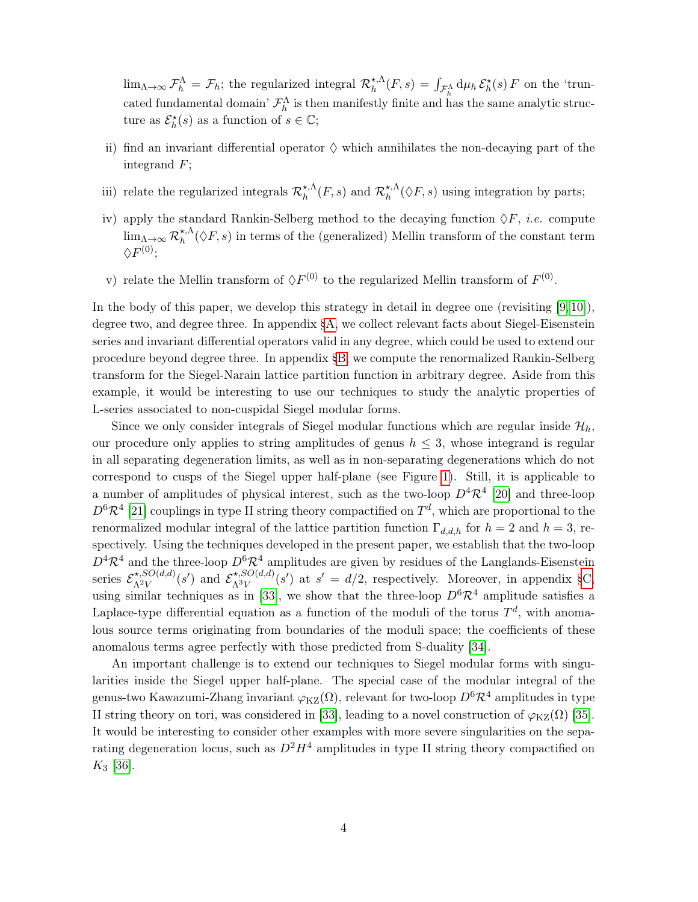$\lim_{\Lambda\to\infty} \mathcal{F}_h^{\Lambda} = \mathcal{F}_h$ ; the regularized integral  $\mathcal{R}_h^{\star,\Lambda}$  $\chi_h^{\star,\Lambda}(F,s) = \int_{\mathcal{F}_h^{\Lambda}} d\mu_h \, \mathcal{E}_h^{\star}(s) \, F$  on the 'truncated fundamental domain'  $\mathcal{F}_h^{\Lambda}$  is then manifestly finite and has the same analytic structure as  $\mathcal{E}_{h}^{\star}(s)$  as a function of  $s \in \mathbb{C}$ ;

- ii) find an invariant differential operator  $\diamond$  which annihilates the non-decaying part of the integrand F;
- iii) relate the regularized integrals  $\mathcal{R}_{h}^{\star,\Lambda}$  $h^{\star,\Lambda}(F,s)$  and  $\mathcal{R}^{\star,\Lambda}_{h}$  $h_h^{\star,\Lambda}(\Diamond F, s)$  using integration by parts;
- iv) apply the standard Rankin-Selberg method to the decaying function  $\Diamond F$ , *i.e.* compute  $\lim_{\Lambda \to \infty} \mathcal{R}_{h}^{\star, \Lambda}$  $\chi_h^{\star,\Lambda}(\Diamond F, s)$  in terms of the (generalized) Mellin transform of the constant term  $\Diamond F^{(0)};$
- v) relate the Mellin transform of  $\Diamond F^{(0)}$  to the regularized Mellin transform of  $F^{(0)}$ .

In the body of this paper, we develop this strategy in detail in degree one (revisiting  $[9, 10]$  $[9, 10]$ ), degree two, and degree three. In appendix [§A,](#page-42-0) we collect relevant facts about Siegel-Eisenstein series and invariant differential operators valid in any degree, which could be used to extend our procedure beyond degree three. In appendix [§B,](#page-46-0) we compute the renormalized Rankin-Selberg transform for the Siegel-Narain lattice partition function in arbitrary degree. Aside from this example, it would be interesting to use our techniques to study the analytic properties of L-series associated to non-cuspidal Siegel modular forms.

Since we only consider integrals of Siegel modular functions which are regular inside  $\mathcal{H}_h$ , our procedure only applies to string amplitudes of genus  $h \leq 3$ , whose integrand is regular in all separating degeneration limits, as well as in non-separating degenerations which do not correspond to cusps of the Siegel upper half-plane (see Figure [1\)](#page-5-0). Still, it is applicable to a number of amplitudes of physical interest, such as the two-loop  $D^4 \mathcal{R}^4$  [\[20\]](#page-51-0) and three-loop  $D^6 \mathcal{R}^4$  [\[21\]](#page-51-1) couplings in type II string theory compactified on  $T^d$ , which are proportional to the renormalized modular integral of the lattice partition function  $\Gamma_{d,d,h}$  for  $h = 2$  and  $h = 3$ , respectively. Using the techniques developed in the present paper, we establish that the two-loop  $D^4 \mathcal{R}^4$  and the three-loop  $D^6 \mathcal{R}^4$  amplitudes are given by residues of the Langlands-Eisenstein series  $\mathcal{E}_{\Lambda^2 V}^{\star, SO(d,d)}$  $\chi^{\star,SO(d,d)}_{\Lambda^2 V}(s')$  and  $\mathcal{E}^{\star,SO(d,d)}_{\Lambda^3 V}$  $\chi_{\Lambda^3 V}^{*,SO(d,d)}(s')$  at  $s' = d/2$ , respectively. Moreover, in appendix [§C,](#page-48-0) using similar techniques as in [\[33\]](#page-52-1), we show that the three-loop  $D^6 \mathcal{R}^4$  amplitude satisfies a Laplace-type differential equation as a function of the moduli of the torus  $T<sup>d</sup>$ , with anomalous source terms originating from boundaries of the moduli space; the coefficients of these anomalous terms agree perfectly with those predicted from S-duality [\[34\]](#page-52-2).

An important challenge is to extend our techniques to Siegel modular forms with singularities inside the Siegel upper half-plane. The special case of the modular integral of the genus-two Kawazumi-Zhang invariant  $\varphi_{\text{KZ}}(\Omega)$ , relevant for two-loop  $D^6 \mathcal{R}^4$  amplitudes in type II string theory on tori, was considered in [\[33\]](#page-52-1), leading to a novel construction of  $\varphi_{\text{KZ}}(\Omega)$  [\[35\]](#page-52-3). It would be interesting to consider other examples with more severe singularities on the separating degeneration locus, such as  $D^2H^4$  amplitudes in type II string theory compactified on  $K_3$  [\[36\]](#page-52-4).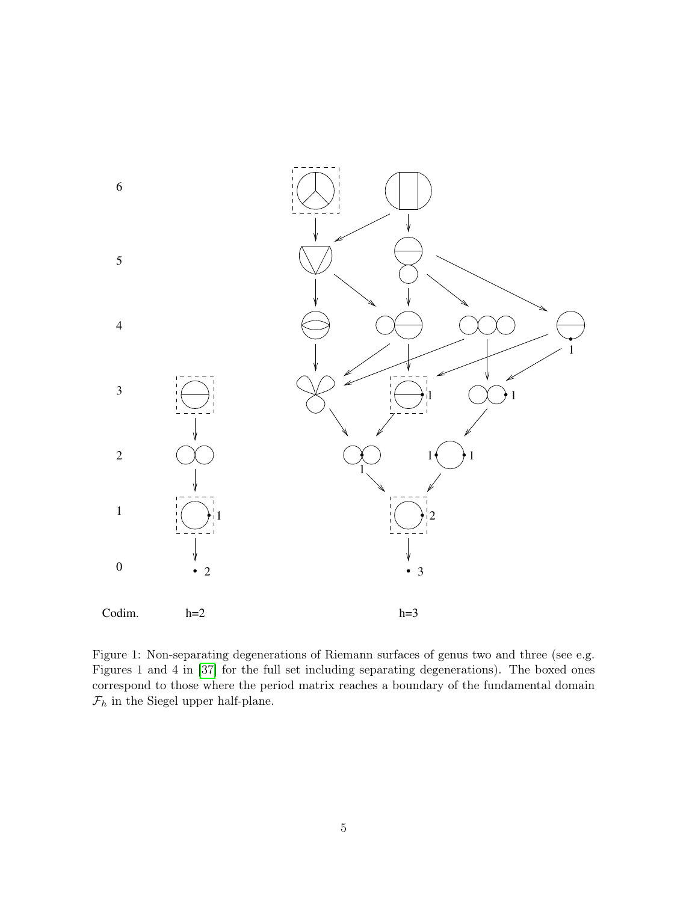

<span id="page-5-0"></span>Figure 1: Non-separating degenerations of Riemann surfaces of genus two and three (see e.g. Figures 1 and 4 in [\[37\]](#page-52-5) for the full set including separating degenerations). The boxed ones correspond to those where the period matrix reaches a boundary of the fundamental domain  $\mathcal{F}_h$  in the Siegel upper half-plane.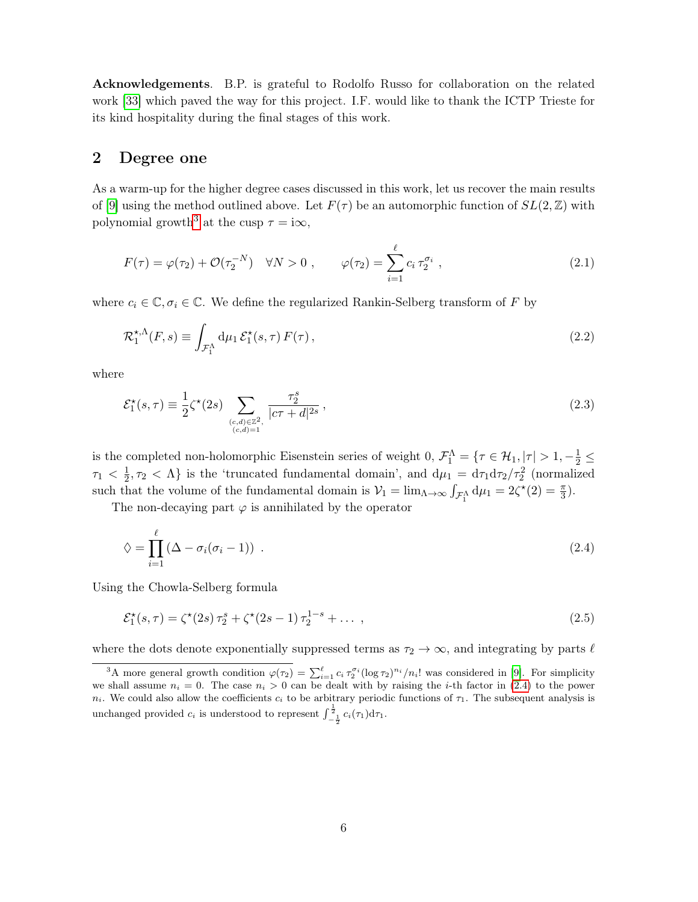Acknowledgements. B.P. is grateful to Rodolfo Russo for collaboration on the related work [\[33\]](#page-52-1) which paved the way for this project. I.F. would like to thank the ICTP Trieste for its kind hospitality during the final stages of this work.

## <span id="page-6-0"></span>2 Degree one

As a warm-up for the higher degree cases discussed in this work, let us recover the main results of [\[9\]](#page-50-6) using the method outlined above. Let  $F(\tau)$  be an automorphic function of  $SL(2,\mathbb{Z})$  with polynomial growth<sup>[3](#page-0-0)</sup> at the cusp  $\tau = i\infty$ ,

$$
F(\tau) = \varphi(\tau_2) + \mathcal{O}(\tau_2^{-N}) \quad \forall N > 0 , \qquad \varphi(\tau_2) = \sum_{i=1}^{\ell} c_i \tau_2^{\sigma_i} , \qquad (2.1)
$$

where  $c_i \in \mathbb{C}, \sigma_i \in \mathbb{C}$ . We define the regularized Rankin-Selberg transform of F by

$$
\mathcal{R}_1^{\star,\Lambda}(F,s) \equiv \int_{\mathcal{F}_1^{\Lambda}} d\mu_1 \,\mathcal{E}_1^{\star}(s,\tau) \, F(\tau) \,, \tag{2.2}
$$

where

$$
\mathcal{E}_1^*(s,\tau) \equiv \frac{1}{2} \zeta^*(2s) \sum_{\substack{(c,d)\in\mathbb{Z}^2,\\(c,d)=1}} \frac{\tau_2^s}{|c\tau+d|^{2s}},\tag{2.3}
$$

is the completed non-holomorphic Eisenstein series of weight 0,  $\mathcal{F}_1^{\Lambda} = \{ \tau \in \mathcal{H}_1, |\tau| > 1, -\frac{1}{2} \leq$  $\tau_1<\frac{1}{2}$  $\frac{1}{2}$ ,  $\tau_2$  <  $\Lambda$ } is the 'truncated fundamental domain', and  $d\mu_1 = d\tau_1 d\tau_2/\tau_2^2$  (normalized such that the volume of the fundamental domain is  $V_1 = \lim_{\Lambda \to \infty} \int_{\mathcal{F}_1^{\Lambda}} d\mu_1 = 2\zeta^*(2) = \frac{\pi}{3}$ .

The non-decaying part  $\varphi$  is annihilated by the operator

<span id="page-6-1"></span>
$$
\diamondsuit = \prod_{i=1}^{\ell} \left( \Delta - \sigma_i (\sigma_i - 1) \right) \ . \tag{2.4}
$$

Using the Chowla-Selberg formula

<span id="page-6-2"></span>
$$
\mathcal{E}_1^{\star}(s,\tau) = \zeta^{\star}(2s)\,\tau_2^s + \zeta^{\star}(2s-1)\,\tau_2^{1-s} + \dots \,,\tag{2.5}
$$

where the dots denote exponentially suppressed terms as  $\tau_2 \to \infty$ , and integrating by parts  $\ell$ 

<sup>&</sup>lt;sup>3</sup>A more general growth condition  $\varphi(\tau_2) = \sum_{i=1}^{\ell} c_i \tau_2^{\sigma_i} (\log \tau_2)^{n_i} / n_i!$  was considered in [\[9\]](#page-50-6). For simplicity we shall assume  $n_i = 0$ . The case  $n_i > 0$  can be dealt with by raising the *i*-th factor in [\(2.4\)](#page-6-1) to the power  $n_i$ . We could also allow the coefficients  $c_i$  to be arbitrary periodic functions of  $\tau_1$ . The subsequent analysis is unchanged provided  $c_i$  is understood to represent  $\int_{-\frac{1}{2}}^{\frac{1}{2}} c_i(\tau_1) d\tau_1$ .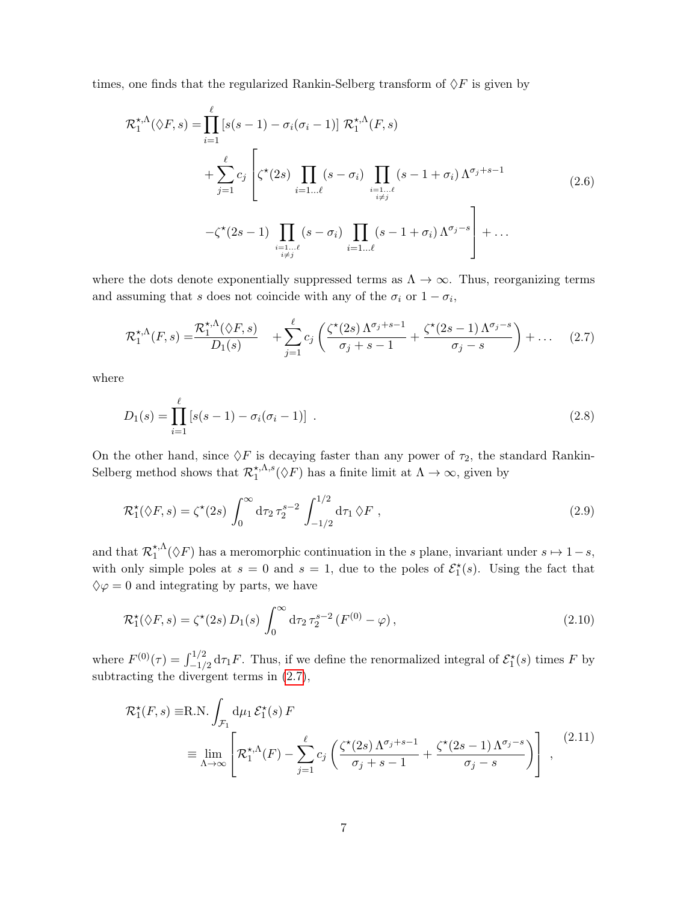times, one finds that the regularized Rankin-Selberg transform of  $\Diamond F$  is given by

$$
\mathcal{R}_{1}^{\star,\Lambda}(\lozenge F, s) = \prod_{i=1}^{\ell} \left[ s(s-1) - \sigma_{i}(\sigma_{i}-1) \right] \mathcal{R}_{1}^{\star,\Lambda}(F, s)
$$
\n
$$
+ \sum_{j=1}^{\ell} c_{j} \left[ \zeta^{\star}(2s) \prod_{i=1\ldots\ell} (s-\sigma_{i}) \prod_{\substack{i=1\ldots\ell \ i\neq j}} (s-1+\sigma_{i}) \Lambda^{\sigma_{j}+s-1}
$$
\n
$$
- \zeta^{\star}(2s-1) \prod_{\substack{i=1\ldots\ell \ i\neq j}} (s-\sigma_{i}) \prod_{\substack{i=1\ldots\ell \ i=1\ldots\ell}} (s-1+\sigma_{i}) \Lambda^{\sigma_{j}-s} \right] + \ldots
$$
\n(2.6)

where the dots denote exponentially suppressed terms as  $\Lambda \to \infty$ . Thus, reorganizing terms and assuming that s does not coincide with any of the  $\sigma_i$  or  $1 - \sigma_i$ ,

<span id="page-7-0"></span>
$$
\mathcal{R}_1^{\star,\Lambda}(F,s) = \frac{\mathcal{R}_1^{\star,\Lambda}(\lozenge F,s)}{D_1(s)} + \sum_{j=1}^{\ell} c_j \left( \frac{\zeta^{\star}(2s) \Lambda^{\sigma_j+s-1}}{\sigma_j+s-1} + \frac{\zeta^{\star}(2s-1) \Lambda^{\sigma_j-s}}{\sigma_j-s} \right) + \dots \quad (2.7)
$$

where

$$
D_1(s) = \prod_{i=1}^{\ell} \left[ s(s-1) - \sigma_i(\sigma_i - 1) \right] \ . \tag{2.8}
$$

On the other hand, since  $\Diamond F$  is decaying faster than any power of  $\tau_2$ , the standard Rankin-Selberg method shows that  $\mathcal{R}^{\star,\Lambda,s}_{1}$  $\chi_1^{\star,\Lambda,s}(\Diamond F)$  has a finite limit at  $\Lambda \to \infty$ , given by

<span id="page-7-1"></span>
$$
\mathcal{R}_1^{\star}(\Diamond F, s) = \zeta^{\star}(2s) \int_0^{\infty} d\tau_2 \,\tau_2^{s-2} \int_{-1/2}^{1/2} d\tau_1 \,\Diamond F , \qquad (2.9)
$$

and that  $\mathcal{R}_1^{\star,\Lambda}$  $\chi_1^{\star,\Lambda}(\Diamond F)$  has a meromorphic continuation in the s plane, invariant under  $s \mapsto 1-s$ , with only simple poles at  $s = 0$  and  $s = 1$ , due to the poles of  $\mathcal{E}_{1}^{\star}(s)$ . Using the fact that  $\diamondsuit \varphi = 0$  and integrating by parts, we have

$$
\mathcal{R}_1^{\star}(\Diamond F, s) = \zeta^{\star}(2s) D_1(s) \int_0^{\infty} d\tau_2 \tau_2^{s-2} (F^{(0)} - \varphi), \qquad (2.10)
$$

where  $F^{(0)}(\tau) = \int_{-1/2}^{1/2} d\tau_1 F$ . Thus, if we define the renormalized integral of  $\mathcal{E}_1^*(s)$  times F by subtracting the divergent terms in [\(2.7\)](#page-7-0),

<span id="page-7-2"></span>
$$
\mathcal{R}_{1}^{\star}(F,s) \equiv \text{R.N.} \int_{\mathcal{F}_{1}} d\mu_{1} \mathcal{E}_{1}^{\star}(s) F
$$
\n
$$
\equiv \lim_{\Lambda \to \infty} \left[ \mathcal{R}_{1}^{\star,\Lambda}(F) - \sum_{j=1}^{\ell} c_{j} \left( \frac{\zeta^{\star}(2s) \Lambda^{\sigma_{j}+s-1}}{\sigma_{j}+s-1} + \frac{\zeta^{\star}(2s-1) \Lambda^{\sigma_{j}-s}}{\sigma_{j}-s} \right) \right], \tag{2.11}
$$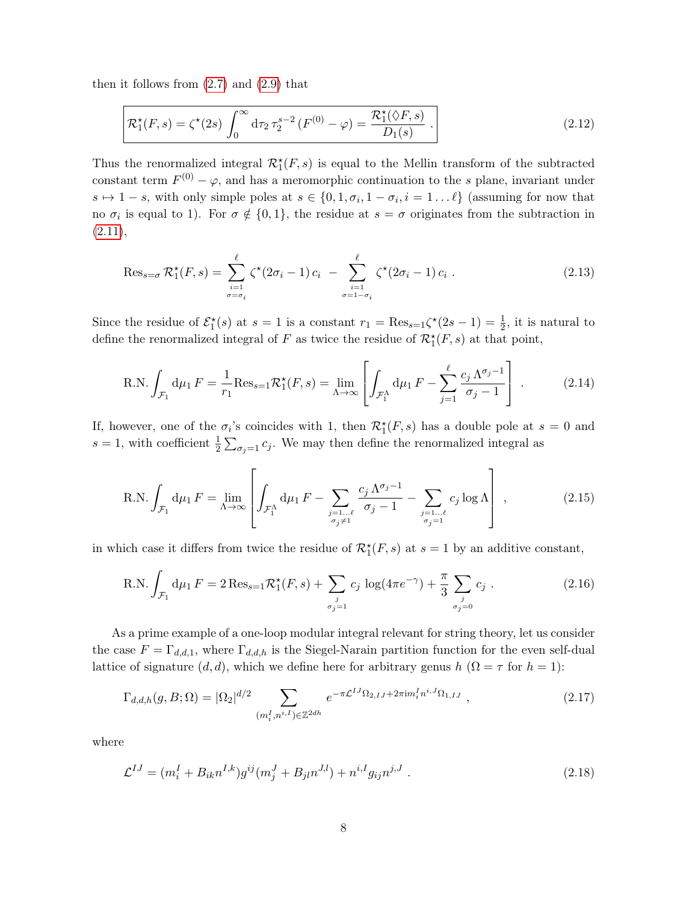then it follows from  $(2.7)$  and  $(2.9)$  that

<span id="page-8-0"></span>
$$
\mathcal{R}_1^{\star}(F,s) = \zeta^{\star}(2s) \int_0^{\infty} d\tau_2 \,\tau_2^{s-2} \left( F^{(0)} - \varphi \right) = \frac{\mathcal{R}_1^{\star}(\Diamond F, s)}{D_1(s)} \,.
$$
\n(2.12)

Thus the renormalized integral  $\mathcal{R}_1^*(F, s)$  is equal to the Mellin transform of the subtracted constant term  $F^{(0)} - \varphi$ , and has a meromorphic continuation to the s plane, invariant under  $s \mapsto 1 - s$ , with only simple poles at  $s \in \{0, 1, \sigma_i, 1 - \sigma_i, i = 1...\ell\}$  (assuming for now that no  $\sigma_i$  is equal to 1). For  $\sigma \notin \{0,1\}$ , the residue at  $s = \sigma$  originates from the subtraction in  $(2.11),$  $(2.11),$ 

$$
\operatorname{Res}_{s=\sigma} \mathcal{R}_1^{\star}(F, s) = \sum_{\substack{i=1 \ \sigma = \sigma_i}}^{\ell} \zeta^{\star}(2\sigma_i - 1) c_i - \sum_{\substack{i=1 \ \sigma = 1-\sigma_i}}^{\ell} \zeta^{\star}(2\sigma_i - 1) c_i.
$$
 (2.13)

Since the residue of  $\mathcal{E}_1^*(s)$  at  $s=1$  is a constant  $r_1 = \text{Res}_{s=1} \zeta^*(2s-1) = \frac{1}{2}$ , it is natural to define the renormalized integral of F as twice the residue of  $\mathcal{R}_1^*(F, s)$  at that point,

<span id="page-8-1"></span>R.N. 
$$
\int_{\mathcal{F}_1} d\mu_1 F = \frac{1}{r_1} Res_{s=1} \mathcal{R}_1^*(F, s) = \lim_{\Lambda \to \infty} \left[ \int_{\mathcal{F}_1^{\Lambda}} d\mu_1 F - \sum_{j=1}^{\ell} \frac{c_j \Lambda^{\sigma_j - 1}}{\sigma_j - 1} \right]
$$
 (2.14)

If, however, one of the  $\sigma_i$ 's coincides with 1, then  $\mathcal{R}_1^*(F, s)$  has a double pole at  $s = 0$  and s = 1, with coefficient  $\frac{1}{2} \sum_{\sigma_j=1} c_j$ . We may then define the renormalized integral as

$$
\text{R.N.} \int_{\mathcal{F}_1} \mathrm{d}\mu_1 \, F = \lim_{\Lambda \to \infty} \left[ \int_{\mathcal{F}_1^{\Lambda}} \mathrm{d}\mu_1 \, F - \sum_{\substack{j=1... \ell \\ \sigma_j \neq 1}} \frac{c_j \, \Lambda^{\sigma_j - 1}}{\sigma_j - 1} - \sum_{\substack{j=1... \ell \\ \sigma_j = 1}} c_j \log \Lambda \right],\tag{2.15}
$$

in which case it differs from twice the residue of  $\mathcal{R}_1^*(F, s)$  at  $s = 1$  by an additive constant,

R.N. 
$$
\int_{\mathcal{F}_1} d\mu_1 F = 2 \operatorname{Res}_{s=1} \mathcal{R}_1^*(F, s) + \sum_{\substack{j \\ \sigma_j = 1}} c_j \log(4\pi e^{-\gamma}) + \frac{\pi}{3} \sum_{\substack{j \\ \sigma_j = 0}} c_j.
$$
 (2.16)

As a prime example of a one-loop modular integral relevant for string theory, let us consider the case  $F = \Gamma_{d,d,1}$ , where  $\Gamma_{d,d,h}$  is the Siegel-Narain partition function for the even self-dual lattice of signature  $(d, d)$ , which we define here for arbitrary genus  $h(\Omega = \tau$  for  $h = 1)$ :

<span id="page-8-2"></span>
$$
\Gamma_{d,d,h}(g, B; \Omega) = |\Omega_2|^{d/2} \sum_{(m_i^I, n^{i,I}) \in \mathbb{Z}^{2dh}} e^{-\pi \mathcal{L}^{IJ} \Omega_{2,IJ} + 2\pi i m_i^I n^{i,J} \Omega_{1,IJ}},
$$
\n(2.17)

where

<span id="page-8-3"></span>
$$
\mathcal{L}^{IJ} = (m_i^I + B_{ik} n^{I,k}) g^{ij} (m_j^J + B_{jl} n^{J,l}) + n^{i,I} g_{ij} n^{j,J} . \qquad (2.18)
$$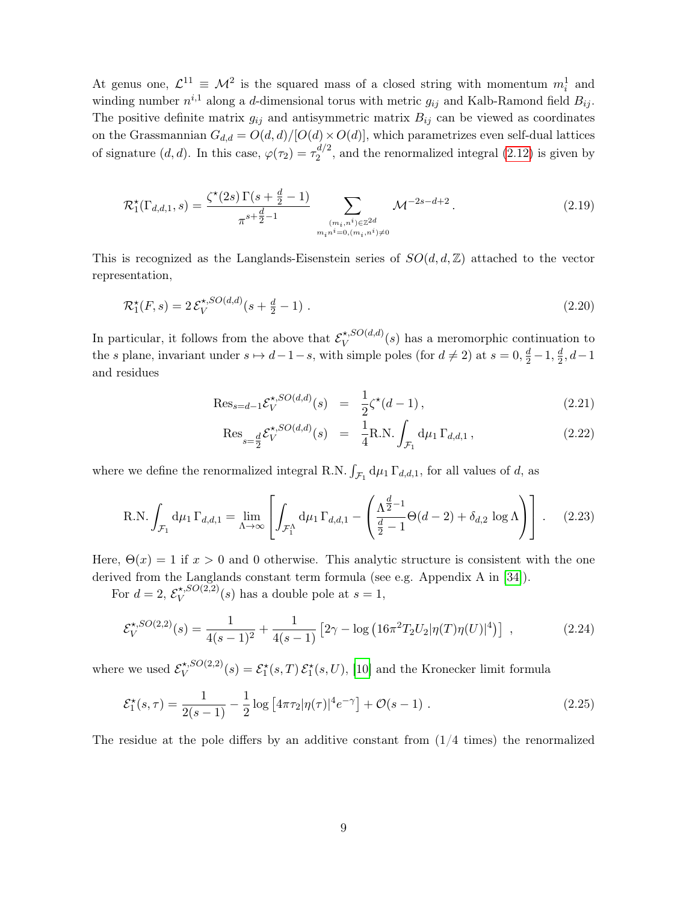At genus one,  $\mathcal{L}^{11} \equiv \mathcal{M}^2$  is the squared mass of a closed string with momentum  $m_i^1$  and winding number  $n^{i,1}$  along a d-dimensional torus with metric  $g_{ij}$  and Kalb-Ramond field  $B_{ij}$ . The positive definite matrix  $g_{ij}$  and antisymmetric matrix  $B_{ij}$  can be viewed as coordinates on the Grassmannian  $G_{d,d} = O(d,d)/[O(d) \times O(d)]$ , which parametrizes even self-dual lattices of signature  $(d, d)$ . In this case,  $\varphi(\tau_2) = \tau_2^{d/2}$  $a_2^{u/2}$ , and the renormalized integral  $(2.12)$  is given by

<span id="page-9-1"></span>
$$
\mathcal{R}_1^{\star}(\Gamma_{d,d,1},s) = \frac{\zeta^{\star}(2s)\,\Gamma(s+\frac{d}{2}-1)}{\pi^{s+\frac{d}{2}-1}} \sum_{\substack{(m_i,n^i) \in \mathbb{Z}^{2d} \\ m_i n^i = 0, (m_i,n^i) \neq 0}} \mathcal{M}^{-2s-d+2}.
$$
\n(2.19)

This is recognized as the Langlands-Eisenstein series of  $SO(d, d, \mathbb{Z})$  attached to the vector representation,

$$
\mathcal{R}_1^*(F,s) = 2\,\mathcal{E}_V^{*,SO(d,d)}(s+\tfrac{d}{2}-1) \ . \tag{2.20}
$$

In particular, it follows from the above that  $\mathcal{E}_V^{*,SO(d,d)}$  $(V^{*,SO(a,a)}(s))$  has a meromorphic continuation to the s plane, invariant under  $s \mapsto d-1-s$ , with simple poles (for  $d \neq 2$ ) at  $s = 0, \frac{d}{2} - 1, \frac{d}{2}$  $\frac{d}{2}$ ,  $d-1$ and residues

$$
\text{Res}_{s=d-1} \mathcal{E}_V^{\star, SO(d,d)}(s) = \frac{1}{2} \zeta^{\star}(d-1), \qquad (2.21)
$$

<span id="page-9-2"></span><span id="page-9-0"></span>
$$
\text{Res}_{s=\frac{d}{2}} \mathcal{E}_V^{\star, SO(d,d)}(s) = \frac{1}{4} \text{R.N.} \int_{\mathcal{F}_1} d\mu_1 \, \Gamma_{d,d,1} \,, \tag{2.22}
$$

where we define the renormalized integral R.N.  $\int_{\mathcal{F}_1} d\mu_1 \Gamma_{d,d,1}$ , for all values of d, as

R.N. 
$$
\int_{\mathcal{F}_1} d\mu_1 \Gamma_{d,d,1} = \lim_{\Lambda \to \infty} \left[ \int_{\mathcal{F}_1^{\Lambda}} d\mu_1 \Gamma_{d,d,1} - \left( \frac{\Lambda^{\frac{d}{2}-1}}{\frac{d}{2}-1} \Theta(d-2) + \delta_{d,2} \log \Lambda \right) \right].
$$
 (2.23)

Here,  $\Theta(x) = 1$  if  $x > 0$  and 0 otherwise. This analytic structure is consistent with the one derived from the Langlands constant term formula (see e.g. Appendix A in [\[34\]](#page-52-2)).

For  $d=2$ ,  $\mathcal{E}_V^{\star,SO(2,2)}$  $\mathcal{X}^{(s, S\cup (2,2)}(s)$  has a double pole at  $s=1$ ,

$$
\mathcal{E}_V^{\star, SO(2,2)}(s) = \frac{1}{4(s-1)^2} + \frac{1}{4(s-1)} \left[2\gamma - \log\left(16\pi^2 T_2 U_2 |\eta(T)\eta(U)|^4\right)\right] \tag{2.24}
$$

where we used  $\mathcal{E}_V^{\star, SO(2,2)}$  $\mathcal{E}_V^{*,SO(2,2)}(s) = \mathcal{E}_1^*(s,T) \mathcal{E}_1^*(s,U),$  [\[10\]](#page-50-7) and the Kronecker limit formula

$$
\mathcal{E}_1^{\star}(s,\tau) = \frac{1}{2(s-1)} - \frac{1}{2}\log\left[4\pi\tau_2|\eta(\tau)|^4 e^{-\gamma}\right] + \mathcal{O}(s-1) \tag{2.25}
$$

The residue at the pole differs by an additive constant from  $(1/4 \text{ times})$  the renormalized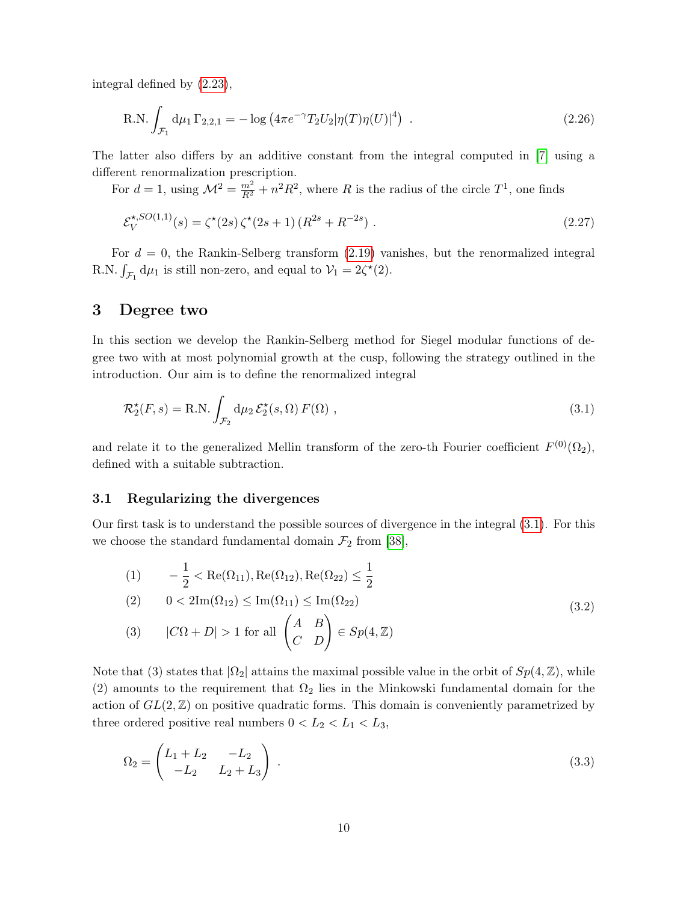integral defined by [\(2.23\)](#page-9-0),

R.N. 
$$
\int_{\mathcal{F}_1} d\mu_1 \Gamma_{2,2,1} = -\log \left( 4\pi e^{-\gamma} T_2 U_2 |\eta(T)\eta(U)|^4 \right) . \tag{2.26}
$$

The latter also differs by an additive constant from the integral computed in [\[7\]](#page-50-10) using a different renormalization prescription.

For  $d = 1$ , using  $\mathcal{M}^2 = \frac{m^2}{R^2} + n^2 R^2$ , where R is the radius of the circle  $T^1$ , one finds

$$
\mathcal{E}_V^{\star, SO(1,1)}(s) = \zeta^{\star}(2s)\,\zeta^{\star}(2s+1)\,(R^{2s} + R^{-2s})\;.
$$
\n(2.27)

For  $d = 0$ , the Rankin-Selberg transform  $(2.19)$  vanishes, but the renormalized integral R.N.  $\int_{\mathcal{F}_1} d\mu_1$  is still non-zero, and equal to  $\mathcal{V}_1 = 2\zeta^*(2)$ .

## <span id="page-10-0"></span>3 Degree two

In this section we develop the Rankin-Selberg method for Siegel modular functions of degree two with at most polynomial growth at the cusp, following the strategy outlined in the introduction. Our aim is to define the renormalized integral

<span id="page-10-2"></span>
$$
\mathcal{R}_2^{\star}(F,s) = \text{R.N.} \int_{\mathcal{F}_2} d\mu_2 \, \mathcal{E}_2^{\star}(s,\Omega) \, F(\Omega) \;, \tag{3.1}
$$

and relate it to the generalized Mellin transform of the zero-th Fourier coefficient  $F^{(0)}(\Omega_2)$ , defined with a suitable subtraction.

#### <span id="page-10-1"></span>3.1 Regularizing the divergences

Our first task is to understand the possible sources of divergence in the integral [\(3.1\)](#page-10-2). For this we choose the standard fundamental domain  $\mathcal{F}_2$  from [\[38\]](#page-52-6),

<span id="page-10-4"></span>(1) 
$$
-\frac{1}{2} < \text{Re}(\Omega_{11}), \text{Re}(\Omega_{12}), \text{Re}(\Omega_{22}) \le \frac{1}{2}
$$
  
\n(2)  $0 < 2\text{Im}(\Omega_{12}) \le \text{Im}(\Omega_{11}) \le \text{Im}(\Omega_{22})$   
\n(3)  $|C\Omega + D| > 1$  for all  $\begin{pmatrix} A & B \\ C & D \end{pmatrix} \in Sp(4, \mathbb{Z})$  (3.2)

Note that (3) states that  $|\Omega_2|$  attains the maximal possible value in the orbit of  $Sp(4,\mathbb{Z})$ , while (2) amounts to the requirement that  $\Omega_2$  lies in the Minkowski fundamental domain for the action of  $GL(2,\mathbb{Z})$  on positive quadratic forms. This domain is conveniently parametrized by three ordered positive real numbers  $0 < L_2 < L_1 < L_3$ ,

<span id="page-10-3"></span>
$$
\Omega_2 = \begin{pmatrix} L_1 + L_2 & -L_2 \\ -L_2 & L_2 + L_3 \end{pmatrix} . \tag{3.3}
$$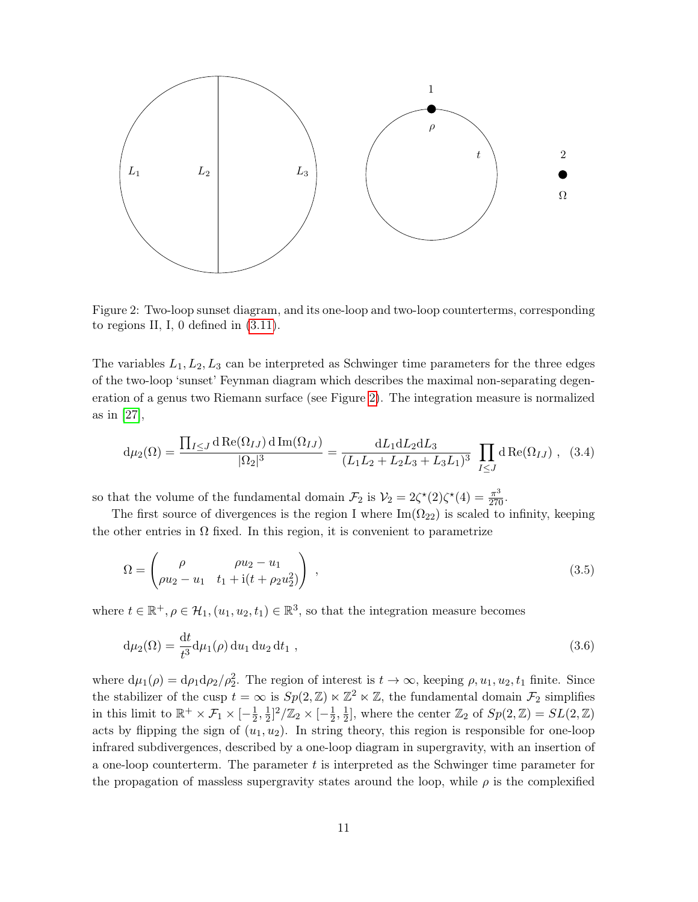

<span id="page-11-0"></span>Figure 2: Two-loop sunset diagram, and its one-loop and two-loop counterterms, corresponding to regions II, I, 0 defined in [\(3.11\)](#page-13-1).

The variables  $L_1, L_2, L_3$  can be interpreted as Schwinger time parameters for the three edges of the two-loop 'sunset' Feynman diagram which describes the maximal non-separating degeneration of a genus two Riemann surface (see Figure [2\)](#page-11-0). The integration measure is normalized as in [\[27\]](#page-51-7),

<span id="page-11-2"></span>
$$
d\mu_2(\Omega) = \frac{\prod_{I \leq J} d \operatorname{Re}(\Omega_{IJ}) d \operatorname{Im}(\Omega_{IJ})}{|\Omega_2|^3} = \frac{dL_1 dL_2 dL_3}{(L_1 L_2 + L_2 L_3 + L_3 L_1)^3} \prod_{I \leq J} d \operatorname{Re}(\Omega_{IJ}), \quad (3.4)
$$

so that the volume of the fundamental domain  $\mathcal{F}_2$  is  $\mathcal{V}_2 = 2\zeta^*(2)\zeta^*(4) = \frac{\pi^3}{270}$ .

The first source of divergences is the region I where  $\text{Im}(\Omega_{22})$  is scaled to infinity, keeping the other entries in  $\Omega$  fixed. In this region, it is convenient to parametrize

<span id="page-11-1"></span>
$$
\Omega = \begin{pmatrix} \rho & \rho u_2 - u_1 \\ \rho u_2 - u_1 & t_1 + i(t + \rho_2 u_2^2) \end{pmatrix} ,
$$
\n(3.5)

where  $t \in \mathbb{R}^+, \rho \in \mathcal{H}_1, (u_1, u_2, t_1) \in \mathbb{R}^3$ , so that the integration measure becomes

$$
d\mu_2(\Omega) = \frac{dt}{t^3} d\mu_1(\rho) du_1 du_2 dt_1 , \qquad (3.6)
$$

where  $d\mu_1(\rho) = d\rho_1 d\rho_2/\rho_2^2$ . The region of interest is  $t \to \infty$ , keeping  $\rho, u_1, u_2, t_1$  finite. Since the stabilizer of the cusp  $t = \infty$  is  $Sp(2, \mathbb{Z}) \ltimes \mathbb{Z}^2 \ltimes \mathbb{Z}$ , the fundamental domain  $\mathcal{F}_2$  simplifies in this limit to  $\mathbb{R}^+ \times \mathcal{F}_1 \times [-\frac{1}{2}]$  $\frac{1}{2}, \frac{1}{2}$  $\frac{1}{2}]^2/\mathbb{Z}_2 \times [-\frac{1}{2}]$  $\frac{1}{2}, \frac{1}{2}$  $\frac{1}{2}$ , where the center  $\mathbb{Z}_2$  of  $Sp(2,\mathbb{Z}) = SL(2,\mathbb{Z})$ acts by flipping the sign of  $(u_1, u_2)$ . In string theory, this region is responsible for one-loop infrared subdivergences, described by a one-loop diagram in supergravity, with an insertion of a one-loop counterterm. The parameter  $t$  is interpreted as the Schwinger time parameter for the propagation of massless supergravity states around the loop, while  $\rho$  is the complexified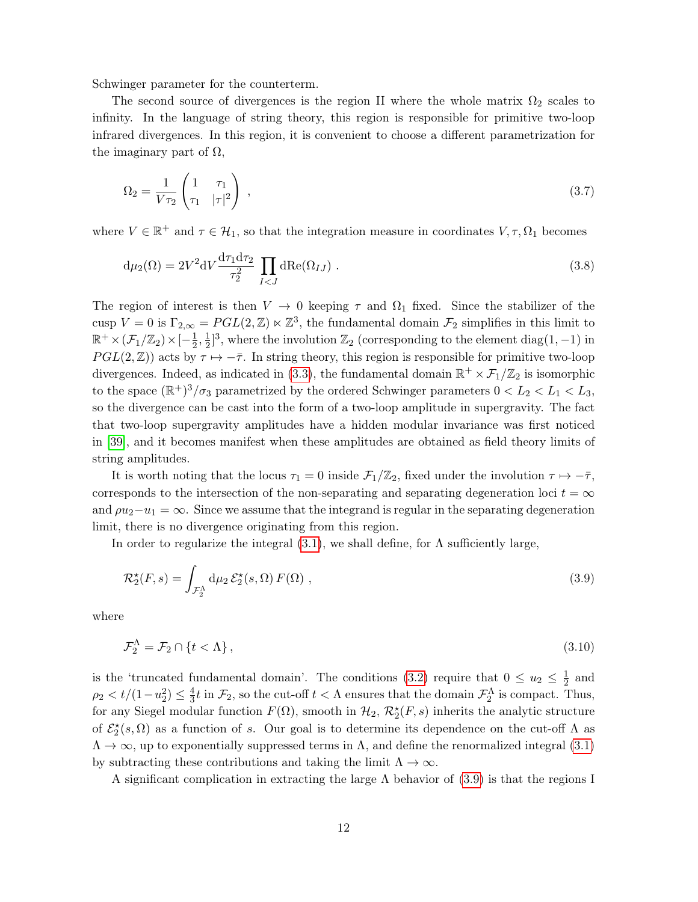Schwinger parameter for the counterterm.

The second source of divergences is the region II where the whole matrix  $\Omega_2$  scales to infinity. In the language of string theory, this region is responsible for primitive two-loop infrared divergences. In this region, it is convenient to choose a different parametrization for the imaginary part of  $\Omega$ ,

$$
\Omega_2 = \frac{1}{V\tau_2} \begin{pmatrix} 1 & \tau_1 \\ \tau_1 & |\tau|^2 \end{pmatrix} \tag{3.7}
$$

where  $V \in \mathbb{R}^+$  and  $\tau \in \mathcal{H}_1$ , so that the integration measure in coordinates  $V, \tau, \Omega_1$  becomes

$$
d\mu_2(\Omega) = 2V^2 dV \frac{d\tau_1 d\tau_2}{\tau_2^2} \prod_{I < J} dRe(\Omega_{IJ}) . \tag{3.8}
$$

The region of interest is then  $V \to 0$  keeping  $\tau$  and  $\Omega_1$  fixed. Since the stabilizer of the cusp  $V = 0$  is  $\Gamma_{2,\infty} = PGL(2,\mathbb{Z}) \ltimes \mathbb{Z}^3$ , the fundamental domain  $\mathcal{F}_2$  simplifies in this limit to  $\mathbb{R}^+ \times (\mathcal{F}_1/\mathbb{Z}_2) \times [-\frac{1}{2}]$  $\frac{1}{2}, \frac{1}{2}$  $\frac{1}{2}$ <sup>3</sup>, where the involution  $\mathbb{Z}_2$  (corresponding to the element diag(1, -1) in  $PGL(2,\mathbb{Z})$  acts by  $\tau \mapsto -\bar{\tau}$ . In string theory, this region is responsible for primitive two-loop divergences. Indeed, as indicated in [\(3.3\)](#page-10-3), the fundamental domain  $\mathbb{R}^+ \times \mathcal{F}_1/\mathbb{Z}_2$  is isomorphic to the space  $(\mathbb{R}^+)^3/\sigma_3$  parametrized by the ordered Schwinger parameters  $0 < L_2 < L_1 < L_3$ , so the divergence can be cast into the form of a two-loop amplitude in supergravity. The fact that two-loop supergravity amplitudes have a hidden modular invariance was first noticed in [\[39\]](#page-52-7), and it becomes manifest when these amplitudes are obtained as field theory limits of string amplitudes.

It is worth noting that the locus  $\tau_1 = 0$  inside  $\mathcal{F}_1/\mathbb{Z}_2$ , fixed under the involution  $\tau \mapsto -\bar{\tau}$ , corresponds to the intersection of the non-separating and separating degeneration loci  $t = \infty$ and  $\rho u_2-u_1=\infty$ . Since we assume that the integrand is regular in the separating degeneration limit, there is no divergence originating from this region.

In order to regularize the integral  $(3.1)$ , we shall define, for  $\Lambda$  sufficiently large,

<span id="page-12-0"></span>
$$
\mathcal{R}_2^{\star}(F,s) = \int_{\mathcal{F}_2^{\Lambda}} d\mu_2 \,\mathcal{E}_2^{\star}(s,\Omega) \, F(\Omega) \;, \tag{3.9}
$$

where

$$
\mathcal{F}_2^{\Lambda} = \mathcal{F}_2 \cap \{t < \Lambda\},\tag{3.10}
$$

is the 'truncated fundamental domain'. The conditions [\(3.2\)](#page-10-4) require that  $0 \le u_2 \le \frac{1}{2}$  $rac{1}{2}$  and  $\rho_2 < t/(1-u_2^2) \leq \frac{4}{3}$  $\frac{4}{3}t$  in  $\mathcal{F}_2$ , so the cut-off  $t < \Lambda$  ensures that the domain  $\mathcal{F}_2^{\Lambda}$  is compact. Thus, for any Siegel modular function  $F(\Omega)$ , smooth in  $\mathcal{H}_2$ ,  $\mathcal{R}_2^{\star}(F,s)$  inherits the analytic structure of  $\mathcal{E}_2^{\star}(s,\Omega)$  as a function of s. Our goal is to determine its dependence on the cut-off  $\Lambda$  as  $\Lambda \to \infty$ , up to exponentially suppressed terms in  $\Lambda$ , and define the renormalized integral [\(3.1\)](#page-10-2) by subtracting these contributions and taking the limit  $\Lambda \to \infty$ .

A significant complication in extracting the large  $\Lambda$  behavior of [\(3.9\)](#page-12-0) is that the regions I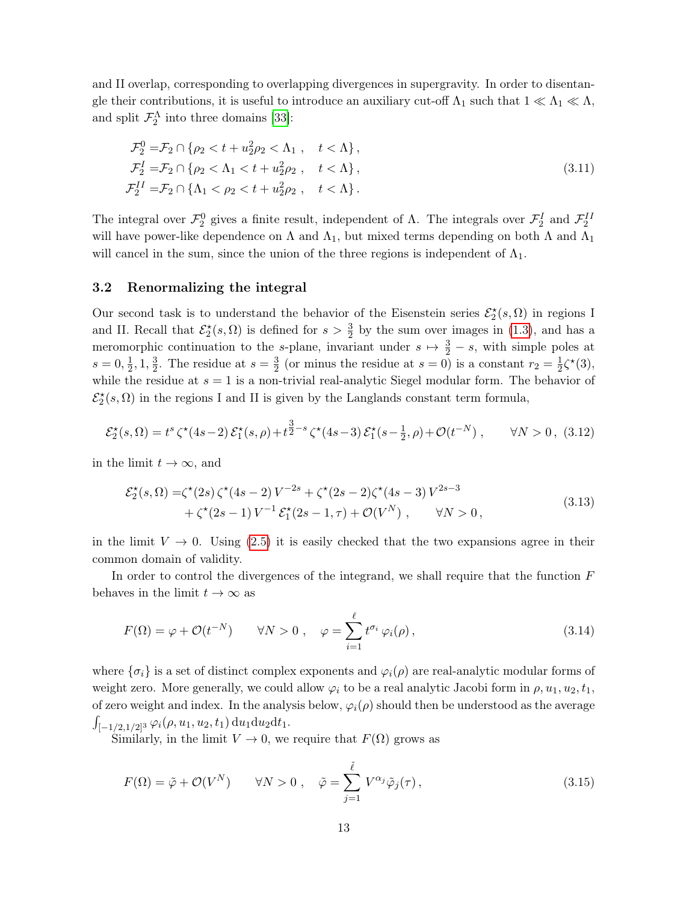and II overlap, corresponding to overlapping divergences in supergravity. In order to disentangle their contributions, it is useful to introduce an auxiliary cut-off  $\Lambda_1$  such that  $1 \ll \Lambda_1 \ll \Lambda$ , and split  $\mathcal{F}_2^{\Lambda}$  into three domains [\[33\]](#page-52-1):

<span id="page-13-1"></span>
$$
\mathcal{F}_2^0 = \mathcal{F}_2 \cap \{ \rho_2 < t + u_2^2 \rho_2 < \Lambda_1 \,, \quad t < \Lambda \},
$$
\n
$$
\mathcal{F}_2^1 = \mathcal{F}_2 \cap \{ \rho_2 < \Lambda_1 < t + u_2^2 \rho_2 \,, \quad t < \Lambda \},
$$
\n
$$
\mathcal{F}_2^{II} = \mathcal{F}_2 \cap \{ \Lambda_1 < \rho_2 < t + u_2^2 \rho_2 \,, \quad t < \Lambda \}.
$$
\n
$$
(3.11)
$$

The integral over  $\mathcal{F}_2^0$  gives a finite result, independent of  $\Lambda$ . The integrals over  $\mathcal{F}_2^I$  and  $\mathcal{F}_2^{II}$ will have power-like dependence on  $\Lambda$  and  $\Lambda_1$ , but mixed terms depending on both  $\Lambda$  and  $\Lambda_1$ will cancel in the sum, since the union of the three regions is independent of  $\Lambda_1$ .

#### <span id="page-13-0"></span>3.2 Renormalizing the integral

Our second task is to understand the behavior of the Eisenstein series  $\mathcal{E}_2^{\star}(s, \Omega)$  in regions I and II. Recall that  $\mathcal{E}_2^{\star}(s,\Omega)$  is defined for  $s>\frac{3}{2}$  by the sum over images in [\(1.3\)](#page-2-2), and has a meromorphic continuation to the s-plane, invariant under  $s \mapsto \frac{3}{2} - s$ , with simple poles at  $s = 0, \frac{1}{2}$  $\frac{1}{2}$ , 1,  $\frac{3}{2}$  $\frac{3}{2}$ . The residue at  $s = \frac{3}{2}$  $\frac{3}{2}$  (or minus the residue at  $s = 0$ ) is a constant  $r_2 = \frac{1}{2}$  $\frac{1}{2}\zeta^*(3),$ while the residue at  $s = 1$  is a non-trivial real-analytic Siegel modular form. The behavior of  $\mathcal{E}_2^{\star}(s,\Omega)$  in the regions I and II is given by the Langlands constant term formula,

$$
\mathcal{E}_2^{\star}(s,\Omega) = t^s \zeta^{\star}(4s-2) \mathcal{E}_1^{\star}(s,\rho) + t^{\frac{3}{2}-s} \zeta^{\star}(4s-3) \mathcal{E}_1^{\star}(s-\frac{1}{2},\rho) + \mathcal{O}(t^{-N}), \qquad \forall N > 0, (3.12)
$$

in the limit  $t \to \infty$ , and

<span id="page-13-5"></span><span id="page-13-4"></span>
$$
\mathcal{E}_{2}^{\star}(s,\Omega) = \zeta^{\star}(2s)\,\zeta^{\star}(4s-2)V^{-2s} + \zeta^{\star}(2s-2)\zeta^{\star}(4s-3)V^{2s-3} \n+ \zeta^{\star}(2s-1)V^{-1}\,\mathcal{E}_{1}^{\star}(2s-1,\tau) + \mathcal{O}(V^{N}), \qquad \forall N > 0,
$$
\n(3.13)

in the limit  $V \to 0$ . Using [\(2.5\)](#page-6-2) it is easily checked that the two expansions agree in their common domain of validity.

In order to control the divergences of the integrand, we shall require that the function  $F$ behaves in the limit  $t \to \infty$  as

<span id="page-13-2"></span>
$$
F(\Omega) = \varphi + \mathcal{O}(t^{-N}) \qquad \forall N > 0 \;, \quad \varphi = \sum_{i=1}^{\ell} t^{\sigma_i} \varphi_i(\rho) \,, \tag{3.14}
$$

where  $\{\sigma_i\}$  is a set of distinct complex exponents and  $\varphi_i(\rho)$  are real-analytic modular forms of weight zero. More generally, we could allow  $\varphi_i$  to be a real analytic Jacobi form in  $\rho, u_1, u_2, t_1$ , of zero weight and index. In the analysis below,  $\varphi_i(\rho)$  should then be understood as the average  $\int_{[-1/2,1/2]^3} \varphi_i(\rho, u_1, u_2, t_1) \, \mathrm{d}u_1 \mathrm{d}u_2 \mathrm{d}t_1.$ 

Similarly, in the limit  $V \to 0$ , we require that  $F(\Omega)$  grows as

<span id="page-13-3"></span>
$$
F(\Omega) = \tilde{\varphi} + \mathcal{O}(V^N) \qquad \forall N > 0 \;, \quad \tilde{\varphi} = \sum_{j=1}^{\tilde{\ell}} V^{\alpha_j} \tilde{\varphi}_j(\tau) \;, \tag{3.15}
$$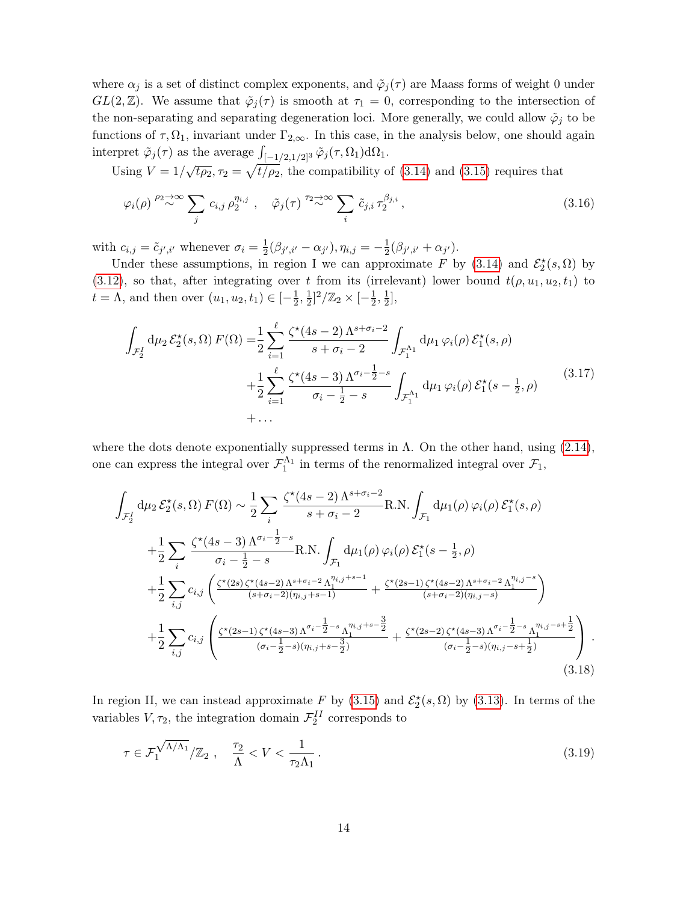where  $\alpha_j$  is a set of distinct complex exponents, and  $\tilde{\varphi}_j(\tau)$  are Maass forms of weight 0 under GL(2,  $\mathbb{Z}$ ). We assume that  $\tilde{\varphi}_j(\tau)$  is smooth at  $\tau_1 = 0$ , corresponding to the intersection of the non-separating and separating degeneration loci. More generally, we could allow  $\tilde{\varphi}_j$  to be functions of  $\tau$ ,  $\Omega_1$ , invariant under  $\Gamma_{2,\infty}$ . In this case, in the analysis below, one should again interpret  $\tilde{\varphi}_j(\tau)$  as the average  $\int_{[-1/2,1/2]^3} \tilde{\varphi}_j(\tau,\Omega_1) d\Omega_1$ .

Using  $V = 1/\sqrt{t\rho_2}$ ,  $\tau_2 = \sqrt{t/\rho_2}$ , the compatibility of [\(3.14\)](#page-13-2) and [\(3.15\)](#page-13-3) requires that

<span id="page-14-1"></span>
$$
\varphi_i(\rho) \stackrel{\rho_2 \to \infty}{\sim} \sum_j c_{i,j} \rho_2^{\eta_{i,j}}, \quad \tilde{\varphi}_j(\tau) \stackrel{\tau_2 \to \infty}{\sim} \sum_i \tilde{c}_{j,i} \tau_2^{\beta_{j,i}}, \tag{3.16}
$$

with  $c_{i,j} = \tilde{c}_{j',i'}$  whenever  $\sigma_i = \frac{1}{2}$  $\frac{1}{2}(\beta_{j',i'}-\alpha_{j'}), \eta_{i,j}=-\frac{1}{2}$  $\frac{1}{2}(\beta_{j',i'}+\alpha_{j'})$ .

Under these assumptions, in region I we can approximate F by [\(3.14\)](#page-13-2) and  $\mathcal{E}_2^{\star}(s, \Omega)$  by [\(3.12\)](#page-13-4), so that, after integrating over t from its (irrelevant) lower bound  $t(\rho, u_1, u_2, t_1)$  to  $t = \Lambda$ , and then over  $(u_1, u_2, t_1) \in \left[-\frac{1}{2}\right]$  $\frac{1}{2}, \frac{1}{2}$  $\frac{1}{2}]^2/\mathbb{Z}_2 \times [-\frac{1}{2}]$  $\frac{1}{2}, \frac{1}{2}$  $\frac{1}{2}$ ,

$$
\int_{\mathcal{F}_{2}^{I}} d\mu_{2} \mathcal{E}_{2}^{\star}(s,\Omega) F(\Omega) = \frac{1}{2} \sum_{i=1}^{\ell} \frac{\zeta^{\star}(4s-2) \Lambda^{s+\sigma_{i}-2}}{s+\sigma_{i}-2} \int_{\mathcal{F}_{1}^{\Lambda_{1}}} d\mu_{1} \varphi_{i}(\rho) \mathcal{E}_{1}^{\star}(s,\rho) \n+ \frac{1}{2} \sum_{i=1}^{\ell} \frac{\zeta^{\star}(4s-3) \Lambda^{\sigma_{i}-\frac{1}{2}-s}}{\sigma_{i}-\frac{1}{2}-s} \int_{\mathcal{F}_{1}^{\Lambda_{1}}} d\mu_{1} \varphi_{i}(\rho) \mathcal{E}_{1}^{\star}(s-\frac{1}{2},\rho) \n+ \dots
$$
\n(3.17)

where the dots denote exponentially suppressed terms in  $\Lambda$ . On the other hand, using  $(2.14)$ , one can express the integral over  $\mathcal{F}_1^{\Lambda_1}$  in terms of the renormalized integral over  $\mathcal{F}_1$ ,

<span id="page-14-0"></span>
$$
\int_{\mathcal{F}_{2}^{I}} d\mu_{2} \mathcal{E}_{2}^{\star}(s,\Omega) F(\Omega) \sim \frac{1}{2} \sum_{i} \frac{\zeta^{\star}(4s-2) \Lambda^{s+\sigma_{i}-2}}{s+\sigma_{i}-2} \text{R.N.} \int_{\mathcal{F}_{1}} d\mu_{1}(\rho) \varphi_{i}(\rho) \mathcal{E}_{1}^{\star}(s,\rho) \n+ \frac{1}{2} \sum_{i} \frac{\zeta^{\star}(4s-3) \Lambda^{\sigma_{i}-\frac{1}{2}-s}}{\sigma_{i}-\frac{1}{2}-s} \text{R.N.} \int_{\mathcal{F}_{1}} d\mu_{1}(\rho) \varphi_{i}(\rho) \mathcal{E}_{1}^{\star}(s-\frac{1}{2},\rho) \n+ \frac{1}{2} \sum_{i,j} c_{i,j} \left( \frac{\zeta^{\star}(2s) \zeta^{\star}(4s-2) \Lambda^{s+\sigma_{i}-2} \Lambda_{1}^{n_{i,j}+s-1}}{(s+\sigma_{i}-2)(n_{i,j}+s-1)} + \frac{\zeta^{\star}(2s-1) \zeta^{\star}(4s-2) \Lambda^{s+\sigma_{i}-2} \Lambda_{1}^{n_{i,j}-s}}{(s+\sigma_{i}-2)(n_{i,j}-s)} \right) \n+ \frac{1}{2} \sum_{i,j} c_{i,j} \left( \frac{\zeta^{\star}(2s-1) \zeta^{\star}(4s-3) \Lambda^{\sigma_{i}-\frac{1}{2}-s} \Lambda_{1}^{n_{i,j}+s-\frac{3}{2}}}{(\sigma_{i}-\frac{1}{2}-s)(n_{i,j}+s-\frac{3}{2})} + \frac{\zeta^{\star}(2s-2) \zeta^{\star}(4s-3) \Lambda^{\sigma_{i}-\frac{1}{2}-s} \Lambda_{1}^{n_{i,j}-s+\frac{1}{2}}}{(\sigma_{i}-\frac{1}{2}-s)(n_{i,j}-s+\frac{1}{2})} \right).
$$
\n(3.18)

In region II, we can instead approximate F by [\(3.15\)](#page-13-3) and  $\mathcal{E}_2^{\star}(s, \Omega)$  by [\(3.13\)](#page-13-5). In terms of the variables  $V, \tau_2$ , the integration domain  $\mathcal{F}_2^{II}$  corresponds to

$$
\tau \in \mathcal{F}_1^{\sqrt{\Lambda/\Lambda_1}}/\mathbb{Z}_2 \ , \quad \frac{\tau_2}{\Lambda} < V < \frac{1}{\tau_2 \Lambda_1} \ . \tag{3.19}
$$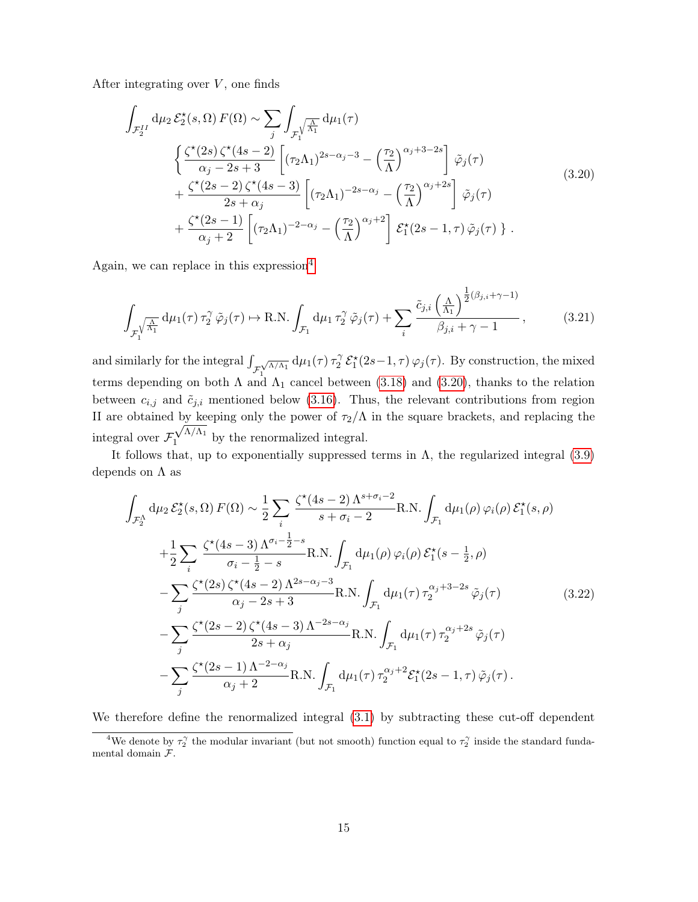After integrating over  $V$ , one finds

<span id="page-15-0"></span>
$$
\int_{\mathcal{F}_{2}^{II}} d\mu_{2} \mathcal{E}_{2}^{\star}(s,\Omega) F(\Omega) \sim \sum_{j} \int_{\mathcal{F}_{1}^{\setminus}} d\mu_{1}(\tau)
$$
\n
$$
\begin{aligned}\n&\left\{ \frac{\zeta^{\star}(2s) \zeta^{\star}(4s-2)}{\alpha_{j}-2s+3} \left[ (\tau_{2}\Lambda_{1})^{2s-\alpha_{j}-3} - \left(\frac{\tau_{2}}{\Lambda}\right)^{\alpha_{j}+3-2s} \right] \tilde{\varphi}_{j}(\tau) \right. \\
&\left. + \frac{\zeta^{\star}(2s-2) \zeta^{\star}(4s-3)}{2s+\alpha_{j}} \left[ (\tau_{2}\Lambda_{1})^{-2s-\alpha_{j}} - \left(\frac{\tau_{2}}{\Lambda}\right)^{\alpha_{j}+2s} \right] \tilde{\varphi}_{j}(\tau) \right. \\
&\left. + \frac{\zeta^{\star}(2s-1)}{\alpha_{j}+2} \left[ (\tau_{2}\Lambda_{1})^{-2-\alpha_{j}} - \left(\frac{\tau_{2}}{\Lambda}\right)^{\alpha_{j}+2} \right] \mathcal{E}_{1}^{\star}(2s-1,\tau) \tilde{\varphi}_{j}(\tau) \right\}.\n\end{aligned} \tag{3.20}
$$

Again, we can replace in this expression<sup>[4](#page-0-0)</sup>

$$
\int_{\mathcal{F}_1^{\sqrt{\frac{\Lambda}{\Lambda_1}}}} d\mu_1(\tau) \,\tau_2^{\gamma} \,\tilde{\varphi}_j(\tau) \mapsto \text{R.N.} \int_{\mathcal{F}_1} d\mu_1 \,\tau_2^{\gamma} \,\tilde{\varphi}_j(\tau) + \sum_i \frac{\tilde{c}_{j,i} \left(\frac{\Lambda}{\Lambda_1}\right)^{\frac{1}{2}(\beta_{j,i} + \gamma - 1)}}{\beta_{j,i} + \gamma - 1},\tag{3.21}
$$

and similarly for the integral  $\int_{\mathcal{F}}$  $\int_{1}^{\sqrt{\Lambda/\Lambda_1}} d\mu_1(\tau)\,\tau_2^{\gamma}$  $\frac{C_2}{2} \mathcal{E}_1^{\star}(2s-1,\tau) \varphi_j(\tau)$ . By construction, the mixed terms depending on both  $\Lambda$  and  $\Lambda_1$  cancel between [\(3.18\)](#page-14-0) and [\(3.20\)](#page-15-0), thanks to the relation between  $c_{i,j}$  and  $\tilde{c}_{j,i}$  mentioned below [\(3.16\)](#page-14-1). Thus, the relevant contributions from region II are obtained by keeping only the power of  $\tau_2/\Lambda$  in the square brackets, and replacing the integral over  $\mathcal{F}_1^{\sqrt{\Lambda/\Lambda_1}}$  $\frac{1}{1}$  by the renormalized integral.

It follows that, up to exponentially suppressed terms in  $\Lambda$ , the regularized integral [\(3.9\)](#page-12-0) depends on  $\Lambda$  as

<span id="page-15-1"></span>
$$
\int_{\mathcal{F}_{2}^{\Lambda}} d\mu_{2} \mathcal{E}_{2}^{\star}(s,\Omega) F(\Omega) \sim \frac{1}{2} \sum_{i} \frac{\zeta^{\star}(4s-2) \Lambda^{s+\sigma_{i}-2}}{s+\sigma_{i}-2} \text{R.N.} \int_{\mathcal{F}_{1}} d\mu_{1}(\rho) \varphi_{i}(\rho) \mathcal{E}_{1}^{\star}(s,\rho) \n+ \frac{1}{2} \sum_{i} \frac{\zeta^{\star}(4s-3) \Lambda^{\sigma_{i}-\frac{1}{2}-s}}{\sigma_{i}-\frac{1}{2}-s} \text{R.N.} \int_{\mathcal{F}_{1}} d\mu_{1}(\rho) \varphi_{i}(\rho) \mathcal{E}_{1}^{\star}(s-\frac{1}{2},\rho) \n- \sum_{j} \frac{\zeta^{\star}(2s) \zeta^{\star}(4s-2) \Lambda^{2s-\alpha_{j}-3}}{\alpha_{j}-2s+3} \text{R.N.} \int_{\mathcal{F}_{1}} d\mu_{1}(\tau) \tau_{2}^{\alpha_{j}+3-2s} \tilde{\varphi}_{j}(\tau) \n- \sum_{j} \frac{\zeta^{\star}(2s-2) \zeta^{\star}(4s-3) \Lambda^{-2s-\alpha_{j}}}{2s+\alpha_{j}} \text{R.N.} \int_{\mathcal{F}_{1}} d\mu_{1}(\tau) \tau_{2}^{\alpha_{j}+2s} \tilde{\varphi}_{j}(\tau) \n- \sum_{j} \frac{\zeta^{\star}(2s-1) \Lambda^{-2-\alpha_{j}}}{\alpha_{j}+2} \text{R.N.} \int_{\mathcal{F}_{1}} d\mu_{1}(\tau) \tau_{2}^{\alpha_{j}+2} \mathcal{E}_{1}^{\star}(2s-1,\tau) \tilde{\varphi}_{j}(\tau).
$$
\n(3.22)

We therefore define the renormalized integral [\(3.1\)](#page-10-2) by subtracting these cut-off dependent

<sup>&</sup>lt;sup>4</sup>We denote by  $\tau_2^{\gamma}$  the modular invariant (but not smooth) function equal to  $\tau_2^{\gamma}$  inside the standard fundamental domain F.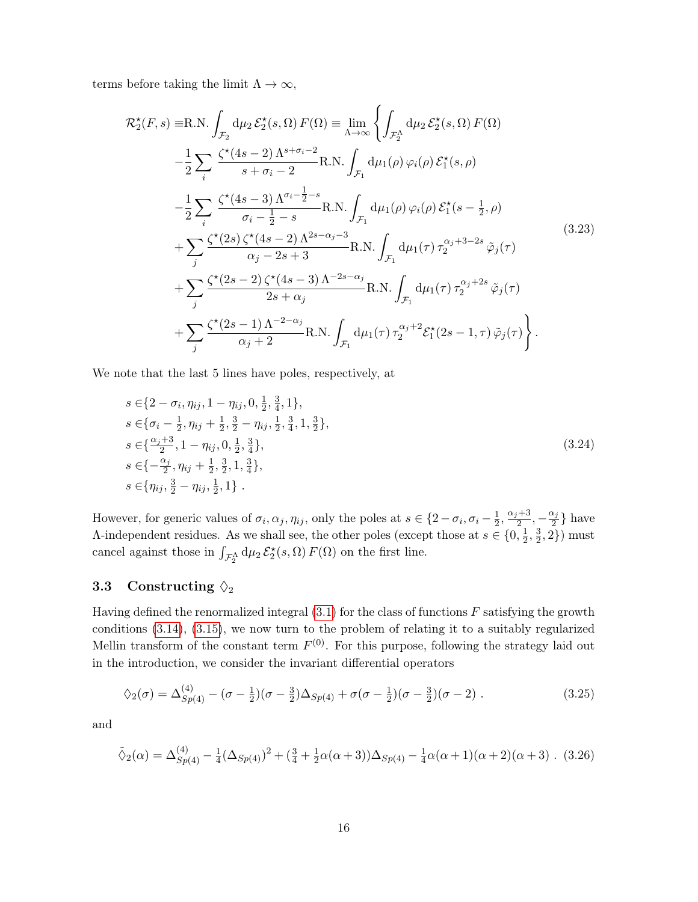terms before taking the limit  $\Lambda \to \infty$ ,

<span id="page-16-1"></span>
$$
\mathcal{R}_{2}^{\star}(F,s) \equiv \text{R.N.} \int_{\mathcal{F}_{2}} d\mu_{2} \mathcal{E}_{2}^{\star}(s,\Omega) F(\Omega) \equiv \lim_{\Lambda \to \infty} \left\{ \int_{\mathcal{F}_{2}^{\Lambda}} d\mu_{2} \mathcal{E}_{2}^{\star}(s,\Omega) F(\Omega) \right.\left. - \frac{1}{2} \sum_{i} \frac{\zeta^{\star}(4s-2) \Lambda^{s+\sigma_{i}-2}}{s+\sigma_{i}-2} \text{R.N.} \int_{\mathcal{F}_{1}} d\mu_{1}(\rho) \varphi_{i}(\rho) \mathcal{E}_{1}^{\star}(s,\rho) \right.\left. - \frac{1}{2} \sum_{i} \frac{\zeta^{\star}(4s-3) \Lambda^{\sigma_{i}-\frac{1}{2}-s}}{\sigma_{i}-\frac{1}{2}-s} \text{R.N.} \int_{\mathcal{F}_{1}} d\mu_{1}(\rho) \varphi_{i}(\rho) \mathcal{E}_{1}^{\star}(s-\frac{1}{2},\rho) \right.\left. + \sum_{j} \frac{\zeta^{\star}(2s) \zeta^{\star}(4s-2) \Lambda^{2s-\alpha_{j}-3}}{\alpha_{j}-2s+3} \text{R.N.} \int_{\mathcal{F}_{1}} d\mu_{1}(\tau) \tau_{2}^{\alpha_{j}+3-2s} \tilde{\varphi}_{j}(\tau) \right.\left. + \sum_{j} \frac{\zeta^{\star}(2s-2) \zeta^{\star}(4s-3) \Lambda^{-2s-\alpha_{j}}}{2s+\alpha_{j}} \text{R.N.} \int_{\mathcal{F}_{1}} d\mu_{1}(\tau) \tau_{2}^{\alpha_{j}+2s} \tilde{\varphi}_{j}(\tau) \right.\left. + \sum_{j} \frac{\zeta^{\star}(2s-1) \Lambda^{-2-\alpha_{j}}}{\alpha_{j}+2} \text{R.N.} \int_{\mathcal{F}_{1}} d\mu_{1}(\tau) \tau_{2}^{\alpha_{j}+2} \mathcal{E}_{1}^{\star}(2s-1, \tau) \tilde{\varphi}_{j}(\tau) \right). \tag{3.23}
$$

We note that the last 5 lines have poles, respectively, at

$$
s \in \{2 - \sigma_i, \eta_{ij}, 1 - \eta_{ij}, 0, \frac{1}{2}, \frac{3}{4}, 1\},
$$
  
\n
$$
s \in \{\sigma_i - \frac{1}{2}, \eta_{ij} + \frac{1}{2}, \frac{3}{2} - \eta_{ij}, \frac{1}{2}, \frac{3}{4}, 1, \frac{3}{2}\},
$$
  
\n
$$
s \in \{\frac{\alpha_j + 3}{2}, 1 - \eta_{ij}, 0, \frac{1}{2}, \frac{3}{4}\},
$$
  
\n
$$
s \in \{-\frac{\alpha_j}{2}, \eta_{ij} + \frac{1}{2}, \frac{3}{2}, 1, \frac{3}{4}\},
$$
  
\n
$$
s \in \{\eta_{ij}, \frac{3}{2} - \eta_{ij}, \frac{1}{2}, 1\}.
$$
  
\n(3.24)

However, for generic values of  $\sigma_i, \alpha_j, \eta_{ij}$ , only the poles at  $s \in \{2 - \sigma_i, \sigma_i - \frac{1}{2}\}$  $\frac{1}{2}, \frac{\alpha_j+3}{2}$  $\frac{1}{2} + \frac{3}{2}, -\frac{\alpha_j}{2}$  $\frac{x_j}{2}$  have A-independent residues. As we shall see, the other poles (except those at  $s \in \{0, \frac{1}{2}\}$ )  $\frac{1}{2}, \frac{3}{2}$  $\frac{3}{2}, 2\})$  must cancel against those in  $\int_{\mathcal{F}_2^{\Lambda}} d\mu_2 \mathcal{E}_2^*(s, \Omega) F(\Omega)$  on the first line.

## <span id="page-16-0"></span>3.3 Constructing  $\lozenge_2$

Having defined the renormalized integral  $(3.1)$  for the class of functions F satisfying the growth conditions [\(3.14\)](#page-13-2), [\(3.15\)](#page-13-3), we now turn to the problem of relating it to a suitably regularized Mellin transform of the constant term  $F^{(0)}$ . For this purpose, following the strategy laid out in the introduction, we consider the invariant differential operators

<span id="page-16-2"></span>
$$
\diamondsuit_2(\sigma) = \Delta_{Sp(4)}^{(4)} - (\sigma - \frac{1}{2})(\sigma - \frac{3}{2})\Delta_{Sp(4)} + \sigma(\sigma - \frac{1}{2})(\sigma - \frac{3}{2})(\sigma - 2) . \tag{3.25}
$$

and

$$
\tilde{\diamond}_2(\alpha) = \Delta_{Sp(4)}^{(4)} - \frac{1}{4} (\Delta_{Sp(4)})^2 + (\frac{3}{4} + \frac{1}{2}\alpha(\alpha + 3))\Delta_{Sp(4)} - \frac{1}{4}\alpha(\alpha + 1)(\alpha + 2)(\alpha + 3). \tag{3.26}
$$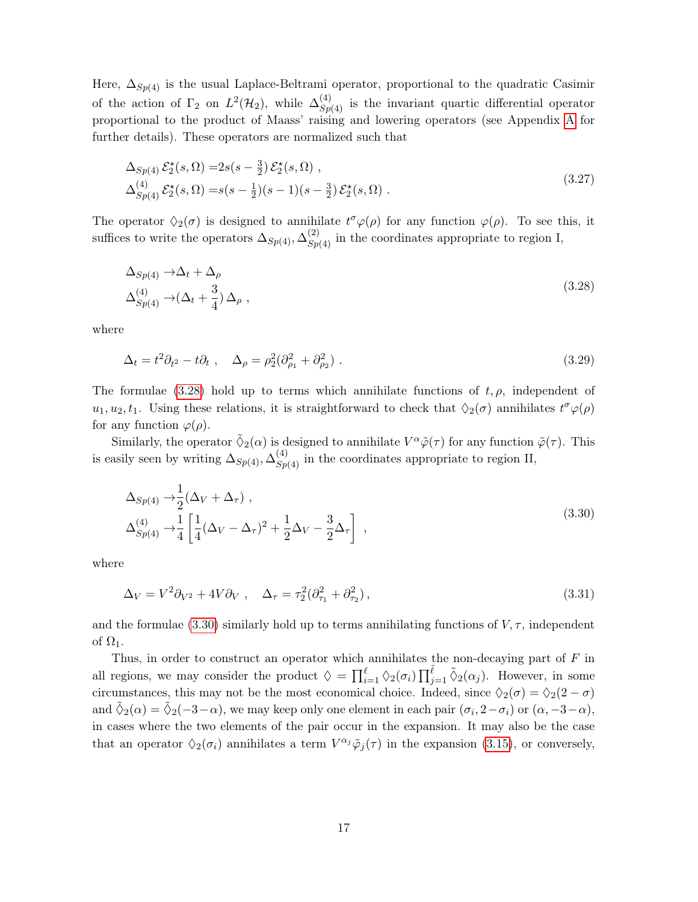Here,  $\Delta_{Sp(4)}$  is the usual Laplace-Beltrami operator, proportional to the quadratic Casimir of the action of  $\Gamma_2$  on  $L^2(\mathcal{H}_2)$ , while  $\Delta_{Sp(4)}^{(4)}$  is the invariant quartic differential operator proportional to the product of Maass' raising and lowering operators (see Appendix [A](#page-42-0) for further details). These operators are normalized such that

<span id="page-17-2"></span>
$$
\Delta_{Sp(4)} \mathcal{E}_2^{\star}(s, \Omega) = 2s(s - \frac{3}{2}) \mathcal{E}_2^{\star}(s, \Omega) ,
$$
  
\n
$$
\Delta_{Sp(4)}^{(4)} \mathcal{E}_2^{\star}(s, \Omega) = s(s - \frac{1}{2})(s - 1)(s - \frac{3}{2}) \mathcal{E}_2^{\star}(s, \Omega) .
$$
\n(3.27)

The operator  $\Diamond_2(\sigma)$  is designed to annihilate  $t^{\sigma}\varphi(\rho)$  for any function  $\varphi(\rho)$ . To see this, it suffices to write the operators  $\Delta_{Sp(4)}, \Delta_{Sp(4)}^{(2)}$  in the coordinates appropriate to region I,

<span id="page-17-0"></span>
$$
\Delta_{Sp(4)} \to \Delta_t + \Delta_\rho
$$
  
\n
$$
\Delta_{Sp(4)}^{(4)} \to (\Delta_t + \frac{3}{4}) \Delta_\rho ,
$$
\n(3.28)

where

$$
\Delta_t = t^2 \partial_{t^2} - t \partial_t , \quad \Delta_\rho = \rho_2^2 (\partial_{\rho_1}^2 + \partial_{\rho_2}^2) . \tag{3.29}
$$

The formulae [\(3.28\)](#page-17-0) hold up to terms which annihilate functions of  $t, \rho$ , independent of  $u_1, u_2, t_1$ . Using these relations, it is straightforward to check that  $\Diamond_2(\sigma)$  annihilates  $t^{\sigma}\varphi(\rho)$ for any function  $\varphi(\rho)$ .

Similarly, the operator  $\tilde{\lozenge}_2(\alpha)$  is designed to annihilate  $V^{\alpha}\tilde{\varphi}(\tau)$  for any function  $\tilde{\varphi}(\tau)$ . This is easily seen by writing  $\Delta_{Sp(4)}$ ,  $\Delta_{Sp(4)}^{(4)}$  in the coordinates appropriate to region II,

<span id="page-17-1"></span>
$$
\Delta_{Sp(4)} \rightarrow \frac{1}{2} (\Delta_V + \Delta_\tau) ,
$$
\n
$$
\Delta_{Sp(4)}^{(4)} \rightarrow \frac{1}{4} \left[ \frac{1}{4} (\Delta_V - \Delta_\tau)^2 + \frac{1}{2} \Delta_V - \frac{3}{2} \Delta_\tau \right] ,
$$
\n(3.30)

where

$$
\Delta_V = V^2 \partial_{V^2} + 4V \partial_V , \quad \Delta_\tau = \tau_2^2 (\partial_{\tau_1}^2 + \partial_{\tau_2}^2) , \tag{3.31}
$$

and the formulae [\(3.30\)](#page-17-1) similarly hold up to terms annihilating functions of  $V, \tau$ , independent of  $\Omega_1$ .

Thus, in order to construct an operator which annihilates the non-decaying part of  $F$  in all regions, we may consider the product  $\Diamond = \prod_{i=1}^{\ell} \Diamond_2(\sigma_i) \prod_{j=1}^{\tilde{\ell}} \tilde{\Diamond}_2(\alpha_j)$ . However, in some circumstances, this may not be the most economical choice. Indeed, since  $\Diamond_2(\sigma) = \Diamond_2(2 - \sigma)$ and  $\tilde{\Diamond}_2(\alpha) = \tilde{\Diamond}_2(-3-\alpha)$ , we may keep only one element in each pair  $(\sigma_i, 2-\sigma_i)$  or  $(\alpha, -3-\alpha)$ , in cases where the two elements of the pair occur in the expansion. It may also be the case that an operator  $\Diamond_2(\sigma_i)$  annihilates a term  $V^{\alpha_j}\tilde{\varphi}_j(\tau)$  in the expansion [\(3.15\)](#page-13-3), or conversely,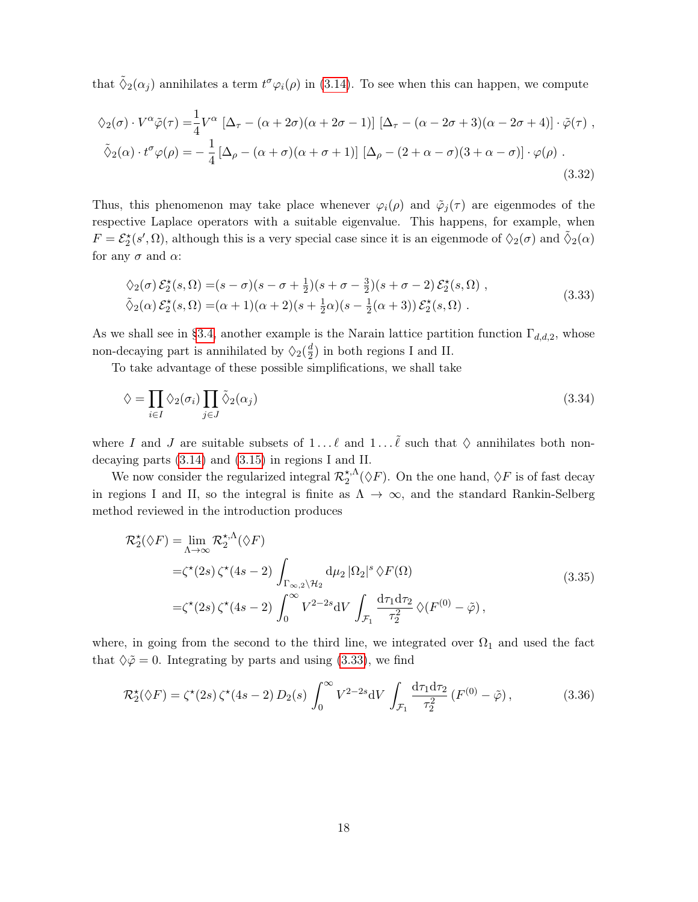that  $\tilde{\Diamond}_2(\alpha_j)$  annihilates a term  $t^{\sigma}\varphi_i(\rho)$  in [\(3.14\)](#page-13-2). To see when this can happen, we compute

$$
\diamondsuit_2(\sigma) \cdot V^{\alpha} \tilde{\varphi}(\tau) = \frac{1}{4} V^{\alpha} \left[ \Delta_{\tau} - (\alpha + 2\sigma)(\alpha + 2\sigma - 1) \right] \left[ \Delta_{\tau} - (\alpha - 2\sigma + 3)(\alpha - 2\sigma + 4) \right] \cdot \tilde{\varphi}(\tau) ,
$$
  

$$
\tilde{\diamondsuit}_2(\alpha) \cdot t^{\sigma} \varphi(\rho) = -\frac{1}{4} \left[ \Delta_{\rho} - (\alpha + \sigma)(\alpha + \sigma + 1) \right] \left[ \Delta_{\rho} - (2 + \alpha - \sigma)(3 + \alpha - \sigma) \right] \cdot \varphi(\rho) .
$$
  
(3.32)

Thus, this phenomenon may take place whenever  $\varphi_i(\rho)$  and  $\tilde{\varphi}_j(\tau)$  are eigenmodes of the respective Laplace operators with a suitable eigenvalue. This happens, for example, when  $F = \mathcal{E}_2^{\star}(s', \Omega)$ , although this is a very special case since it is an eigenmode of  $\Diamond_2(\sigma)$  and  $\tilde{\Diamond}_2(\alpha)$ for any  $\sigma$  and  $\alpha$ :

<span id="page-18-0"></span>
$$
\begin{aligned}\n\lozenge_2(\sigma) \, \mathcal{E}_2^{\star}(s, \Omega) &= (s - \sigma)(s - \sigma + \frac{1}{2})(s + \sigma - \frac{3}{2})(s + \sigma - 2) \, \mathcal{E}_2^{\star}(s, \Omega) \;, \\
\tilde{\lozenge}_2(\alpha) \, \mathcal{E}_2^{\star}(s, \Omega) &= (\alpha + 1)(\alpha + 2)(s + \frac{1}{2}\alpha)(s - \frac{1}{2}(\alpha + 3)) \, \mathcal{E}_2^{\star}(s, \Omega) \;.\n\end{aligned}\n\tag{3.33}
$$

As we shall see in [§3.4,](#page-21-0) another example is the Narain lattice partition function  $\Gamma_{d,d,2}$ , whose non-decaying part is annihilated by  $\Diamond_2(\frac{d}{2})$  $\frac{d}{2}$ ) in both regions I and II.

To take advantage of these possible simplifications, we shall take

<span id="page-18-1"></span>
$$
\lozenge = \prod_{i \in I} \lozenge_2(\sigma_i) \prod_{j \in J} \tilde{\lozenge}_2(\alpha_j) \tag{3.34}
$$

where I and J are suitable subsets of  $1 \dots \ell$  and  $1 \dots \tilde{\ell}$  such that  $\diamond$  annihilates both nondecaying parts [\(3.14\)](#page-13-2) and [\(3.15\)](#page-13-3) in regions I and II.

We now consider the regularized integral  $\mathcal{R}_2^{*,\Lambda}$  $\chi_2^{\star,\Lambda}(\Diamond F)$ . On the one hand,  $\Diamond F$  is of fast decay in regions I and II, so the integral is finite as  $\Lambda \to \infty$ , and the standard Rankin-Selberg method reviewed in the introduction produces

$$
\mathcal{R}_2^{\star}(\Diamond F) = \lim_{\Lambda \to \infty} \mathcal{R}_2^{\star,\Lambda}(\Diamond F)
$$
  
= $\zeta^{\star}(2s) \zeta^{\star}(4s-2) \int_{\Gamma_{\infty,2} \setminus \mathcal{H}_2} d\mu_2 |\Omega_2|^s \Diamond F(\Omega)$   
= $\zeta^{\star}(2s) \zeta^{\star}(4s-2) \int_0^{\infty} V^{2-2s} dV \int_{\mathcal{F}_1} \frac{d\tau_1 d\tau_2}{\tau_2^2} \Diamond (F^{(0)} - \tilde{\varphi}),$ \n(3.35)

where, in going from the second to the third line, we integrated over  $\Omega_1$  and used the fact that  $\Diamond \tilde{\varphi} = 0$ . Integrating by parts and using [\(3.33\)](#page-18-0), we find

$$
\mathcal{R}_2^{\star}(\Diamond F) = \zeta^{\star}(2s) \zeta^{\star}(4s-2) D_2(s) \int_0^{\infty} V^{2-2s} dV \int_{\mathcal{F}_1} \frac{d\tau_1 d\tau_2}{\tau_2^2} (F^{(0)} - \tilde{\varphi}), \tag{3.36}
$$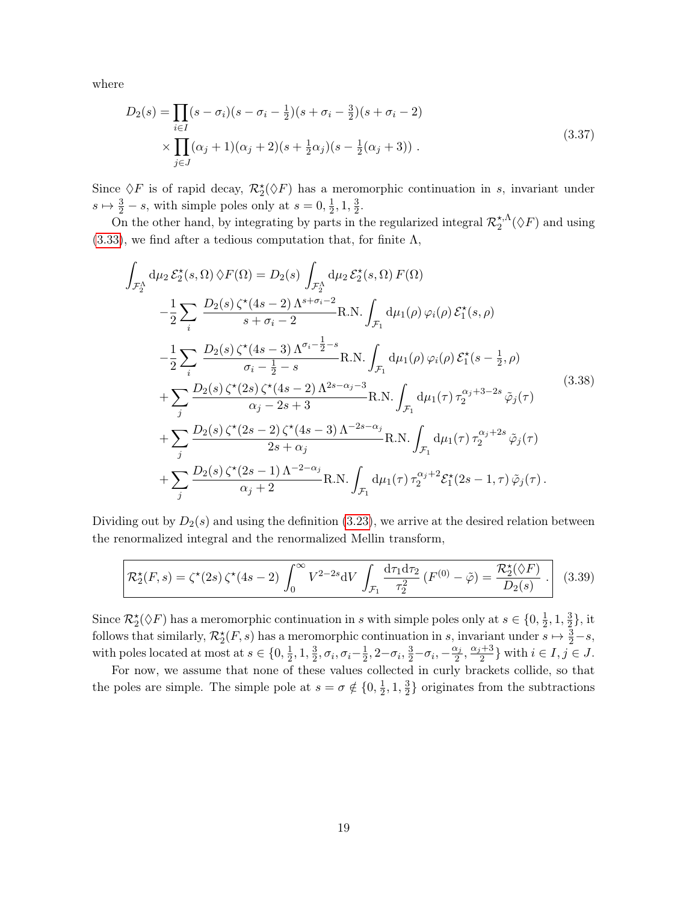where

$$
D_2(s) = \prod_{i \in I} (s - \sigma_i)(s - \sigma_i - \frac{1}{2})(s + \sigma_i - \frac{3}{2})(s + \sigma_i - 2)
$$
  
\$\times \prod\_{j \in J} (\alpha\_j + 1)(\alpha\_j + 2)(s + \frac{1}{2}\alpha\_j)(s - \frac{1}{2}(\alpha\_j + 3))\$ (3.37)

Since  $\Diamond F$  is of rapid decay,  $\mathcal{R}_2^{\star}(\Diamond F)$  has a meromorphic continuation in s, invariant under  $s \mapsto \frac{3}{2} - s$ , with simple poles only at  $s = 0, \frac{1}{2}$  $\frac{1}{2}$ , 1,  $\frac{3}{2}$  $\frac{3}{2}$ .

On the other hand, by integrating by parts in the regularized integral  $\mathcal{R}_2^{*,\Lambda}$  $_{2}^{\star,\Lambda}(\Diamond F)$  and using  $(3.33)$ , we find after a tedious computation that, for finite  $\Lambda$ ,

$$
\int_{\mathcal{F}_{2}^{\Lambda}} d\mu_{2} \mathcal{E}_{2}^{\star}(s, \Omega) \, \hat{\vee} F(\Omega) = D_{2}(s) \int_{\mathcal{F}_{2}^{\Lambda}} d\mu_{2} \mathcal{E}_{2}^{\star}(s, \Omega) F(\Omega) \n- \frac{1}{2} \sum_{i} \frac{D_{2}(s) \zeta^{\star}(4s-2) \Lambda^{s+\sigma_{i}-2}}{s+\sigma_{i}-2} \text{R.N.} \int_{\mathcal{F}_{1}} d\mu_{1}(\rho) \, \varphi_{i}(\rho) \mathcal{E}_{1}^{\star}(s, \rho) \n- \frac{1}{2} \sum_{i} \frac{D_{2}(s) \zeta^{\star}(4s-3) \Lambda^{\sigma_{i}-\frac{1}{2}-s}}{\sigma_{i}-\frac{1}{2}-s} \text{R.N.} \int_{\mathcal{F}_{1}} d\mu_{1}(\rho) \, \varphi_{i}(\rho) \mathcal{E}_{1}^{\star}(s-\frac{1}{2}, \rho) \n+ \sum_{j} \frac{D_{2}(s) \zeta^{\star}(2s) \zeta^{\star}(4s-2) \Lambda^{2s-\alpha_{j}-3}}{\alpha_{j}-2s+3} \text{R.N.} \int_{\mathcal{F}_{1}} d\mu_{1}(\tau) \, \tau_{2}^{\alpha_{j}+3-2s} \tilde{\varphi}_{j}(\tau) \n+ \sum_{j} \frac{D_{2}(s) \zeta^{\star}(2s-2) \zeta^{\star}(4s-3) \Lambda^{-2s-\alpha_{j}}}{2s+\alpha_{j}} \text{R.N.} \int_{\mathcal{F}_{1}} d\mu_{1}(\tau) \, \tau_{2}^{\alpha_{j}+2s} \tilde{\varphi}_{j}(\tau) \n+ \sum_{j} \frac{D_{2}(s) \zeta^{\star}(2s-1) \Lambda^{-2-\alpha_{j}}}{\alpha_{j}+2} \text{R.N.} \int_{\mathcal{F}_{1}} d\mu_{1}(\tau) \, \tau_{2}^{\alpha_{j}+2} \mathcal{E}_{1}^{\star}(2s-1, \tau) \, \tilde{\varphi}_{j}(\tau).
$$
\n
$$
(3.38)
$$

Dividing out by  $D_2(s)$  and using the definition [\(3.23\)](#page-16-1), we arrive at the desired relation between the renormalized integral and the renormalized Mellin transform,

<span id="page-19-0"></span>
$$
\mathcal{R}_2^{\star}(F,s) = \zeta^{\star}(2s)\,\zeta^{\star}(4s-2)\,\int_0^{\infty} V^{2-2s}\mathrm{d}V\,\int_{\mathcal{F}_1} \frac{\mathrm{d}\tau_1\mathrm{d}\tau_2}{\tau_2^2}\,(F^{(0)}-\tilde{\varphi}) = \frac{\mathcal{R}_2^{\star}(\Diamond F)}{D_2(s)}\,\,. \tag{3.39}
$$

Since  $\mathcal{R}_2^{\star}(\Diamond F)$  has a meromorphic continuation in s with simple poles only at  $s \in \{0, \frac{1}{2}\}$  $\frac{1}{2}$ , 1,  $\frac{3}{2}$  $\frac{3}{2}\},$  it follows that similarly,  $\mathcal{R}_2^{\star}(F, s)$  has a meromorphic continuation in s, invariant under  $s \mapsto \frac{3}{2} - s$ , with poles located at most at  $s \in \{0, \frac{1}{2}\}$  $\frac{1}{2}$ , 1,  $\frac{3}{2}$  $\frac{3}{2}, \sigma_i, \sigma_i-\frac{1}{2}$  $\frac{1}{2}$ , 2- $\sigma_i$ ,  $\frac{3}{2}$ - $\sigma_i$ ,  $-\frac{\alpha_j}{2}$  $\frac{\alpha_j}{2}, \frac{\alpha_j+3}{2}$  $\{\frac{i+3}{2}\}\$  with  $i\in I, j\in J$ .

For now, we assume that none of these values collected in curly brackets collide, so that the poles are simple. The simple pole at  $s = \sigma \notin \{0, \frac{1}{2}\}$  $\frac{1}{2}$ , 1,  $\frac{3}{2}$  $\frac{3}{2}$  originates from the subtractions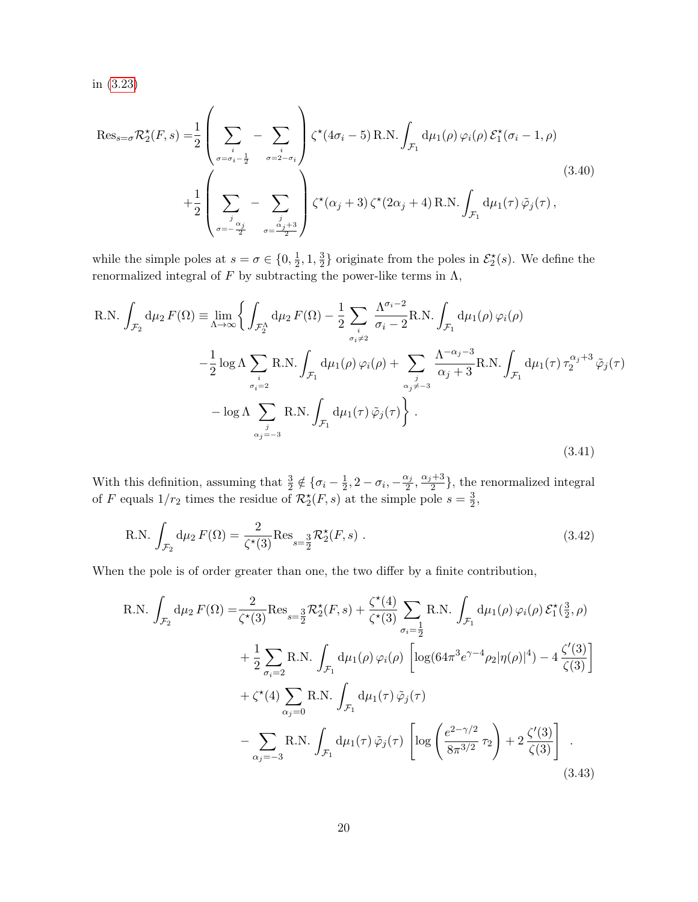in [\(3.23\)](#page-16-1)

$$
\operatorname{Res}_{s=\sigma} \mathcal{R}_{2}^{\star}(F, s) = \frac{1}{2} \left( \sum_{\sigma=\sigma_{i}-\frac{1}{2}} - \sum_{\sigma=2-\sigma_{i}} \right) \zeta^{\star} (4\sigma_{i} - 5) \operatorname{R.N.} \int_{\mathcal{F}_{1}} d\mu_{1}(\rho) \varphi_{i}(\rho) \mathcal{E}_{1}^{\star}(\sigma_{i} - 1, \rho) + \frac{1}{2} \left( \sum_{\sigma=-\frac{\sigma_{i}}{2}} - \sum_{\sigma=\frac{\sigma_{i}+3}{2}} \right) \zeta^{\star} (\alpha_{j} + 3) \zeta^{\star} (2\alpha_{j} + 4) \operatorname{R.N.} \int_{\mathcal{F}_{1}} d\mu_{1}(\tau) \tilde{\varphi}_{j}(\tau),
$$
(3.40)

while the simple poles at  $s = \sigma \in \{0, \frac{1}{2}\}$  $\frac{1}{2}$ , 1,  $\frac{3}{2}$  $\frac{3}{2}$  originate from the poles in  $\mathcal{E}_2^{\star}(s)$ . We define the renormalized integral of F by subtracting the power-like terms in Λ,

R.N. 
$$
\int_{\mathcal{F}_2} d\mu_2 F(\Omega) \equiv \lim_{\Lambda \to \infty} \left\{ \int_{\mathcal{F}_2^{\Lambda}} d\mu_2 F(\Omega) - \frac{1}{2} \sum_{i} \frac{\Lambda^{\sigma_i - 2}}{\sigma_i - 2} R.N. \int_{\mathcal{F}_1} d\mu_1(\rho) \varphi_i(\rho) - \frac{1}{2} \log \Lambda \sum_{i} R.N. \int_{\mathcal{F}_1} d\mu_1(\rho) \varphi_i(\rho) + \sum_{i} \frac{\Lambda^{-\alpha_i - 3}}{\alpha_i + 3} R.N. \int_{\mathcal{F}_1} d\mu_1(\tau) \tau_2^{\alpha_i + 3} \tilde{\varphi}_j(\tau) - \log \Lambda \sum_{i} R.N. \int_{\mathcal{F}_1} d\mu_1(\tau) \tilde{\varphi}_i(\tau) \right\}.
$$
\n(3.41)

With this definition, assuming that  $\frac{3}{2} \notin {\sigma_i - \frac{1}{2}}$  $\frac{1}{2}$ , 2 –  $\sigma_i$ , – $\frac{\alpha_j}{2}$  $\frac{\alpha_j}{2}, \frac{\alpha_j+3}{2}$  $\frac{1}{2}$ , the renormalized integral of F equals  $1/r_2$  times the residue of  $\mathcal{R}_2^{\star}(F, s)$  at the simple pole  $s = \frac{3}{2}$  $\frac{3}{2}$ 

R.N. 
$$
\int_{\mathcal{F}_2} d\mu_2 F(\Omega) = \frac{2}{\zeta^*(3)} Res_{s=\frac{3}{2}} \mathcal{R}_2^*(F, s) .
$$
 (3.42)

When the pole is of order greater than one, the two differ by a finite contribution,

R.N. 
$$
\int_{\mathcal{F}_2} d\mu_2 F(\Omega) = \frac{2}{\zeta^*(3)} Res_{s=\frac{3}{2}} \mathcal{R}_2^*(F, s) + \frac{\zeta^*(4)}{\zeta^*(3)} \sum_{\sigma_i=\frac{1}{2}} R.N. \int_{\mathcal{F}_1} d\mu_1(\rho) \varphi_i(\rho) \mathcal{E}_1^*(\frac{3}{2}, \rho) + \frac{1}{2} \sum_{\sigma_i=2} R.N. \int_{\mathcal{F}_1} d\mu_1(\rho) \varphi_i(\rho) \left[ \log(64\pi^3 e^{\gamma-4} \rho_2 |\eta(\rho)|^4) - 4 \frac{\zeta'(3)}{\zeta(3)} \right] + \zeta^*(4) \sum_{\alpha_j=0} R.N. \int_{\mathcal{F}_1} d\mu_1(\tau) \tilde{\varphi}_j(\tau) - \sum_{\alpha_j=-3} R.N. \int_{\mathcal{F}_1} d\mu_1(\tau) \tilde{\varphi}_j(\tau) \left[ \log \left( \frac{e^{2-\gamma/2}}{8\pi^{3/2}} \tau_2 \right) + 2 \frac{\zeta'(3)}{\zeta(3)} \right] .
$$
(3.43)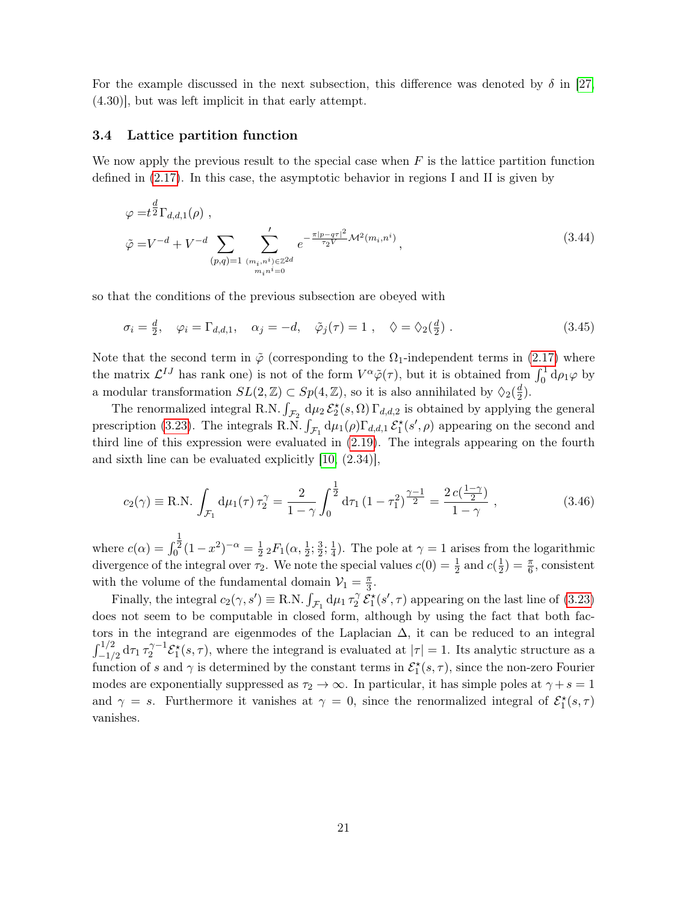For the example discussed in the next subsection, this difference was denoted by  $\delta$  in [\[27,](#page-51-7) (4.30)], but was left implicit in that early attempt.

#### <span id="page-21-0"></span>3.4 Lattice partition function

We now apply the previous result to the special case when  $F$  is the lattice partition function defined in [\(2.17\)](#page-8-2). In this case, the asymptotic behavior in regions I and II is given by

$$
\varphi = t^{\frac{d}{2}} \Gamma_{d,d,1}(\rho) ,
$$
  
\n
$$
\tilde{\varphi} = V^{-d} + V^{-d} \sum_{(p,q)=1} \sum_{\substack{(m_i, n^i) \in \mathbb{Z}^{2d} \\ m_i n^i = 0}}' e^{-\frac{\pi |p - q\tau|^2}{\tau_2 V} \mathcal{M}^2(m_i, n^i)},
$$
\n(3.44)

so that the conditions of the previous subsection are obeyed with

$$
\sigma_i = \frac{d}{2}, \quad \varphi_i = \Gamma_{d,d,1}, \quad \alpha_j = -d, \quad \tilde{\varphi}_j(\tau) = 1 \;, \quad \varphi = \varphi_2(\frac{d}{2}) \;.
$$
\n
$$
(3.45)
$$

Note that the second term in  $\tilde{\varphi}$  (corresponding to the  $\Omega_1$ -independent terms in [\(2.17\)](#page-8-2) where the matrix  $\mathcal{L}^{IJ}$  has rank one) is not of the form  $V^{\alpha}\tilde{\varphi}(\tau)$ , but it is obtained from  $\int_0^1 d\rho_1\varphi$  by a modular transformation  $SL(2, \mathbb{Z}) \subset Sp(4, \mathbb{Z})$ , so it is also annihilated by  $\Diamond_2(\frac{d}{2})$  $\frac{d}{2}$ .

The renormalized integral R.N.  $\int_{\mathcal{F}_2} d\mu_2 \mathcal{E}_2^*(s, \Omega) \Gamma_{d,d,2}$  is obtained by applying the general prescription [\(3.23\)](#page-16-1). The integrals R.N.  $\int_{\mathcal{F}_1} d\mu_1(\rho) \Gamma_{d,d,1} \mathcal{E}_1^{\star}(s', \rho)$  appearing on the second and third line of this expression were evaluated in [\(2.19\)](#page-9-1). The integrals appearing on the fourth and sixth line can be evaluated explicitly [\[10,](#page-50-7) (2.34)],

<span id="page-21-1"></span>
$$
c_2(\gamma) \equiv \text{R.N.} \int_{\mathcal{F}_1} d\mu_1(\tau) \,\tau_2^{\gamma} = \frac{2}{1-\gamma} \int_0^{\frac{1}{2}} d\tau_1 \,(1-\tau_1^2)^{\frac{\gamma-1}{2}} = \frac{2 \, c(\frac{1-\gamma}{2})}{1-\gamma} \,,\tag{3.46}
$$

where  $c(\alpha) = \int$ 1  $\sum_{0}^{\cdot} (1 - x^2)^{-\alpha} = \frac{1}{2}$  $\frac{1}{2}$   $_2F_1(\alpha, \frac{1}{2}; \frac{3}{2})$  $\frac{3}{2}$ ;  $\frac{1}{4}$  $\frac{1}{4}$ ). The pole at  $\gamma = 1$  arises from the logarithmic divergence of the integral over  $\tau_2$ . We note the special values  $c(0) = \frac{1}{2}$  and  $c(\frac{1}{2})$  $(\frac{1}{2}) = \frac{\pi}{6}$ , consistent with the volume of the fundamental domain  $\mathcal{V}_1 = \frac{\pi}{3}$  $\frac{\pi}{3}$ .

Finally, the integral  $c_2(\gamma, s') \equiv \text{R.N.} \int_{\mathcal{F}_1} d\mu_1 \tau_2^{\gamma}$  $2^{\gamma} \mathcal{E}_1^{\star}(s', \tau)$  appearing on the last line of [\(3.23\)](#page-16-1) does not seem to be computable in closed form, although by using the fact that both factors in the integrand are eigenmodes of the Laplacian  $\Delta$ , it can be reduced to an integral  $\int_{-1/2}^{1/2} {\rm d} \tau_1 \, \tau_2^{\gamma-1}$  $2^{\gamma-1}\mathcal{E}_1^*(s,\tau)$ , where the integrand is evaluated at  $|\tau|=1$ . Its analytic structure as a function of s and  $\gamma$  is determined by the constant terms in  $\mathcal{E}_1^*(s,\tau)$ , since the non-zero Fourier modes are exponentially suppressed as  $\tau_2 \to \infty$ . In particular, it has simple poles at  $\gamma + s = 1$ and  $\gamma = s$ . Furthermore it vanishes at  $\gamma = 0$ , since the renormalized integral of  $\mathcal{E}_1^*(s, \tau)$ vanishes.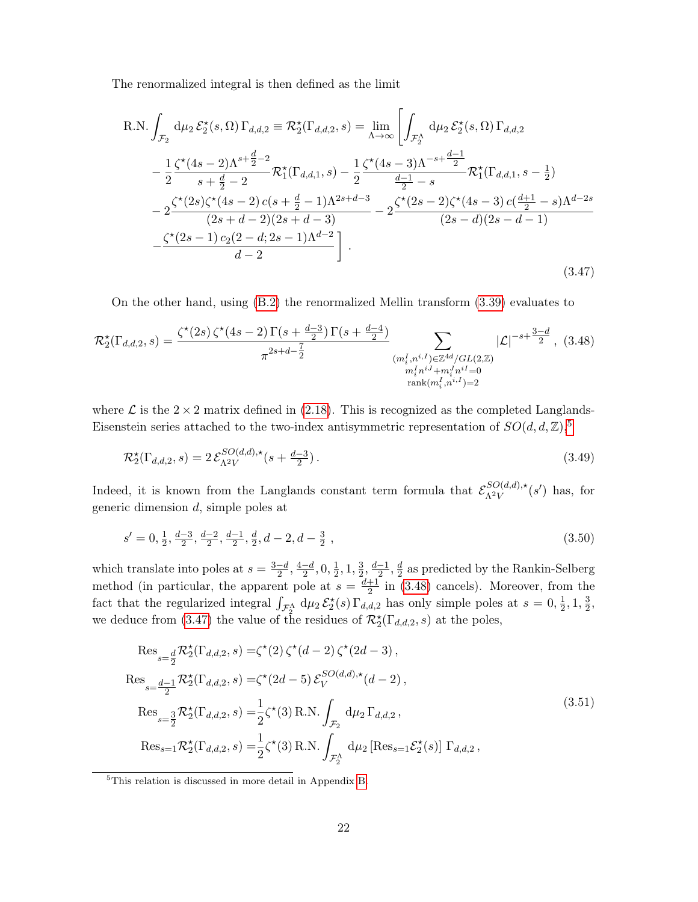The renormalized integral is then defined as the limit

<span id="page-22-1"></span>R.N. 
$$
\int_{\mathcal{F}_2} d\mu_2 \mathcal{E}_2^{\star}(s, \Omega) \Gamma_{d,d,2} \equiv \mathcal{R}_2^{\star}(\Gamma_{d,d,2}, s) = \lim_{\Lambda \to \infty} \left[ \int_{\mathcal{F}_2^{\Lambda}} d\mu_2 \mathcal{E}_2^{\star}(s, \Omega) \Gamma_{d,d,2} \right]
$$

$$
- \frac{1}{2} \frac{\zeta^{\star}(4s - 2)\Lambda^{s + \frac{d}{2} - 2}}{s + \frac{d}{2} - 2} \mathcal{R}_1^{\star}(\Gamma_{d,d,1}, s) - \frac{1}{2} \frac{\zeta^{\star}(4s - 3)\Lambda^{-s + \frac{d - 1}{2}}}{\frac{d - 1}{2} - s} \mathcal{R}_1^{\star}(\Gamma_{d,d,1}, s - \frac{1}{2})
$$

$$
- 2 \frac{\zeta^{\star}(2s)\zeta^{\star}(4s - 2) c(s + \frac{d}{2} - 1)\Lambda^{2s + d - 3}}{(2s + d - 2)(2s + d - 3)} - 2 \frac{\zeta^{\star}(2s - 2)\zeta^{\star}(4s - 3) c(\frac{d + 1}{2} - s)\Lambda^{d - 2s}}{(2s - d)(2s - d - 1)}
$$

$$
- \frac{\zeta^{\star}(2s - 1)c_2(2 - d; 2s - 1)\Lambda^{d - 2}}{d - 2}.
$$
(3.47)

<span id="page-22-0"></span>On the other hand, using [\(B.2\)](#page-46-1) the renormalized Mellin transform [\(3.39\)](#page-19-0) evaluates to

$$
\mathcal{R}_{2}^{\star}(\Gamma_{d,d,2},s) = \frac{\zeta^{\star}(2s)\,\zeta^{\star}(4s-2)\,\Gamma(s+\frac{d-3}{2})\,\Gamma(s+\frac{d-4}{2})}{\pi^{2s+d-\frac{7}{2}}}\sum_{\substack{(m_{i}^{I},n^{i,I})\in\mathbb{Z}^{4d}/GL(2,\mathbb{Z})\\m_{i}^{I}n^{iJ}+m_{i}^{J}n^{iI}=0\\rank(m_{i}^{I},n^{i,I})=2}}|\mathcal{L}|^{-s+\frac{3-d}{2}},\tag{3.48}
$$

where  $\mathcal L$  is the  $2 \times 2$  matrix defined in [\(2.18\)](#page-8-3). This is recognized as the completed Langlands-Eisenstein series attached to the two-index antisymmetric representation of  $SO(d, d, \mathbb{Z})$ ,<sup>[5](#page-0-0)</sup>

$$
\mathcal{R}_2^{\star}(\Gamma_{d,d,2}, s) = 2 \mathcal{E}_{\Lambda^2 V}^{SO(d,d), \star} (s + \frac{d-3}{2}). \tag{3.49}
$$

Indeed, it is known from the Langlands constant term formula that  $\mathcal{E}_{\Lambda 2V}^{SO(d,d),\star}$  $\frac{SO(d,d),\star}{\Lambda^2 V}(s')$  has, for generic dimension d, simple poles at

<span id="page-22-2"></span>
$$
s' = 0, \frac{1}{2}, \frac{d-3}{2}, \frac{d-2}{2}, \frac{d-1}{2}, \frac{d}{2}, d-2, d-\frac{3}{2}, \qquad (3.50)
$$

which translate into poles at  $s = \frac{3-d}{2}$  $\frac{-d}{2}, \frac{4-d}{2}$  $\frac{-d}{2}, 0, \frac{1}{2}$  $\frac{1}{2}$ , 1,  $\frac{3}{2}$  $\frac{3}{2}, \frac{d-1}{2}$  $\frac{-1}{2}$ ,  $\frac{d}{2}$  $\frac{d}{2}$  as predicted by the Rankin-Selberg method (in particular, the apparent pole at  $s = \frac{d+1}{2}$  $\frac{+1}{2}$  in [\(3.48\)](#page-22-0) cancels). Moreover, from the fact that the regularized integral  $\int_{\mathcal{F}_2^{\Lambda}} d\mu_2 \mathcal{E}_2^{\star}(s) \Gamma_{d,d,2}$  has only simple poles at  $s = 0, \frac{1}{2}$  $\frac{1}{2}$ , 1,  $\frac{3}{2}$  $\frac{3}{2}$ we deduce from [\(3.47\)](#page-22-1) the value of the residues of  $\mathcal{R}_2^{\star}(\Gamma_{d,d,2},s)$  at the poles,

<span id="page-22-3"></span>
$$
\operatorname{Res}_{s=\frac{d}{2}} \mathcal{R}_{2}^{\star}(\Gamma_{d,d,2}, s) = \zeta^{\star}(2) \zeta^{\star}(d-2) \zeta^{\star}(2d-3),
$$
\n
$$
\operatorname{Res}_{s=\frac{d-1}{2}} \mathcal{R}_{2}^{\star}(\Gamma_{d,d,2}, s) = \zeta^{\star}(2d-5) \mathcal{E}_{V}^{SO(d,d),\star}(d-2),
$$
\n
$$
\operatorname{Res}_{s=\frac{3}{2}} \mathcal{R}_{2}^{\star}(\Gamma_{d,d,2}, s) = \frac{1}{2} \zeta^{\star}(3) \operatorname{R.N.} \int_{\mathcal{F}_{2}} d\mu_{2} \Gamma_{d,d,2},
$$
\n
$$
\operatorname{Res}_{s=1} \mathcal{R}_{2}^{\star}(\Gamma_{d,d,2}, s) = \frac{1}{2} \zeta^{\star}(3) \operatorname{R.N.} \int_{\mathcal{F}_{2}^{\Lambda}} d\mu_{2} \left[ \operatorname{Res}_{s=1} \mathcal{E}_{2}^{\star}(s) \right] \Gamma_{d,d,2},
$$
\n(3.51)

<sup>5</sup>This relation is discussed in more detail in Appendix [B.](#page-46-0)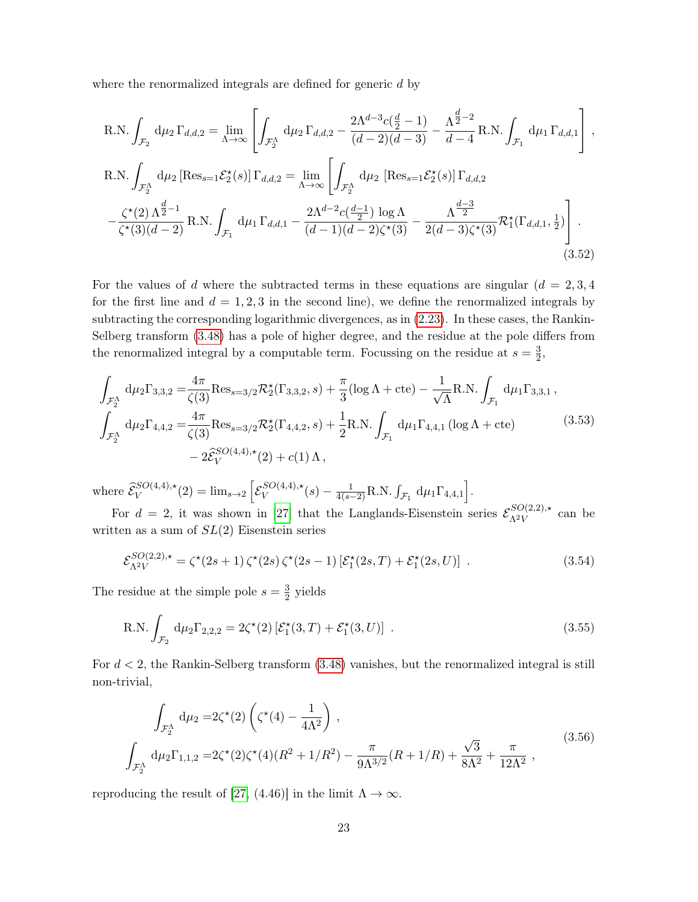where the renormalized integrals are defined for generic d by

R.N. 
$$
\int_{\mathcal{F}_2} d\mu_2 \Gamma_{d,d,2} = \lim_{\Lambda \to \infty} \left[ \int_{\mathcal{F}_2^{\Lambda}} d\mu_2 \Gamma_{d,d,2} - \frac{2\Lambda^{d-3} c(\frac{d}{2} - 1)}{(d - 2)(d - 3)} - \frac{\Lambda^{\frac{d}{2} - 2}}{d - 4} R.N. \int_{\mathcal{F}_1} d\mu_1 \Gamma_{d,d,1} \right],
$$
  
R.N. 
$$
\int_{\mathcal{F}_2^{\Lambda}} d\mu_2 \left[ \text{Res}_{s=1} \mathcal{E}_2^{\star}(s) \right] \Gamma_{d,d,2} = \lim_{\Lambda \to \infty} \left[ \int_{\mathcal{F}_2^{\Lambda}} d\mu_2 \left[ \text{Res}_{s=1} \mathcal{E}_2^{\star}(s) \right] \Gamma_{d,d,2} - \frac{\zeta^{\star}(2) \Lambda^{\frac{d}{2} - 1}}{\zeta^{\star}(3)(d - 2)} R.N. \int_{\mathcal{F}_1} d\mu_1 \Gamma_{d,d,1} - \frac{2\Lambda^{d - 2} c(\frac{d - 1}{2}) \log \Lambda}{(d - 1)(d - 2)\zeta^{\star}(3)} - \frac{\Lambda^{\frac{d - 3}{2}}}{2(d - 3)\zeta^{\star}(3)} \mathcal{R}_1^{\star}(\Gamma_{d,d,1}, \frac{1}{2}) \right].
$$
\n(3.52)

For the values of d where the subtracted terms in these equations are singular  $(d = 2, 3, 4)$ for the first line and  $d = 1, 2, 3$  in the second line), we define the renormalized integrals by subtracting the corresponding logarithmic divergences, as in [\(2.23\)](#page-9-0). In these cases, the Rankin-Selberg transform [\(3.48\)](#page-22-0) has a pole of higher degree, and the residue at the pole differs from the renormalized integral by a computable term. Focussing on the residue at  $s=\frac{3}{2}$  $\frac{3}{2}$ 

$$
\int_{\mathcal{F}_2^{\Lambda}} d\mu_2 \Gamma_{3,3,2} = \frac{4\pi}{\zeta(3)} \text{Res}_{s=3/2} \mathcal{R}_2^{\star}(\Gamma_{3,3,2}, s) + \frac{\pi}{3} (\log \Lambda + \text{cte}) - \frac{1}{\sqrt{\Lambda}} \text{R.N.} \int_{\mathcal{F}_1} d\mu_1 \Gamma_{3,3,1} ,
$$
\n
$$
\int_{\mathcal{F}_2^{\Lambda}} d\mu_2 \Gamma_{4,4,2} = \frac{4\pi}{\zeta(3)} \text{Res}_{s=3/2} \mathcal{R}_2^{\star}(\Gamma_{4,4,2}, s) + \frac{1}{2} \text{R.N.} \int_{\mathcal{F}_1} d\mu_1 \Gamma_{4,4,1} (\log \Lambda + \text{cte})
$$
\n
$$
- 2\widehat{\mathcal{E}}_V^{SO(4,4),\star}(2) + c(1) \Lambda ,
$$
\n(3.53)

where  $\widehat{\mathcal{E}}_V^{SO(4,4),\star}(2) = \lim_{s \to 2} \left[ \mathcal{E}_V^{SO(4,4),\star} \right]$  $\int_V SO(4,4),\star(s) - \frac{1}{4(s-2)}$ R.N.  $\int_{\mathcal{F}_1} d\mu_1 \Gamma_{4,4,1}$ .

For  $d = 2$ , it was shown in [\[27\]](#page-51-7) that the Langlands-Eisenstein series  $\mathcal{E}_{\Lambda 2V}^{SO(2,2),\star}$  $\frac{\Delta O(2,2),\star}{\Delta^2 V}$  can be written as a sum of  $SL(2)$  Eisenstein series

$$
\mathcal{E}_{\Lambda^2 V}^{SO(2,2),\star} = \zeta^{\star}(2s+1)\,\zeta^{\star}(2s)\,\zeta^{\star}(2s-1)\left[\mathcal{E}_1^{\star}(2s,T) + \mathcal{E}_1^{\star}(2s,U)\right] \,. \tag{3.54}
$$

The residue at the simple pole  $s=\frac{3}{2}$  $\frac{3}{2}$  yields

R.N. 
$$
\int_{\mathcal{F}_2} d\mu_2 \Gamma_{2,2,2} = 2\zeta^*(2) \left[ \mathcal{E}_1^*(3,T) + \mathcal{E}_1^*(3,U) \right] .
$$
 (3.55)

For  $d < 2$ , the Rankin-Selberg transform  $(3.48)$  vanishes, but the renormalized integral is still non-trivial,

$$
\int_{\mathcal{F}_2^{\Lambda}} d\mu_2 = 2\zeta^*(2) \left( \zeta^*(4) - \frac{1}{4\Lambda^2} \right),
$$
\n
$$
\int_{\mathcal{F}_2^{\Lambda}} d\mu_2 \Gamma_{1,1,2} = 2\zeta^*(2) \zeta^*(4) (R^2 + 1/R^2) - \frac{\pi}{9\Lambda^{3/2}} (R + 1/R) + \frac{\sqrt{3}}{8\Lambda^2} + \frac{\pi}{12\Lambda^2},
$$
\n(3.56)

reproducing the result of [\[27,](#page-51-7) (4.46)] in the limit  $\Lambda \to \infty$ .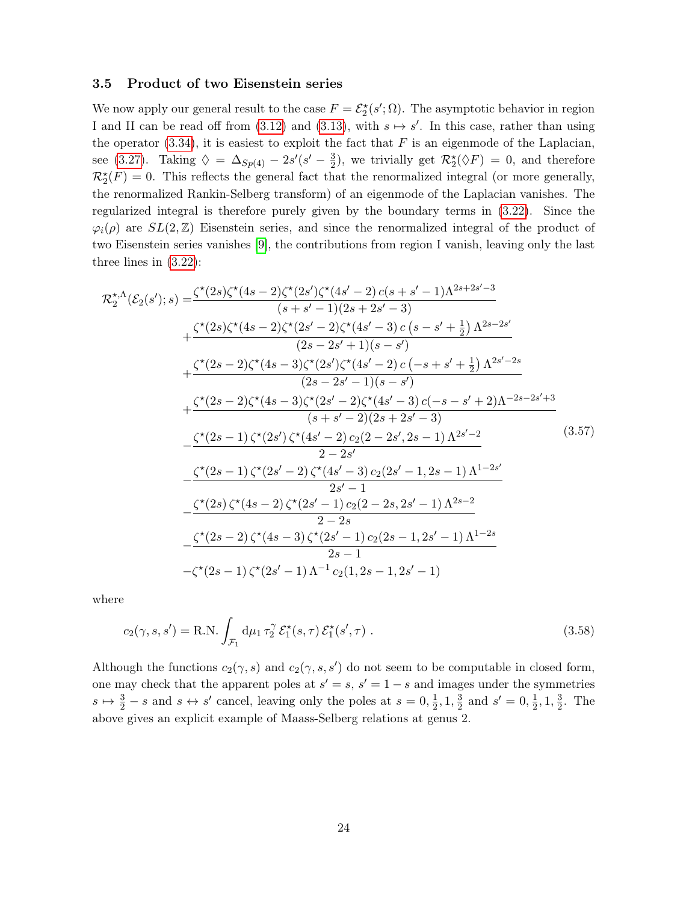#### <span id="page-24-0"></span>3.5 Product of two Eisenstein series

We now apply our general result to the case  $F = \mathcal{E}_2^{\star}(s'; \Omega)$ . The asymptotic behavior in region I and II can be read off from  $(3.12)$  and  $(3.13)$ , with  $s \mapsto s'$ . In this case, rather than using the operator  $(3.34)$ , it is easiest to exploit the fact that F is an eigenmode of the Laplacian, see [\(3.27\)](#page-17-2). Taking  $\Diamond = \Delta_{Sp(4)} - 2s'(s' - \frac{3}{2})$  $\frac{3}{2}$ , we trivially get  $\mathcal{R}_2^{\star}(\Diamond F) = 0$ , and therefore  $\mathcal{R}_2^{\star}(F) = 0$ . This reflects the general fact that the renormalized integral (or more generally, the renormalized Rankin-Selberg transform) of an eigenmode of the Laplacian vanishes. The regularized integral is therefore purely given by the boundary terms in [\(3.22\)](#page-15-1). Since the  $\varphi_i(\rho)$  are  $SL(2,\mathbb{Z})$  Eisenstein series, and since the renormalized integral of the product of two Eisenstein series vanishes [\[9\]](#page-50-6), the contributions from region I vanish, leaving only the last three lines in [\(3.22\)](#page-15-1):

$$
\mathcal{R}_{2}^{*,\Lambda}(\mathcal{E}_{2}(s');s) = \frac{\zeta^{*}(2s)\zeta^{*}(4s-2)\zeta^{*}(2s')\zeta^{*}(4s'-2)\,c(s+s'-1)\Lambda^{2s+2s'-3}}{(s+s'-1)(2s+2s'-3)} \n+ \frac{\zeta^{*}(2s)\zeta^{*}(4s-2)\zeta^{*}(2s'-2)\zeta^{*}(4s'-3)\,c\,(s-s'+\frac{1}{2})\,\Lambda^{2s-2s'}}{(2s-2s'+1)(s-s')} \n+ \frac{\zeta^{*}(2s-2)\zeta^{*}(4s-3)\zeta^{*}(2s')\zeta^{*}(4s'-2)\,c\,(-s+s'+\frac{1}{2})\,\Lambda^{2s'-2s}}{(2s-2s'-1)(s-s')} \n+ \frac{\zeta^{*}(2s-2)\zeta^{*}(4s-3)\zeta^{*}(2s'-2)\zeta^{*}(4s'-3)\,c(-s-s'+2)\Lambda^{-2s-2s'+3}}{(s+s'-2)(2s+2s'-3)} \n- \frac{\zeta^{*}(2s-1)\,\zeta^{*}(2s')\,\zeta^{*}(4s'-2)\,c_{2}(2-2s',2s-1)\,\Lambda^{2s'-2}}{2-2s'} \n- \frac{\zeta^{*}(2s-1)\,\zeta^{*}(2s'-2)\,\zeta^{*}(4s'-3)\,c_{2}(2s'-1,2s-1)\,\Lambda^{1-2s'}}{2s'-1} \n- \frac{\zeta^{*}(2s)\,\zeta^{*}(4s-2)\,\zeta^{*}(2s'-1)\,c_{2}(2-2s,2s'-1)\,\Lambda^{2s-2}}{2-2s} \n- \zeta^{*}(2s-2)\,\zeta^{*}(4s-3)\,\zeta^{*}(2s'-1)\,c_{2}(2s-1,2s'-1)\,\Lambda^{1-2s}} \n- \zeta^{*}(2s-1)\,\zeta^{*}(2s'-1)\,\Lambda^{-1}c_{2}(1,2s-1,2s'-1)
$$

where

$$
c_2(\gamma, s, s') = \text{R.N.} \int_{\mathcal{F}_1} d\mu_1 \tau_2^{\gamma} \mathcal{E}_1^{\star}(s, \tau) \mathcal{E}_1^{\star}(s', \tau) . \tag{3.58}
$$

Although the functions  $c_2(\gamma, s)$  and  $c_2(\gamma, s, s')$  do not seem to be computable in closed form, one may check that the apparent poles at  $s' = s$ ,  $s' = 1 - s$  and images under the symmetries  $s \mapsto \frac{3}{2} - s$  and  $s \leftrightarrow s'$  cancel, leaving only the poles at  $s = 0, \frac{1}{2}$  $\frac{1}{2}$ , 1,  $\frac{3}{2}$  $\frac{3}{2}$  and  $s' = 0, \frac{1}{2}$  $\frac{1}{2}$ , 1,  $\frac{3}{2}$  $\frac{3}{2}$ . The above gives an explicit example of Maass-Selberg relations at genus 2.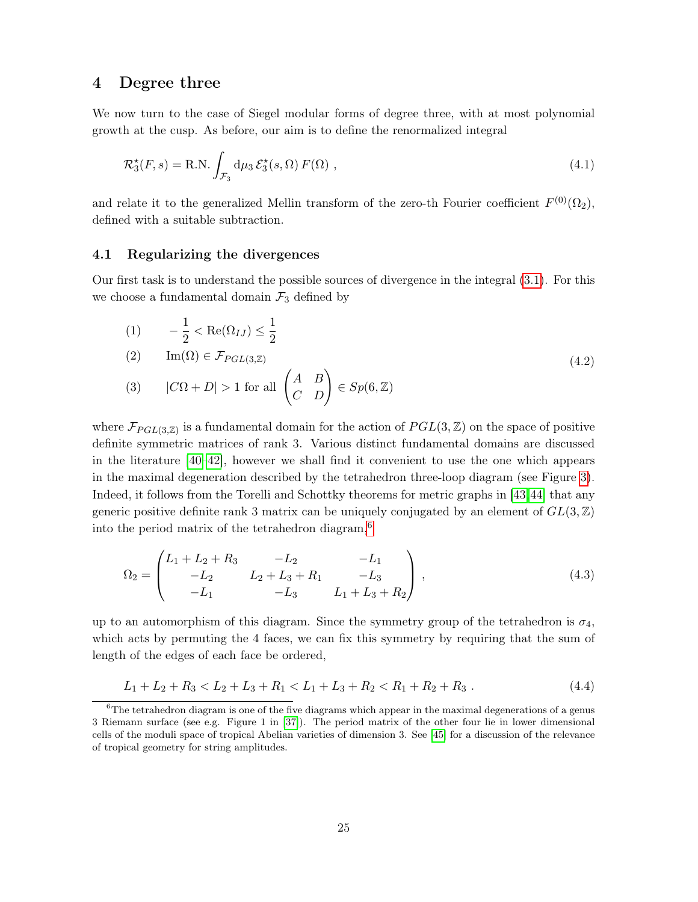## <span id="page-25-0"></span>4 Degree three

We now turn to the case of Siegel modular forms of degree three, with at most polynomial growth at the cusp. As before, our aim is to define the renormalized integral

<span id="page-25-4"></span>
$$
\mathcal{R}_3^{\star}(F,s) = \text{R.N.} \int_{\mathcal{F}_3} d\mu_3 \, \mathcal{E}_3^{\star}(s,\Omega) \, F(\Omega) \,, \tag{4.1}
$$

and relate it to the generalized Mellin transform of the zero-th Fourier coefficient  $F^{(0)}(\Omega_2)$ , defined with a suitable subtraction.

## <span id="page-25-1"></span>4.1 Regularizing the divergences

Our first task is to understand the possible sources of divergence in the integral [\(3.1\)](#page-10-2). For this we choose a fundamental domain  $\mathcal{F}_3$  defined by

(1) 
$$
-\frac{1}{2} < \text{Re}(\Omega_{IJ}) \le \frac{1}{2}
$$
  
\n(2)  $\text{Im}(\Omega) \in \mathcal{F}_{PGL(3,\mathbb{Z})}$   
\n(3)  $|C\Omega + D| > 1$  for all  $\begin{pmatrix} A & B \\ C & D \end{pmatrix} \in Sp(6,\mathbb{Z})$  (4.2)

where  $\mathcal{F}_{PGL(3,\mathbb{Z})}$  is a fundamental domain for the action of  $PGL(3,\mathbb{Z})$  on the space of positive definite symmetric matrices of rank 3. Various distinct fundamental domains are discussed in the literature [\[40–](#page-52-8)[42\]](#page-52-9), however we shall find it convenient to use the one which appears in the maximal degeneration described by the tetrahedron three-loop diagram (see Figure [3\)](#page-26-0). Indeed, it follows from the Torelli and Schottky theorems for metric graphs in [\[43,](#page-52-10)[44\]](#page-52-11) that any generic positive definite rank 3 matrix can be uniquely conjugated by an element of  $GL(3,\mathbb{Z})$ into the period matrix of the tetrahedron diagram,<sup>[6](#page-0-0)</sup>

<span id="page-25-2"></span>
$$
\Omega_2 = \begin{pmatrix} L_1 + L_2 + R_3 & -L_2 & -L_1 \\ -L_2 & L_2 + L_3 + R_1 & -L_3 \\ -L_1 & -L_3 & L_1 + L_3 + R_2 \end{pmatrix},
$$
\n(4.3)

up to an automorphism of this diagram. Since the symmetry group of the tetrahedron is  $\sigma_4$ , which acts by permuting the 4 faces, we can fix this symmetry by requiring that the sum of length of the edges of each face be ordered,

<span id="page-25-3"></span>
$$
L_1 + L_2 + R_3 < L_2 + L_3 + R_1 < L_1 + L_3 + R_2 < R_1 + R_2 + R_3 \tag{4.4}
$$

 $6$ The tetrahedron diagram is one of the five diagrams which appear in the maximal degenerations of a genus 3 Riemann surface (see e.g. Figure 1 in [\[37\]](#page-52-5)). The period matrix of the other four lie in lower dimensional cells of the moduli space of tropical Abelian varieties of dimension 3. See [\[45\]](#page-52-12) for a discussion of the relevance of tropical geometry for string amplitudes.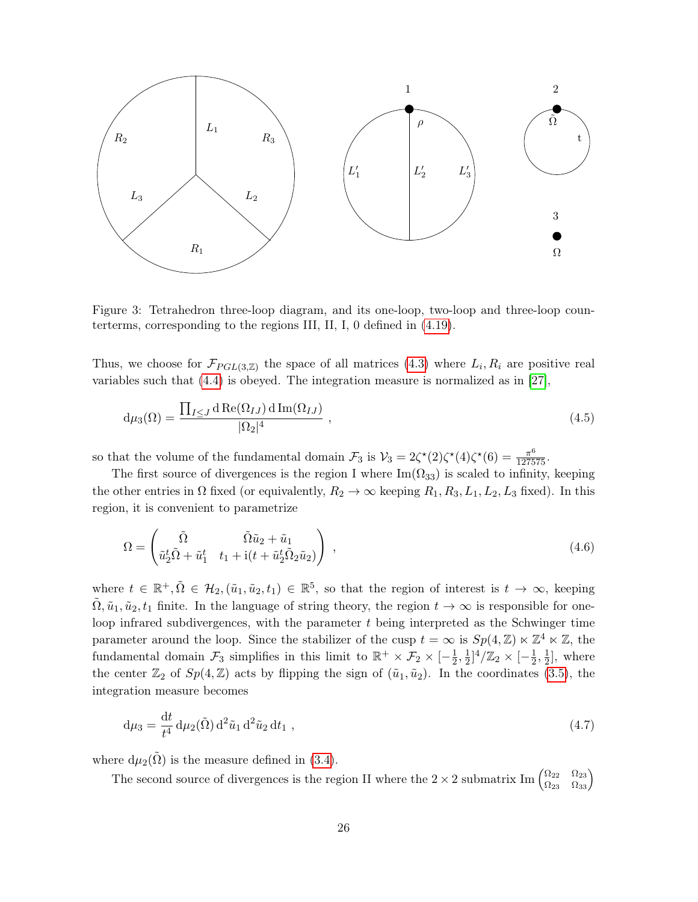

<span id="page-26-0"></span>Figure 3: Tetrahedron three-loop diagram, and its one-loop, two-loop and three-loop counterterms, corresponding to the regions III, II, I, 0 defined in [\(4.19\)](#page-29-1).

Thus, we choose for  $\mathcal{F}_{PGL(3,\mathbb{Z})}$  the space of all matrices  $(4.3)$  where  $L_i, R_i$  are positive real variables such that [\(4.4\)](#page-25-3) is obeyed. The integration measure is normalized as in [\[27\]](#page-51-7),

$$
d\mu_3(\Omega) = \frac{\prod_{I \le J} d \operatorname{Re}(\Omega_{IJ}) d \operatorname{Im}(\Omega_{IJ})}{|\Omega_2|^4},
$$
\n(4.5)

so that the volume of the fundamental domain  $\mathcal{F}_3$  is  $\mathcal{V}_3 = 2\zeta^*(2)\zeta^*(4)\zeta^*(6) = \frac{\pi^6}{127575}$ .

The first source of divergences is the region I where  $\text{Im}(\Omega_{33})$  is scaled to infinity, keeping the other entries in  $\Omega$  fixed (or equivalently,  $R_2 \to \infty$  keeping  $R_1, R_3, L_1, L_2, L_3$  fixed). In this region, it is convenient to parametrize

<span id="page-26-1"></span>
$$
\Omega = \begin{pmatrix} \tilde{\Omega} & \tilde{\Omega} \tilde{u}_2 + \tilde{u}_1 \\ \tilde{u}_2^t \tilde{\Omega} + \tilde{u}_1^t & t_1 + \mathrm{i} (t + \tilde{u}_2^t \tilde{\Omega}_2 \tilde{u}_2) \end{pmatrix} , \tag{4.6}
$$

where  $t \in \mathbb{R}^+, \tilde{\Omega} \in \mathcal{H}_2$ ,  $(\tilde{u}_1, \tilde{u}_2, t_1) \in \mathbb{R}^5$ , so that the region of interest is  $t \to \infty$ , keeping  $\Omega, \tilde{u}_1, \tilde{u}_2, t_1$  finite. In the language of string theory, the region  $t \to \infty$  is responsible for oneloop infrared subdivergences, with the parameter  $t$  being interpreted as the Schwinger time parameter around the loop. Since the stabilizer of the cusp  $t = \infty$  is  $Sp(4, \mathbb{Z}) \ltimes \mathbb{Z}^4 \ltimes \mathbb{Z}$ , the fundamental domain  $\mathcal{F}_3$  simplifies in this limit to  $\mathbb{R}^+ \times \mathcal{F}_2 \times [-\frac{1}{2}]$  $\frac{1}{2}, \frac{1}{2}$  $\frac{1}{2}]^4/\mathbb{Z}_2 \times [-\frac{1}{2}]$  $\frac{1}{2}, \frac{1}{2}$  $\frac{1}{2}$ , where the center  $\mathbb{Z}_2$  of  $Sp(4,\mathbb{Z})$  acts by flipping the sign of  $(\tilde{u}_1, \tilde{u}_2)$ . In the coordinates [\(3.5\)](#page-11-1), the integration measure becomes

<span id="page-26-2"></span>
$$
d\mu_3 = \frac{dt}{t^4} d\mu_2(\tilde{\Omega}) d^2 \tilde{u}_1 d^2 \tilde{u}_2 dt_1 , \qquad (4.7)
$$

where  $d\mu_2(\Omega)$  is the measure defined in [\(3.4\)](#page-11-2).

The second source of divergences is the region II where the  $2 \times 2$  submatrix Im  $\begin{pmatrix} \Omega_{22} & \Omega_{23} \\ \Omega_{23} & \Omega_{33} \end{pmatrix}$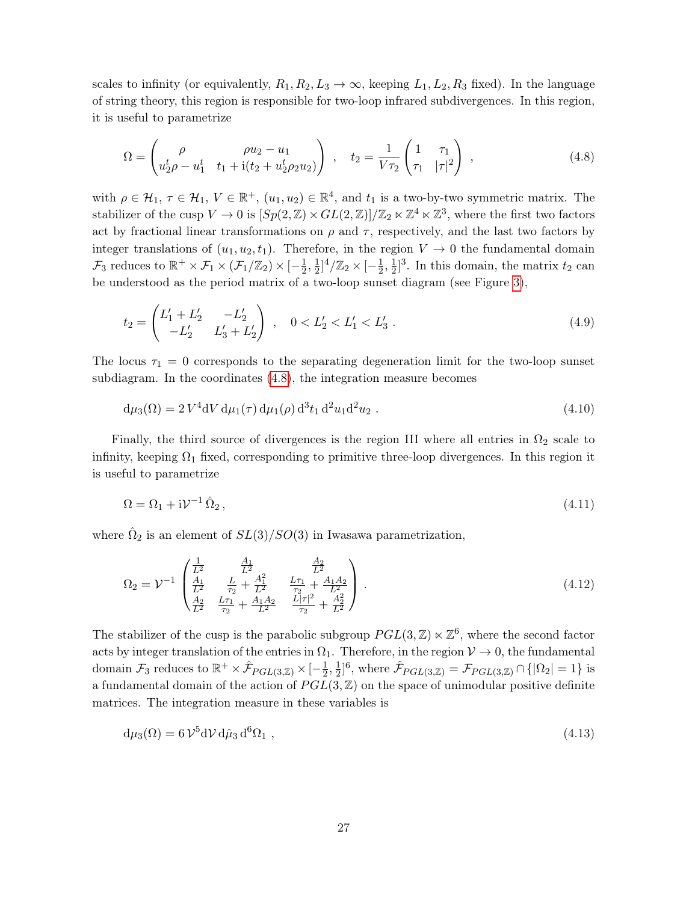scales to infinity (or equivalently,  $R_1, R_2, L_3 \to \infty$ , keeping  $L_1, L_2, R_3$  fixed). In the language of string theory, this region is responsible for two-loop infrared subdivergences. In this region, it is useful to parametrize

<span id="page-27-0"></span>
$$
\Omega = \begin{pmatrix} \rho & \rho u_2 - u_1 \\ u_2^t \rho - u_1^t & t_1 + i(t_2 + u_2^t \rho_2 u_2) \end{pmatrix} , \quad t_2 = \frac{1}{V\tau_2} \begin{pmatrix} 1 & \tau_1 \\ \tau_1 & |\tau|^2 \end{pmatrix} , \tag{4.8}
$$

with  $\rho \in \mathcal{H}_1$ ,  $\tau \in \mathcal{H}_1$ ,  $V \in \mathbb{R}^+$ ,  $(u_1, u_2) \in \mathbb{R}^4$ , and  $t_1$  is a two-by-two symmetric matrix. The stabilizer of the cusp  $V \to 0$  is  $[Sp(2, \mathbb{Z}) \times GL(2, \mathbb{Z})] / \mathbb{Z}_2 \ltimes \mathbb{Z}^4 \ltimes \mathbb{Z}^3$ , where the first two factors act by fractional linear transformations on  $\rho$  and  $\tau$ , respectively, and the last two factors by integer translations of  $(u_1, u_2, t_1)$ . Therefore, in the region  $V \to 0$  the fundamental domain  $\mathcal{F}_3$  reduces to  $\mathbb{R}^+ \times \mathcal{F}_1 \times (\mathcal{F}_1/\mathbb{Z}_2) \times [-\frac{1}{2}]$  $\frac{1}{2}, \frac{1}{2}$  $\frac{1}{2}]^4/\mathbb{Z}_2 \times [-\frac{1}{2}]$  $\frac{1}{2}, \frac{1}{2}$  $\frac{1}{2}$ <sup>3</sup>. In this domain, the matrix  $t_2$  can be understood as the period matrix of a two-loop sunset diagram (see Figure [3\)](#page-26-0),

$$
t_2 = \begin{pmatrix} L'_1 + L'_2 & -L'_2 \\ -L'_2 & L'_3 + L'_2 \end{pmatrix} , \quad 0 < L'_2 < L'_1 < L'_3 . \tag{4.9}
$$

The locus  $\tau_1 = 0$  corresponds to the separating degeneration limit for the two-loop sunset subdiagram. In the coordinates [\(4.8\)](#page-27-0), the integration measure becomes

<span id="page-27-1"></span>
$$
d\mu_3(\Omega) = 2 V^4 dV d\mu_1(\tau) d\mu_1(\rho) d^3 t_1 d^2 u_1 d^2 u_2.
$$
\n(4.10)

Finally, the third source of divergences is the region III where all entries in  $\Omega_2$  scale to infinity, keeping  $\Omega_1$  fixed, corresponding to primitive three-loop divergences. In this region it is useful to parametrize

$$
\Omega = \Omega_1 + i\mathcal{V}^{-1}\,\hat{\Omega}_2\,,\tag{4.11}
$$

where  $\hat{\Omega}_2$  is an element of  $SL(3)/SO(3)$  in Iwasawa parametrization,

$$
\Omega_2 = \mathcal{V}^{-1} \begin{pmatrix} \frac{1}{L^2} & \frac{A_1}{L^2} & \frac{A_2}{L^2} \\ \frac{A_1}{L^2} & \frac{L}{\tau_2} + \frac{A_1^2}{L^2} & \frac{L\tau_1}{\tau_2} + \frac{A_1 A_2}{L^2} \\ \frac{A_2}{L^2} & \frac{L\tau_1}{\tau_2} + \frac{A_1 A_2}{L^2} & \frac{L|\tau|^2}{\tau_2} + \frac{A_2^2}{L^2} \end{pmatrix} . \tag{4.12}
$$

The stabilizer of the cusp is the parabolic subgroup  $PGL(3, \mathbb{Z}) \ltimes \mathbb{Z}^6$ , where the second factor acts by integer translation of the entries in  $\Omega_1$ . Therefore, in the region  $\mathcal{V} \to 0$ , the fundamental domain  $\mathcal{F}_3$  reduces to  $\mathbb{R}^+ \times \hat{\mathcal{F}}_{PGL(3,\mathbb{Z})} \times [-\frac{1}{2}]$  $\frac{1}{2}, \frac{1}{2}$  $\frac{1}{2}$ <sup>6</sup>, where  $\hat{\mathcal{F}}_{PGL(3,\mathbb{Z})} = \mathcal{F}_{PGL(3,\mathbb{Z})} \cap \{|\Omega_2| = 1\}$  is a fundamental domain of the action of  $PGL(3, \mathbb{Z})$  on the space of unimodular positive definite matrices. The integration measure in these variables is

<span id="page-27-2"></span>
$$
d\mu_3(\Omega) = 6\mathcal{V}^5 d\mathcal{V} d\hat{\mu}_3 d^6 \Omega_1 , \qquad (4.13)
$$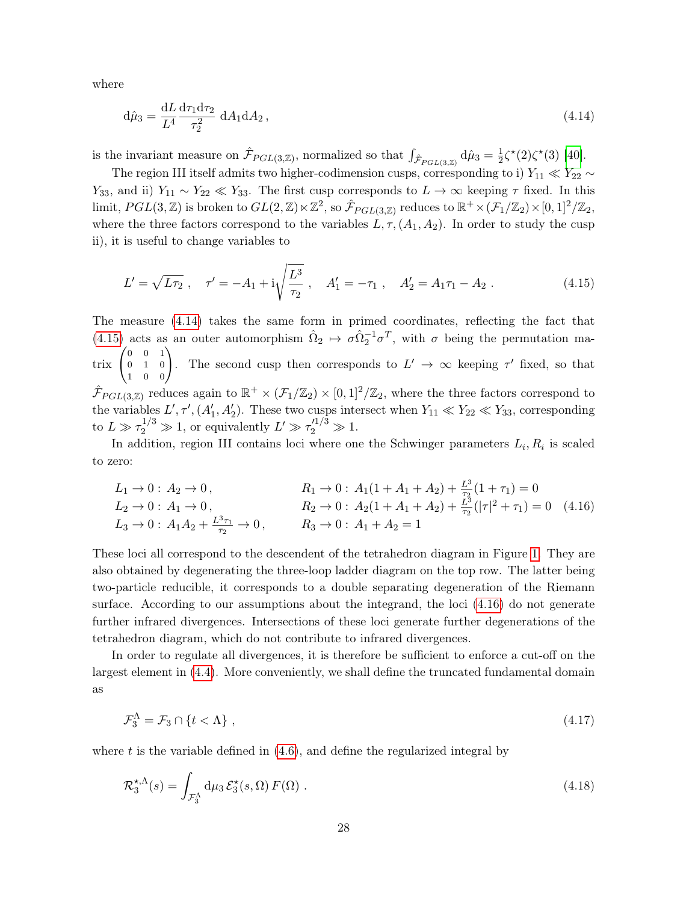where

<span id="page-28-0"></span>
$$
d\hat{\mu}_3 = \frac{dL}{L^4} \frac{d\tau_1 d\tau_2}{\tau_2^2} dA_1 dA_2, \qquad (4.14)
$$

is the invariant measure on  $\hat{\mathcal{F}}_{PGL(3,\mathbb{Z})}$ , normalized so that  $\int_{\hat{\mathcal{F}}_{PGL(3,\mathbb{Z})}} d\hat{\mu}_3 = \frac{1}{2}$  $\frac{1}{2}\zeta^*(2)\zeta^*(3)$  [\[40\]](#page-52-8).

The region III itself admits two higher-codimension cusps, corresponding to i)  $Y_{11} \ll Y_{22} \sim$ Y<sub>33</sub>, and ii)  $Y_{11} \sim Y_{22} \ll Y_{33}$ . The first cusp corresponds to  $L \to \infty$  keeping  $\tau$  fixed. In this  $\text{limit}, PGL(3, \mathbb{Z}) \text{ is broken to } GL(2, \mathbb{Z}) \ltimes \mathbb{Z}^2 \text{, so } \hat{\mathcal{F}}_{PGL(3, \mathbb{Z})} \text{ reduces to } \mathbb{R}^+ \times (\mathcal{F}_1/\mathbb{Z}_2) \times [0, 1]^2/\mathbb{Z}_2 \text{,}$ where the three factors correspond to the variables  $L, \tau, (A_1, A_2)$ . In order to study the cusp ii), it is useful to change variables to

<span id="page-28-1"></span>
$$
L' = \sqrt{L\tau_2} \ , \quad \tau' = -A_1 + i\sqrt{\frac{L^3}{\tau_2}} \ , \quad A'_1 = -\tau_1 \ , \quad A'_2 = A_1\tau_1 - A_2 \ . \tag{4.15}
$$

The measure [\(4.14\)](#page-28-0) takes the same form in primed coordinates, reflecting the fact that [\(4.15\)](#page-28-1) acts as an outer automorphism  $\hat{\Omega}_2 \mapsto \sigma \hat{\Omega}_2^{-1} \sigma^T$ , with  $\sigma$  being the permutation ma- $\text{trix} \begin{pmatrix} 0 & 0 & 1 \\ 0 & 1 & 0 \end{pmatrix}$ 0 1 0  $\begin{pmatrix} 0 & 0 & 1 \\ 0 & 1 & 0 \\ 1 & 0 & 0 \end{pmatrix}$ The second cusp then corresponds to  $L' \to \infty$  keeping  $\tau'$  fixed, so that  $\hat{\mathcal{F}}_{PGL(3,\mathbb{Z})}$  reduces again to  $\mathbb{R}^+\times(\mathcal{F}_1/\mathbb{Z}_2)\times[0,1]^2/\mathbb{Z}_2$ , where the three factors correspond to the variables  $L', \tau', (A'_1, A'_2)$ . These two cusps intersect when  $Y_{11} \ll Y_{22} \ll Y_{33}$ , corresponding to  $L \gg \tau_2^{1/3} \gg 1$ , or equivalently  $L' \gg \tau_2'^{1/3} \gg 1$ .

In addition, region III contains loci where one the Schwinger parameters  $L_i, R_i$  is scaled to zero:

<span id="page-28-2"></span>
$$
L_1 \to 0: A_2 \to 0, \qquad R_1 \to 0: A_1(1 + A_1 + A_2) + \frac{L^3}{\tau_2}(1 + \tau_1) = 0
$$
  
\n
$$
L_2 \to 0: A_1 \to 0, \qquad R_2 \to 0: A_2(1 + A_1 + A_2) + \frac{L^3}{\tau_2}(|\tau|^2 + \tau_1) = 0 \quad (4.16)
$$
  
\n
$$
L_3 \to 0: A_1A_2 + \frac{L^3\tau_1}{\tau_2} \to 0, \qquad R_3 \to 0: A_1 + A_2 = 1
$$

These loci all correspond to the descendent of the tetrahedron diagram in Figure [1.](#page-5-0) They are also obtained by degenerating the three-loop ladder diagram on the top row. The latter being two-particle reducible, it corresponds to a double separating degeneration of the Riemann surface. According to our assumptions about the integrand, the loci [\(4.16\)](#page-28-2) do not generate further infrared divergences. Intersections of these loci generate further degenerations of the tetrahedron diagram, which do not contribute to infrared divergences.

In order to regulate all divergences, it is therefore be sufficient to enforce a cut-off on the largest element in [\(4.4\)](#page-25-3). More conveniently, we shall define the truncated fundamental domain as

<span id="page-28-3"></span>
$$
\mathcal{F}_3^{\Lambda} = \mathcal{F}_3 \cap \{t < \Lambda\} \tag{4.17}
$$

where  $t$  is the variable defined in  $(4.6)$ , and define the regularized integral by

$$
\mathcal{R}_3^{\star,\Lambda}(s) = \int_{\mathcal{F}_3^{\Lambda}} d\mu_3 \, \mathcal{E}_3^{\star}(s,\Omega) \, F(\Omega) \; . \tag{4.18}
$$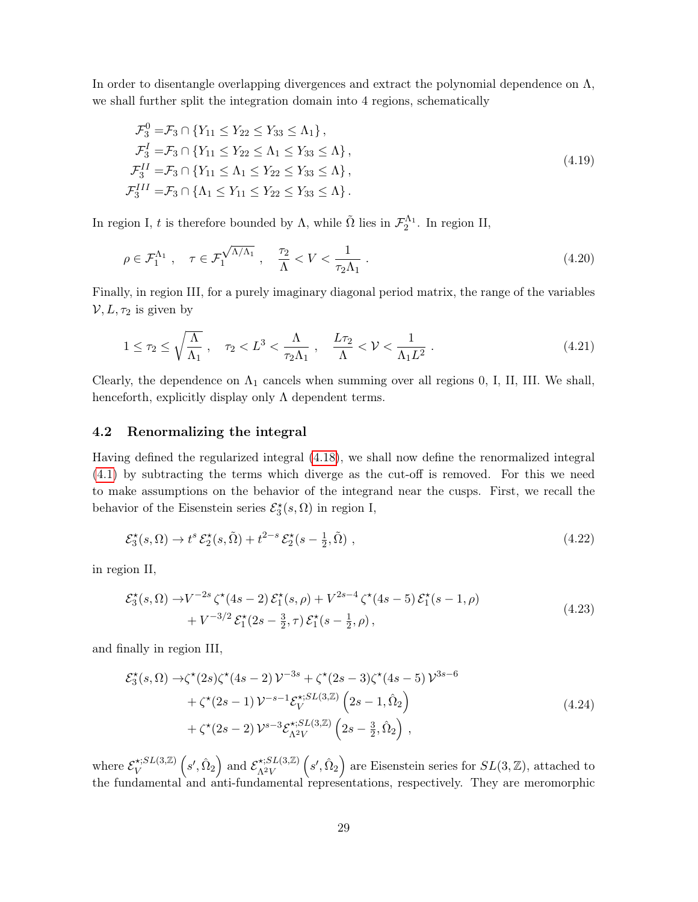In order to disentangle overlapping divergences and extract the polynomial dependence on  $\Lambda$ , we shall further split the integration domain into 4 regions, schematically

<span id="page-29-1"></span>
$$
\mathcal{F}_3^0 = \mathcal{F}_3 \cap \{ Y_{11} \le Y_{22} \le Y_{33} \le \Lambda_1 \}, \n\mathcal{F}_3^I = \mathcal{F}_3 \cap \{ Y_{11} \le Y_{22} \le \Lambda_1 \le Y_{33} \le \Lambda \}, \n\mathcal{F}_3^{II} = \mathcal{F}_3 \cap \{ Y_{11} \le \Lambda_1 \le Y_{22} \le Y_{33} \le \Lambda \}, \n\mathcal{F}_3^{III} = \mathcal{F}_3 \cap \{ \Lambda_1 \le Y_{11} \le Y_{22} \le Y_{33} \le \Lambda \}.
$$
\n(4.19)

In region I, t is therefore bounded by  $\Lambda$ , while  $\tilde{\Omega}$  lies in  $\mathcal{F}_2^{\Lambda_1}$ . In region II,

$$
\rho \in \mathcal{F}_1^{\Lambda_1} \;, \quad \tau \in \mathcal{F}_1^{\sqrt{\Lambda/\Lambda_1}} \;, \quad \frac{\tau_2}{\Lambda} < V < \frac{1}{\tau_2 \Lambda_1} \;. \tag{4.20}
$$

Finally, in region III, for a purely imaginary diagonal period matrix, the range of the variables  $V, L, \tau_2$  is given by

$$
1 \leq \tau_2 \leq \sqrt{\frac{\Lambda}{\Lambda_1}}, \quad \tau_2 < L^3 < \frac{\Lambda}{\tau_2 \Lambda_1}, \quad \frac{L\tau_2}{\Lambda} < \mathcal{V} < \frac{1}{\Lambda_1 L^2} \tag{4.21}
$$

Clearly, the dependence on  $\Lambda_1$  cancels when summing over all regions 0, I, II, III. We shall, henceforth, explicitly display only  $\Lambda$  dependent terms.

#### <span id="page-29-0"></span>4.2 Renormalizing the integral

Having defined the regularized integral [\(4.18\)](#page-28-3), we shall now define the renormalized integral [\(4.1\)](#page-25-4) by subtracting the terms which diverge as the cut-off is removed. For this we need to make assumptions on the behavior of the integrand near the cusps. First, we recall the behavior of the Eisenstein series  $\mathcal{E}_{3}^{\star}(s, \Omega)$  in region I,

$$
\mathcal{E}_3^{\star}(s,\Omega) \to t^s \mathcal{E}_2^{\star}(s,\tilde{\Omega}) + t^{2-s} \mathcal{E}_2^{\star}(s - \frac{1}{2},\tilde{\Omega}) ,\qquad(4.22)
$$

in region II,

$$
\mathcal{E}_{3}^{\star}(s,\Omega) \to V^{-2s} \zeta^{\star}(4s-2) \mathcal{E}_{1}^{\star}(s,\rho) + V^{2s-4} \zeta^{\star}(4s-5) \mathcal{E}_{1}^{\star}(s-1,\rho) + V^{-3/2} \mathcal{E}_{1}^{\star}(2s-\frac{3}{2},\tau) \mathcal{E}_{1}^{\star}(s-\frac{1}{2},\rho),
$$
\n(4.23)

and finally in region III,

$$
\mathcal{E}_{3}^{\star}(s,\Omega) \rightarrow \zeta^{\star}(2s)\zeta^{\star}(4s-2)\mathcal{V}^{-3s} + \zeta^{\star}(2s-3)\zeta^{\star}(4s-5)\mathcal{V}^{3s-6} \n+ \zeta^{\star}(2s-1)\mathcal{V}^{-s-1}\mathcal{E}_{V}^{\star;SL(3,\mathbb{Z})}\left(2s-1,\hat{\Omega}_{2}\right) \n+ \zeta^{\star}(2s-2)\mathcal{V}^{s-3}\mathcal{E}_{\Lambda^{2}V}^{\star;SL(3,\mathbb{Z})}\left(2s-\frac{3}{2},\hat{\Omega}_{2}\right),
$$
\n(4.24)

where  $\mathcal{E}_V^{\star;SL(3,\mathbb{Z})}$  $\mathcal{L}_{V}^{(S, Z, \mathbb{Z})}(s', \hat{\Omega}_2)$  and  $\mathcal{E}_{\Lambda^2 V}^{*, SL(3, \mathbb{Z})}$  $\chi^{\star;SL(3,\mathbb{Z})}_{\Lambda^2 V}$  (s',  $\hat{\Omega}_2$ ) are Eisenstein series for  $SL(3,\mathbb{Z})$ , attached to the fundamental and anti-fundamental representations, respectively. They are meromorphic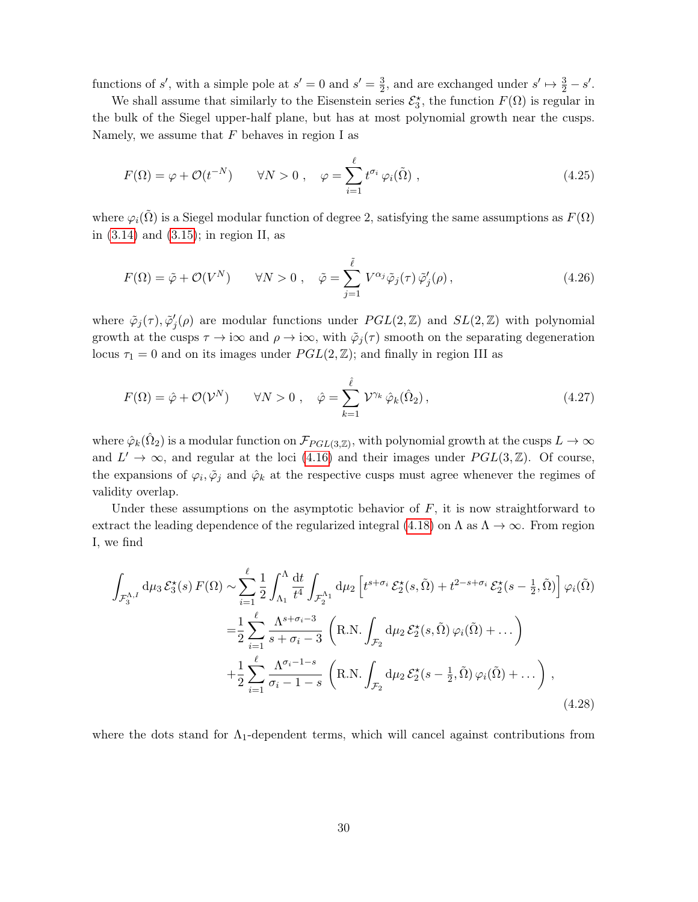functions of s', with a simple pole at  $s' = 0$  and  $s' = \frac{3}{2}$  $\frac{3}{2}$ , and are exchanged under  $s' \mapsto \frac{3}{2} - s'$ .

We shall assume that similarly to the Eisenstein series  $\mathcal{E}_3^*$ , the function  $F(\Omega)$  is regular in the bulk of the Siegel upper-half plane, but has at most polynomial growth near the cusps. Namely, we assume that  $F$  behaves in region I as

<span id="page-30-0"></span>
$$
F(\Omega) = \varphi + \mathcal{O}(t^{-N}) \qquad \forall N > 0 \;, \quad \varphi = \sum_{i=1}^{\ell} t^{\sigma_i} \varphi_i(\tilde{\Omega}) \;, \tag{4.25}
$$

where  $\varphi_i(\tilde{\Omega})$  is a Siegel modular function of degree 2, satisfying the same assumptions as  $F(\Omega)$ in  $(3.14)$  and  $(3.15)$ ; in region II, as

$$
F(\Omega) = \tilde{\varphi} + \mathcal{O}(V^N) \qquad \forall N > 0 \;, \quad \tilde{\varphi} = \sum_{j=1}^{\tilde{\ell}} V^{\alpha_j} \tilde{\varphi}_j(\tau) \tilde{\varphi}'_j(\rho) \,, \tag{4.26}
$$

where  $\tilde{\varphi}_j(\tau)$ ,  $\tilde{\varphi}'_j(\rho)$  are modular functions under  $PGL(2,\mathbb{Z})$  and  $SL(2,\mathbb{Z})$  with polynomial growth at the cusps  $\tau \to i\infty$  and  $\rho \to i\infty$ , with  $\tilde{\varphi}_j(\tau)$  smooth on the separating degeneration locus  $\tau_1 = 0$  and on its images under  $PGL(2, \mathbb{Z})$ ; and finally in region III as

<span id="page-30-1"></span>
$$
F(\Omega) = \hat{\varphi} + \mathcal{O}(\mathcal{V}^N) \qquad \forall N > 0 \;, \quad \hat{\varphi} = \sum_{k=1}^{\hat{\ell}} \mathcal{V}^{\gamma_k} \hat{\varphi}_k(\hat{\Omega}_2) \,, \tag{4.27}
$$

where  $\hat{\varphi}_k(\hat{\Omega}_2)$  is a modular function on  $\mathcal{F}_{PGL(3,\mathbb{Z})}$ , with polynomial growth at the cusps  $L\to\infty$ and  $L' \to \infty$ , and regular at the loci [\(4.16\)](#page-28-2) and their images under  $PGL(3, \mathbb{Z})$ . Of course, the expansions of  $\varphi_i, \tilde{\varphi}_j$  and  $\hat{\varphi}_k$  at the respective cusps must agree whenever the regimes of validity overlap.

Under these assumptions on the asymptotic behavior of  $F$ , it is now straightforward to extract the leading dependence of the regularized integral [\(4.18\)](#page-28-3) on  $\Lambda$  as  $\Lambda \to \infty$ . From region I, we find

$$
\int_{\mathcal{F}_{3}^{\Lambda,I}} d\mu_3 \mathcal{E}_{3}^{\star}(s) F(\Omega) \sim \sum_{i=1}^{\ell} \frac{1}{2} \int_{\Lambda_1}^{\Lambda} \frac{dt}{t^4} \int_{\mathcal{F}_{2}^{\Lambda_1}} d\mu_2 \left[ t^{s+\sigma_i} \mathcal{E}_{2}^{\star}(s,\tilde{\Omega}) + t^{2-s+\sigma_i} \mathcal{E}_{2}^{\star}(s-\frac{1}{2},\tilde{\Omega}) \right] \varphi_i(\tilde{\Omega})
$$
  
\n
$$
= \frac{1}{2} \sum_{i=1}^{\ell} \frac{\Lambda^{s+\sigma_i-3}}{s+\sigma_i-3} \left( \text{R.N.} \int_{\mathcal{F}_2} d\mu_2 \mathcal{E}_{2}^{\star}(s,\tilde{\Omega}) \varphi_i(\tilde{\Omega}) + \dots \right)
$$
  
\n
$$
+ \frac{1}{2} \sum_{i=1}^{\ell} \frac{\Lambda^{\sigma_i-1-s}}{\sigma_i-1-s} \left( \text{R.N.} \int_{\mathcal{F}_2} d\mu_2 \mathcal{E}_{2}^{\star}(s-\frac{1}{2},\tilde{\Omega}) \varphi_i(\tilde{\Omega}) + \dots \right),
$$
\n(4.28)

where the dots stand for  $\Lambda_1$ -dependent terms, which will cancel against contributions from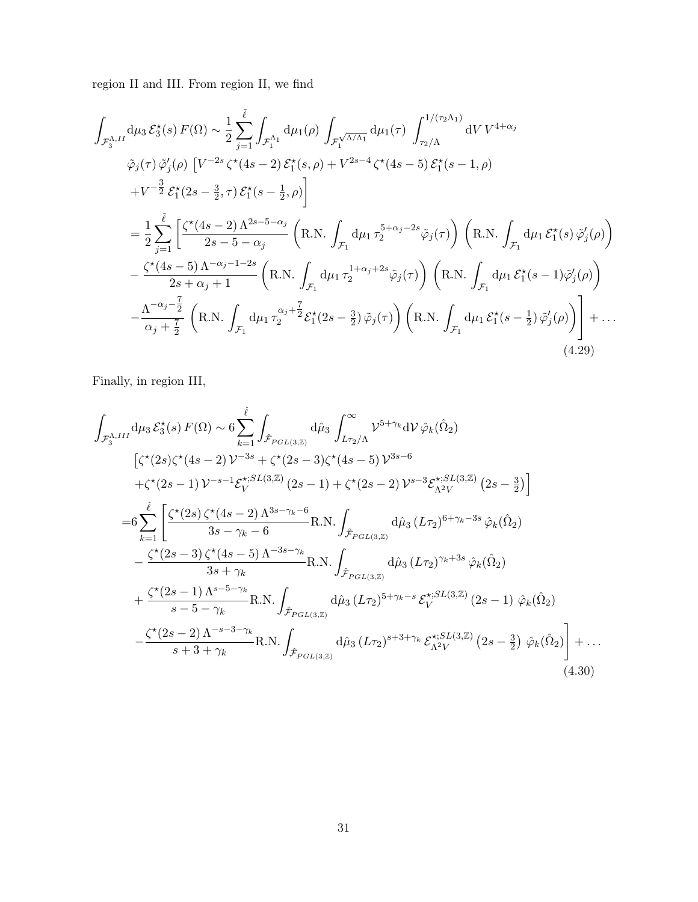region II and III. From region II, we find

$$
\int_{\mathcal{F}_{3}^{\Lambda,I}} d\mu_{3} \mathcal{E}_{3}^{\star}(s) F(\Omega) \sim \frac{1}{2} \sum_{j=1}^{\tilde{\ell}} \int_{\mathcal{F}_{1}^{\Lambda_{1}}} d\mu_{1}(\rho) \int_{\mathcal{F}_{1}^{\sqrt{\Lambda/\Lambda_{1}}} d\mu_{1}(\tau) \int_{\tau_{2}/\Lambda}^{1/(\tau_{2}\Lambda_{1})} dV V^{4+\alpha_{j}} \n\tilde{\varphi}_{j}(\tau) \tilde{\varphi}_{j}^{\prime}(\rho) \left[ V^{-2s} \zeta^{\star}(4s-2) \mathcal{E}_{1}^{\star}(s,\rho) + V^{2s-4} \zeta^{\star}(4s-5) \mathcal{E}_{1}^{\star}(s-1,\rho) \right. \n+ V^{-\frac{3}{2}} \mathcal{E}_{1}^{\star}(2s-\frac{3}{2},\tau) \mathcal{E}_{1}^{\star}(s-\frac{1}{2},\rho) \Biggr] \n= \frac{1}{2} \sum_{j=1}^{\tilde{\ell}} \left[ \frac{\zeta^{\star}(4s-2) \Lambda^{2s-5-\alpha_{j}}}{2s-5-\alpha_{j}} \left( R.N. \int_{\mathcal{F}_{1}} d\mu_{1} \tau_{2}^{5+\alpha_{j}-2s} \tilde{\varphi}_{j}(\tau) \right) \left( R.N. \int_{\mathcal{F}_{1}} d\mu_{1} \mathcal{E}_{1}^{\star}(s) \tilde{\varphi}_{j}^{\prime}(\rho) \right) \right. \n- \frac{\zeta^{\star}(4s-5) \Lambda^{-\alpha_{j}-1-2s}}{2s+\alpha_{j}+1} \left( R.N. \int_{\mathcal{F}_{1}} d\mu_{1} \tau_{2}^{1+\alpha_{j}+2s} \tilde{\varphi}_{j}(\tau) \right) \left( R.N. \int_{\mathcal{F}_{1}} d\mu_{1} \mathcal{E}_{1}^{\star}(s-1) \tilde{\varphi}_{j}^{\prime}(\rho) \right) \n- \frac{\Lambda^{-\alpha_{j}-\frac{7}{2}}}{\alpha_{j}+\frac{7}{2}} \left( R.N. \int_{\mathcal{F}_{1}} d\mu_{1} \tau_{2}^{\alpha_{j}+\frac{7}{2}} \mathcal{E}_{1}^{\star}(2s-\frac{3}{2}) \tilde{\
$$

<span id="page-31-0"></span>Finally, in region III,

$$
\int_{\mathcal{F}_{3}^{\Lambda,III}} d\mu_{3} \mathcal{E}_{3}^{\star}(s) F(\Omega) \sim 6 \sum_{k=1}^{\hat{\ell}} \int_{\hat{\mathcal{F}}_{PGL(3,\mathbb{Z})}} d\hat{\mu}_{3} \int_{L\tau_{2}/\Lambda}^{\infty} \mathcal{V}^{5+\gamma_{k}} d\mathcal{V} \hat{\varphi}_{k}(\hat{\Omega}_{2})
$$
\n
$$
[\zeta^{\star}(2s)\zeta^{\star}(4s-2)\mathcal{V}^{-3s} + \zeta^{\star}(2s-3)\zeta^{\star}(4s-5)\mathcal{V}^{3s-6}
$$
\n
$$
+\zeta^{\star}(2s-1)\mathcal{V}^{-s-1}\mathcal{E}_{V}^{\star;SL(3,\mathbb{Z})}(2s-1) + \zeta^{\star}(2s-2)\mathcal{V}^{s-3}\mathcal{E}_{\Lambda^{2}V}^{\star;SL(3,\mathbb{Z})}(2s-\frac{3}{2})]
$$
\n
$$
=6 \sum_{k=1}^{\hat{\ell}} \left[ \frac{\zeta^{\star}(2s)\zeta^{\star}(4s-2)\Lambda^{3s-\gamma_{k}-6}}{3s-\gamma_{k}-6} \text{R.N.} \int_{\hat{\mathcal{F}}_{PGL(3,\mathbb{Z})}} d\hat{\mu}_{3} (L\tau_{2})^{6+\gamma_{k}-3s} \hat{\varphi}_{k}(\hat{\Omega}_{2}) -\frac{\zeta^{\star}(2s-3)\zeta^{\star}(4s-5)\Lambda^{-3s-\gamma_{k}}}{3s+\gamma_{k}} \text{R.N.} \int_{\hat{\mathcal{F}}_{PGL(3,\mathbb{Z})}} d\hat{\mu}_{3} (L\tau_{2})^{\gamma_{k}+3s} \hat{\varphi}_{k}(\hat{\Omega}_{2}) +\frac{\zeta^{\star}(2s-1)\Lambda^{s-5-\gamma_{k}}}{s-5-\gamma_{k}} \text{R.N.} \int_{\hat{\mathcal{F}}_{PGL(3,\mathbb{Z})}} d\hat{\mu}_{3} (L\tau_{2})^{5+\gamma_{k}-s} \mathcal{E}_{V}^{\star;SL(3,\mathbb{Z})}(2s-1) \hat{\varphi}_{k}(\hat{\Omega}_{2}) +\frac{\zeta^{\star}(2s-2)\Lambda^{-s-3-\gamma_{k}}}{s+3+\gamma_{k}} \text{R.N.} \int_{
$$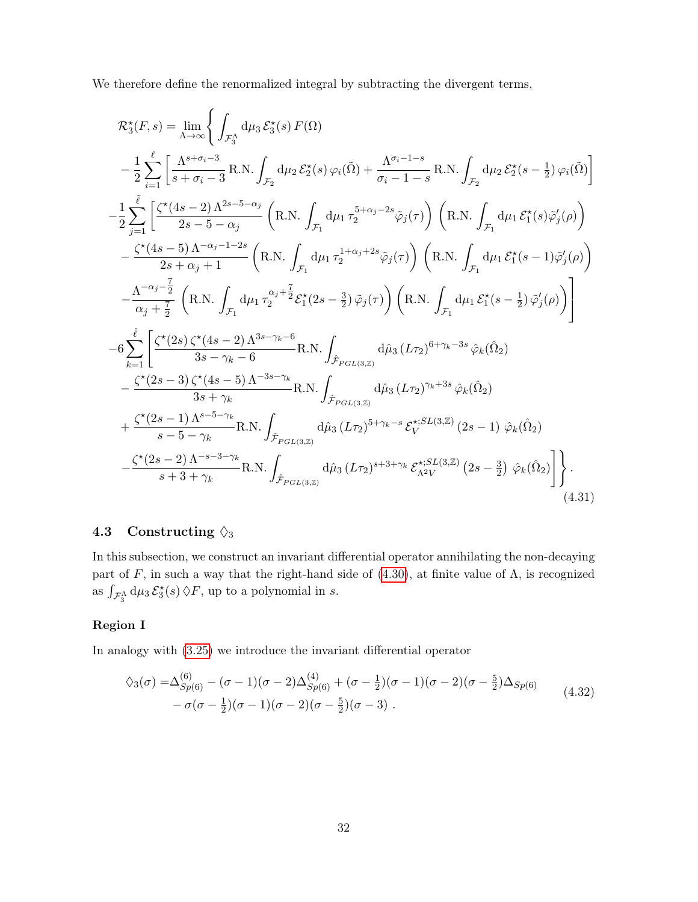We therefore define the renormalized integral by subtracting the divergent terms,

<span id="page-32-1"></span>
$$
\mathcal{R}_{3}^{\star}(F,s) = \lim_{\Delta \to \infty} \left\{ \int_{\mathcal{F}_{3}^{\Lambda}} d\mu_{3} \mathcal{E}_{3}^{\star}(s) F(\Omega) \right.\n- \frac{1}{2} \sum_{i=1}^{\ell} \left[ \frac{\Lambda^{s+\sigma_{i}-3}}{s+\sigma_{i}-3} R.N. \int_{\mathcal{F}_{2}} d\mu_{2} \mathcal{E}_{2}^{\star}(s) \varphi_{i}(\tilde{\Omega}) + \frac{\Lambda^{\sigma_{i}-1-s}}{\sigma_{i}-1-s} R.N. \int_{\mathcal{F}_{2}} d\mu_{2} \mathcal{E}_{2}^{\star}(s-\frac{1}{2}) \varphi_{i}(\tilde{\Omega}) \right] \n- \frac{1}{2} \sum_{j=1}^{\tilde{\ell}} \left[ \frac{\zeta^{\star}(4s-2) \Lambda^{2s-5-\alpha_{j}}}{2s-5-\alpha_{j}} \left( R.N. \int_{\mathcal{F}_{1}} d\mu_{1} \tau_{2}^{5+\alpha_{j}-2s} \tilde{\varphi}_{j}(\tau) \right) \left( R.N. \int_{\mathcal{F}_{1}} d\mu_{1} \mathcal{E}_{1}^{\star}(s) \tilde{\varphi}_{j}^{\prime}(\rho) \right) \right.\n- \frac{\zeta^{\star}(4s-5) \Lambda^{-\alpha_{j}-1-2s}}{2s+\alpha_{j}+1} \left( R.N. \int_{\mathcal{F}_{1}} d\mu_{1} \tau_{2}^{1+\alpha_{j}+2s} \tilde{\varphi}_{j}(\tau) \right) \left( R.N. \int_{\mathcal{F}_{1}} d\mu_{1} \mathcal{E}_{1}^{\star}(s-1) \tilde{\varphi}_{j}^{\prime}(\rho) \right) \n- \frac{\Lambda^{-\alpha_{j}-\frac{7}{2}}}{\alpha_{j}+\frac{7}{2}} \left( R.N. \int_{\mathcal{F}_{1}} d\mu_{1} \tau_{2}^{\alpha_{j}+\frac{7}{2}} \mathcal{E}_{1}^{\star}(2s-\frac{3}{2}) \tilde{\varphi}_{j}(\tau) \right) \left( R.N. \int_{\mathcal{F}_{1}} d\mu_{1} \mathcal{E}_{1}^{\star}(s-\frac{1}{2}) \tilde{\varphi}_{j}^{\prime}(\rho) \right) \right.\n- 6 \sum_{
$$

## <span id="page-32-0"></span>4.3 Constructing  $\Diamond_3$

In this subsection, we construct an invariant differential operator annihilating the non-decaying part of F, in such a way that the right-hand side of [\(4.30\)](#page-31-0), at finite value of  $\Lambda$ , is recognized as  $\int_{\mathcal{F}_3^{\Lambda}} d\mu_3 \mathcal{E}_3^{\star}(s) \, \lozenge F$ , up to a polynomial in s.

## Region I

In analogy with [\(3.25\)](#page-16-2) we introduce the invariant differential operator

<span id="page-32-2"></span>
$$
\begin{split} \lozenge_3(\sigma) =& \Delta_{Sp(6)}^{(6)} - (\sigma - 1)(\sigma - 2)\Delta_{Sp(6)}^{(4)} + (\sigma - \frac{1}{2})(\sigma - 1)(\sigma - 2)(\sigma - \frac{5}{2})\Delta_{Sp(6)} \\ &- \sigma(\sigma - \frac{1}{2})(\sigma - 1)(\sigma - 2)(\sigma - \frac{5}{2})(\sigma - 3) \ . \end{split} \tag{4.32}
$$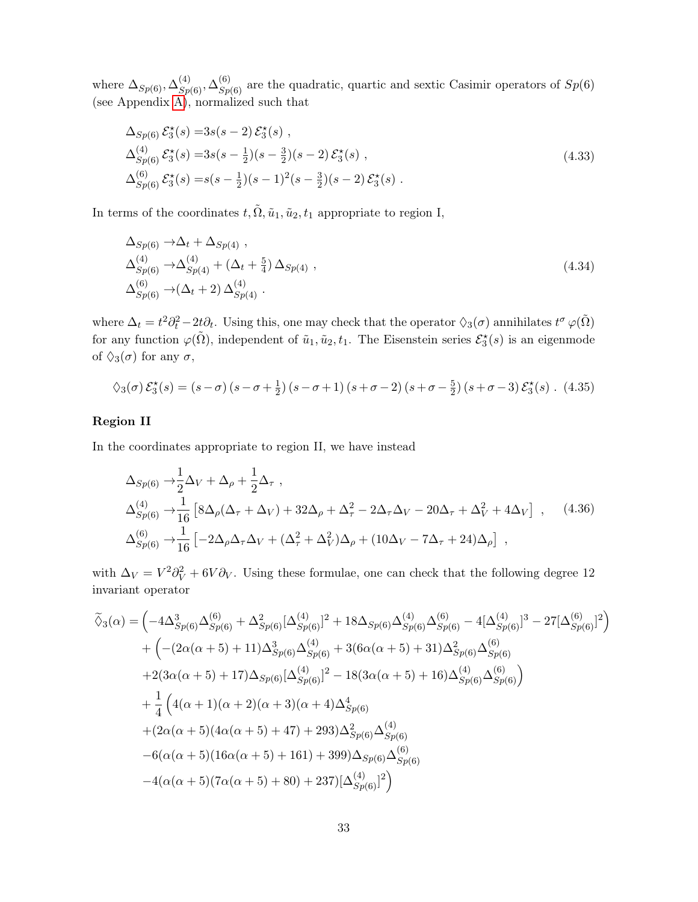where  $\Delta_{Sp(6)}$ ,  $\Delta_{Sp(6)}^{(4)}$ ,  $\Delta_{Sp(6)}^{(6)}$  are the quadratic, quartic and sextic Casimir operators of  $Sp(6)$ (see Appendix [A\)](#page-42-0), normalized such that

$$
\Delta_{Sp(6)} \mathcal{E}_3^*(s) = 3s(s-2) \mathcal{E}_3^*(s) ,
$$
  
\n
$$
\Delta_{Sp(6)}^{(4)} \mathcal{E}_3^*(s) = 3s(s-\frac{1}{2})(s-\frac{3}{2})(s-2) \mathcal{E}_3^*(s) ,
$$
  
\n
$$
\Delta_{Sp(6)}^{(6)} \mathcal{E}_3^*(s) = s(s-\frac{1}{2})(s-1)^2(s-\frac{3}{2})(s-2) \mathcal{E}_3^*(s) .
$$
\n(4.33)

In terms of the coordinates  $t, \tilde{\Omega}, \tilde{u}_1, \tilde{u}_2, t_1$  appropriate to region I,

<span id="page-33-1"></span>
$$
\Delta_{Sp(6)} \to \Delta_t + \Delta_{Sp(4)},
$$
  
\n
$$
\Delta_{Sp(6)}^{(4)} \to \Delta_{Sp(4)}^{(4)} + (\Delta_t + \frac{5}{4}) \Delta_{Sp(4)},
$$
  
\n
$$
\Delta_{Sp(6)}^{(6)} \to (\Delta_t + 2) \Delta_{Sp(4)}^{(4)}.
$$
\n(4.34)

where  $\Delta_t = t^2 \partial_t^2 - 2t \partial_t$ . Using this, one may check that the operator  $\Diamond_3(\sigma)$  annihilates  $t^{\sigma} \varphi(\tilde{\Omega})$ for any function  $\varphi(\tilde{\Omega})$ , independent of  $\tilde{u}_1, \tilde{u}_2, t_1$ . The Eisenstein series  $\mathcal{E}_3^{\star}(s)$  is an eigenmode of  $\Diamond_3(\sigma)$  for any  $\sigma$ ,

<span id="page-33-0"></span>
$$
\Diamond_3(\sigma) \mathcal{E}_3^{\star}(s) = (s - \sigma) (s - \sigma + \frac{1}{2}) (s - \sigma + 1) (s + \sigma - 2) (s + \sigma - \frac{5}{2}) (s + \sigma - 3) \mathcal{E}_3^{\star}(s) . (4.35)
$$

#### Region II

In the coordinates appropriate to region II, we have instead

<span id="page-33-2"></span>
$$
\Delta_{Sp(6)} \rightarrow \frac{1}{2} \Delta_V + \Delta_\rho + \frac{1}{2} \Delta_\tau ,
$$
\n
$$
\Delta_{Sp(6)}^{(4)} \rightarrow \frac{1}{16} \left[ 8 \Delta_\rho (\Delta_\tau + \Delta_V) + 32 \Delta_\rho + \Delta_\tau^2 - 2 \Delta_\tau \Delta_V - 20 \Delta_\tau + \Delta_V^2 + 4 \Delta_V \right] , \quad (4.36)
$$
\n
$$
\Delta_{Sp(6)}^{(6)} \rightarrow \frac{1}{16} \left[ -2 \Delta_\rho \Delta_\tau \Delta_V + (\Delta_\tau^2 + \Delta_V^2) \Delta_\rho + (10 \Delta_V - 7 \Delta_\tau + 24) \Delta_\rho \right] ,
$$

with  $\Delta_V = V^2 \partial_V^2 + 6V \partial_V$ . Using these formulae, one can check that the following degree 12 invariant operator

$$
\tilde{\diamond}_{3}(\alpha) = \left(-4\Delta_{Sp(6)}^{3}\Delta_{Sp(6)}^{(6)} + \Delta_{Sp(6)}^{2}[\Delta_{Sp(6)}^{(4)}]^{2} + 18\Delta_{Sp(6)}\Delta_{Sp(6)}^{(4)}\Delta_{Sp(6)}^{(6)} - 4[\Delta_{Sp(6)}^{(4)}]^{3} - 27[\Delta_{Sp(6)}^{(6)}]^{2}\right) \n+ \left(-\left(2\alpha(\alpha+5)+11\right)\Delta_{Sp(6)}^{3}\Delta_{Sp(6)}^{(4)} + 3(6\alpha(\alpha+5)+31)\Delta_{Sp(6)}^{2}\Delta_{Sp(6)}^{(6)}\right) \n+ 2(3\alpha(\alpha+5)+17)\Delta_{Sp(6)}[\Delta_{Sp(6)}^{(4)}]^{2} - 18(3\alpha(\alpha+5)+16)\Delta_{Sp(6)}^{(4)}\Delta_{Sp(6)}^{(6)}\right) \n+ \frac{1}{4}\left(4(\alpha+1)(\alpha+2)(\alpha+3)(\alpha+4)\Delta_{Sp(6)}^{4}\right) \n+ \left(2\alpha(\alpha+5)(4\alpha(\alpha+5)+47)+293)\Delta_{Sp(6)}^{2}\Delta_{Sp(6)}^{(4)}\right) \n- 6(\alpha(\alpha+5)(16\alpha(\alpha+5)+161)+399)\Delta_{Sp(6)}\Delta_{Sp(6)}^{(6)}\right) \n- 4(\alpha(\alpha+5)(7\alpha(\alpha+5)+80)+237)[\Delta_{Sp(6)}^{(4)}]^{2}
$$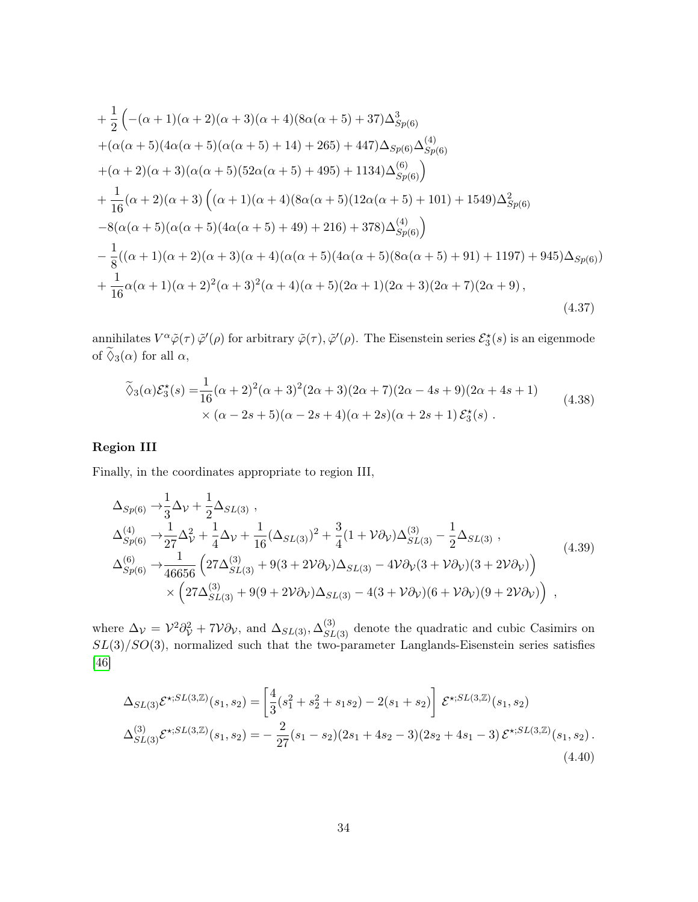+
$$
\frac{1}{2}
$$
 $\left(-(\alpha + 1)(\alpha + 2)(\alpha + 3)(\alpha + 4)(8\alpha(\alpha + 5) + 37)\Delta_{Sp(6)}^3\right)$   
+ $(\alpha(\alpha + 5)(4\alpha(\alpha + 5)(\alpha(\alpha + 5) + 14) + 265) + 447)\Delta_{Sp(6)}\Delta_{Sp(6)}^{(4)}$   
+ $(\alpha + 2)(\alpha + 3)(\alpha(\alpha + 5)(52\alpha(\alpha + 5) + 495) + 1134)\Delta_{Sp(6)}^{(6)})\right)$   
+ $\frac{1}{16}(\alpha + 2)(\alpha + 3)\left((\alpha + 1)(\alpha + 4)(8\alpha(\alpha + 5)(12\alpha(\alpha + 5) + 101) + 1549)\Delta_{Sp(6)}^2\right)$   
- $8(\alpha(\alpha + 5)(\alpha(\alpha + 5)(4\alpha(\alpha + 5) + 49) + 216) + 378)\Delta_{Sp(6)}^{(4)})\right)$   
- $\frac{1}{8}((\alpha + 1)(\alpha + 2)(\alpha + 3)(\alpha + 4)(\alpha(\alpha + 5)(4\alpha(\alpha + 5)(8\alpha(\alpha + 5) + 91) + 1197) + 945)\Delta_{Sp(6)})\right)$   
+ $\frac{1}{16}\alpha(\alpha + 1)(\alpha + 2)^2(\alpha + 3)^2(\alpha + 4)(\alpha + 5)(2\alpha + 1)(2\alpha + 3)(2\alpha + 7)(2\alpha + 9)$ , (4.37)

annihilates  $V^{\alpha}\tilde{\varphi}(\tau)\tilde{\varphi}'(\rho)$  for arbitrary  $\tilde{\varphi}(\tau), \tilde{\varphi}'(\rho)$ . The Eisenstein series  $\mathcal{E}_{3}^{\star}(s)$  is an eigenmode of  $\tilde{\lozenge}_3(\alpha)$  for all  $\alpha$ ,

<span id="page-34-1"></span><span id="page-34-0"></span>
$$
\widetilde{\Diamond}_{3}(\alpha)\mathcal{E}_{3}^{\star}(s) = \frac{1}{16}(\alpha+2)^{2}(\alpha+3)^{2}(2\alpha+3)(2\alpha+7)(2\alpha-4s+9)(2\alpha+4s+1)
$$
\n
$$
\times (\alpha-2s+5)(\alpha-2s+4)(\alpha+2s)(\alpha+2s+1)\mathcal{E}_{3}^{\star}(s) .
$$
\n(4.38)

## Region III

Finally, in the coordinates appropriate to region III,

$$
\Delta_{Sp(6)} \rightarrow \frac{1}{3} \Delta \nu + \frac{1}{2} \Delta_{SL(3)} ,
$$
\n
$$
\Delta_{Sp(6)}^{(4)} \rightarrow \frac{1}{27} \Delta_V^2 + \frac{1}{4} \Delta \nu + \frac{1}{16} (\Delta_{SL(3)})^2 + \frac{3}{4} (1 + V \partial_V) \Delta_{SL(3)}^{(3)} - \frac{1}{2} \Delta_{SL(3)} ,
$$
\n
$$
\Delta_{Sp(6)}^{(6)} \rightarrow \frac{1}{46656} \left( 27 \Delta_{SL(3)}^{(3)} + 9(3 + 2V \partial_V) \Delta_{SL(3)} - 4V \partial_V (3 + V \partial_V) (3 + 2V \partial_V) \right) \times \left( 27 \Delta_{SL(3)}^{(3)} + 9(9 + 2V \partial_V) \Delta_{SL(3)} - 4(3 + V \partial_V) (6 + V \partial_V) (9 + 2V \partial_V) \right) ,
$$
\n(4.39)

where  $\Delta v = V^2 \partial_v^2 + 7V \partial_v$ , and  $\Delta_{SL(3)}$ ,  $\Delta_{SL(3)}^{(3)}$  denote the quadratic and cubic Casimirs on  $SL(3)/SO(3)$ , normalized such that the two-parameter Langlands-Eisenstein series satisfies [\[46\]](#page-53-0)

$$
\Delta_{SL(3)} \mathcal{E}^{\star;SL(3,\mathbb{Z})}(s_1, s_2) = \left[\frac{4}{3}(s_1^2 + s_2^2 + s_1 s_2) - 2(s_1 + s_2)\right] \mathcal{E}^{\star;SL(3,\mathbb{Z})}(s_1, s_2)
$$
  

$$
\Delta_{SL(3)}^{(3)} \mathcal{E}^{\star;SL(3,\mathbb{Z})}(s_1, s_2) = -\frac{2}{27}(s_1 - s_2)(2s_1 + 4s_2 - 3)(2s_2 + 4s_1 - 3) \mathcal{E}^{\star;SL(3,\mathbb{Z})}(s_1, s_2).
$$
\n(4.40)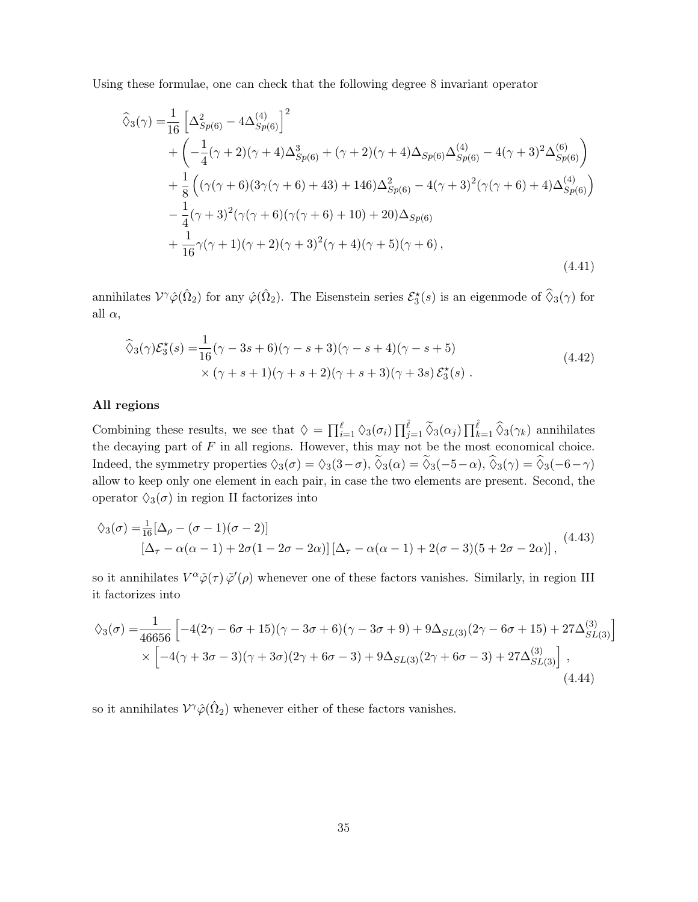Using these formulae, one can check that the following degree 8 invariant operator

$$
\widehat{\Diamond}_{3}(\gamma) = \frac{1}{16} \left[ \Delta_{Sp(6)}^{2} - 4\Delta_{Sp(6)}^{(4)} \right]^{2} \n+ \left( -\frac{1}{4}(\gamma + 2)(\gamma + 4)\Delta_{Sp(6)}^{3} + (\gamma + 2)(\gamma + 4)\Delta_{Sp(6)}\Delta_{Sp(6)}^{(4)} - 4(\gamma + 3)^{2}\Delta_{Sp(6)}^{(6)} \right) \n+ \frac{1}{8} \left( (\gamma(\gamma + 6)(3\gamma(\gamma + 6) + 43) + 146)\Delta_{Sp(6)}^{2} - 4(\gamma + 3)^{2}(\gamma(\gamma + 6) + 4)\Delta_{Sp(6)}^{(4)} \right) \n- \frac{1}{4}(\gamma + 3)^{2}(\gamma(\gamma + 6)(\gamma(\gamma + 6) + 10) + 20)\Delta_{Sp(6)} \n+ \frac{1}{16}\gamma(\gamma + 1)(\gamma + 2)(\gamma + 3)^{2}(\gamma + 4)(\gamma + 5)(\gamma + 6),
$$
\n(4.41)

annihilates  $V^{\gamma}\hat{\varphi}(\hat{\Omega}_2)$  for any  $\hat{\varphi}(\hat{\Omega}_2)$ . The Eisenstein series  $\mathcal{E}_3^*(s)$  is an eigenmode of  $\hat{\diamond}_3(\gamma)$  for all  $\alpha$ ,

<span id="page-35-0"></span>
$$
\widehat{\Diamond}_{3}(\gamma)\mathcal{E}_{3}^{\star}(s) = \frac{1}{16}(\gamma - 3s + 6)(\gamma - s + 3)(\gamma - s + 4)(\gamma - s + 5)
$$
  
× (\gamma + s + 1)(\gamma + s + 2)(\gamma + s + 3)(\gamma + 3s)  $\mathcal{E}_{3}^{\star}(s)$ . (4.42)

#### All regions

Combining these results, we see that  $\Diamond = \prod_{i=1}^{\ell} \Diamond_3(\sigma_i) \prod_{j=1}^{\tilde{\ell}} \widetilde{\Diamond}_3(\alpha_j) \prod_{k=1}^{\hat{\ell}} \widehat{\Diamond}_3(\gamma_k)$  annihilates the decaying part of  $F$  in all regions. However, this may not be the most economical choice. Indeed, the symmetry properties  $\Diamond_3(\sigma) = \Diamond_3(3-\sigma), \widetilde{\Diamond}_3(\alpha) = \widetilde{\Diamond}_3(-5-\alpha), \widehat{\Diamond}_3(\gamma) = \widehat{\Diamond}_3(-6-\gamma)$ allow to keep only one element in each pair, in case the two elements are present. Second, the operator  $\Diamond_3(\sigma)$  in region II factorizes into

$$
\begin{aligned} \lozenge_3(\sigma) &= \frac{1}{16} [\Delta_\rho - (\sigma - 1)(\sigma - 2)] \\ \big[ \Delta_\tau - \alpha(\alpha - 1) + 2\sigma(1 - 2\sigma - 2\alpha) \big] \big[ \Delta_\tau - \alpha(\alpha - 1) + 2(\sigma - 3)(5 + 2\sigma - 2\alpha) \big], \end{aligned} \tag{4.43}
$$

so it annihilates  $V^{\alpha}\tilde{\varphi}(\tau)\tilde{\varphi}'(\rho)$  whenever one of these factors vanishes. Similarly, in region III it factorizes into

$$
\diamondsuit_{3}(\sigma) = \frac{1}{46656} \left[ -4(2\gamma - 6\sigma + 15)(\gamma - 3\sigma + 6)(\gamma - 3\sigma + 9) + 9\Delta_{SL(3)}(2\gamma - 6\sigma + 15) + 27\Delta_{SL(3)}^{(3)} \right] \times \left[ -4(\gamma + 3\sigma - 3)(\gamma + 3\sigma)(2\gamma + 6\sigma - 3) + 9\Delta_{SL(3)}(2\gamma + 6\sigma - 3) + 27\Delta_{SL(3)}^{(3)} \right],
$$
\n(4.44)

so it annihilates  $\mathcal{V}^{\gamma}\hat{\varphi}(\hat{\Omega}_2)$  whenever either of these factors vanishes.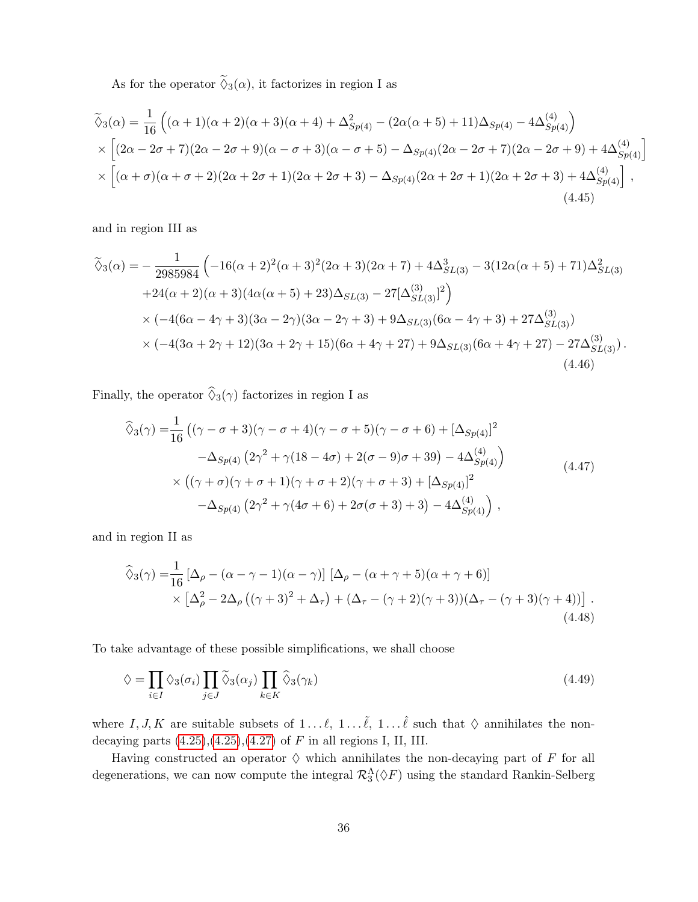As for the operator  $\tilde{\Diamond}_3(\alpha)$ , it factorizes in region I as

$$
\widetilde{\diamond}_{3}(\alpha) = \frac{1}{16} \left( (\alpha + 1)(\alpha + 2)(\alpha + 3)(\alpha + 4) + \Delta_{Sp(4)}^{2} - (2\alpha(\alpha + 5) + 11)\Delta_{Sp(4)} - 4\Delta_{Sp(4)}^{(4)} \right) \times \left[ (2\alpha - 2\sigma + 7)(2\alpha - 2\sigma + 9)(\alpha - \sigma + 3)(\alpha - \sigma + 5) - \Delta_{Sp(4)}(2\alpha - 2\sigma + 7)(2\alpha - 2\sigma + 9) + 4\Delta_{Sp(4)}^{(4)} \right] \times \left[ (\alpha + \sigma)(\alpha + \sigma + 2)(2\alpha + 2\sigma + 1)(2\alpha + 2\sigma + 3) - \Delta_{Sp(4)}(2\alpha + 2\sigma + 1)(2\alpha + 2\sigma + 3) + 4\Delta_{Sp(4)}^{(4)} \right],
$$
\n(4.45)

and in region III as

$$
\tilde{\diamond}_{3}(\alpha) = -\frac{1}{2985984} \left( -16(\alpha+2)^2(\alpha+3)^2(2\alpha+3)(2\alpha+7) + 4\Delta_{SL(3)}^3 - 3(12\alpha(\alpha+5) + 71)\Delta_{SL(3)}^2 + 24(\alpha+2)(\alpha+3)(4\alpha(\alpha+5) + 23)\Delta_{SL(3)} - 27[\Delta_{SL(3)}^{(3)}]^2 \right)
$$
  
×  $(-4(6\alpha-4\gamma+3)(3\alpha-2\gamma)(3\alpha-2\gamma+3) + 9\Delta_{SL(3)}(6\alpha-4\gamma+3) + 27\Delta_{SL(3)}^{(3)})$   
×  $(-4(3\alpha+2\gamma+12)(3\alpha+2\gamma+15)(6\alpha+4\gamma+27) + 9\Delta_{SL(3)}(6\alpha+4\gamma+27) - 27\Delta_{SL(3)}^{(3)})$ . (4.46)

Finally, the operator  $\widehat{\Diamond}_{3}(\gamma)$  factorizes in region I as

$$
\widehat{\diamond}_{3}(\gamma) = \frac{1}{16} \left( (\gamma - \sigma + 3)(\gamma - \sigma + 4)(\gamma - \sigma + 5)(\gamma - \sigma + 6) + [\Delta_{Sp(4)}]^{2} - \Delta_{Sp(4)} (2\gamma^{2} + \gamma(18 - 4\sigma) + 2(\sigma - 9)\sigma + 39) - 4\Delta_{Sp(4)}^{(4)} \right) \times \left( (\gamma + \sigma)(\gamma + \sigma + 1)(\gamma + \sigma + 2)(\gamma + \sigma + 3) + [\Delta_{Sp(4)}]^{2} - \Delta_{Sp(4)} (2\gamma^{2} + \gamma(4\sigma + 6) + 2\sigma(\sigma + 3) + 3) - 4\Delta_{Sp(4)}^{(4)} \right),
$$
\n(4.47)

and in region II as

$$
\widehat{\Diamond}_{3}(\gamma) = \frac{1}{16} \left[ \Delta_{\rho} - (\alpha - \gamma - 1)(\alpha - \gamma) \right] \left[ \Delta_{\rho} - (\alpha + \gamma + 5)(\alpha + \gamma + 6) \right] \times \left[ \Delta_{\rho}^{2} - 2\Delta_{\rho} \left( (\gamma + 3)^{2} + \Delta_{\tau} \right) + (\Delta_{\tau} - (\gamma + 2)(\gamma + 3)) (\Delta_{\tau} - (\gamma + 3)(\gamma + 4)) \right].
$$
\n(4.48)

To take advantage of these possible simplifications, we shall choose

$$
\lozenge = \prod_{i \in I} \lozenge_3(\sigma_i) \prod_{j \in J} \widetilde{\lozenge}_3(\alpha_j) \prod_{k \in K} \widehat{\lozenge}_3(\gamma_k)
$$
\n(4.49)

where I, J, K are suitable subsets of  $1 \dots \ell$ ,  $1 \dots \tilde{\ell}$ ,  $1 \dots \ell$  such that  $\Diamond$  annihilates the nondecaying parts  $(4.25),(4.25),(4.27)$  $(4.25),(4.25),(4.27)$  $(4.25),(4.25),(4.27)$  of F in all regions I, II, III.

Having constructed an operator  $\Diamond$  which annihilates the non-decaying part of F for all degenerations, we can now compute the integral  $\mathcal{R}_3^{\Lambda}(\Diamond F)$  using the standard Rankin-Selberg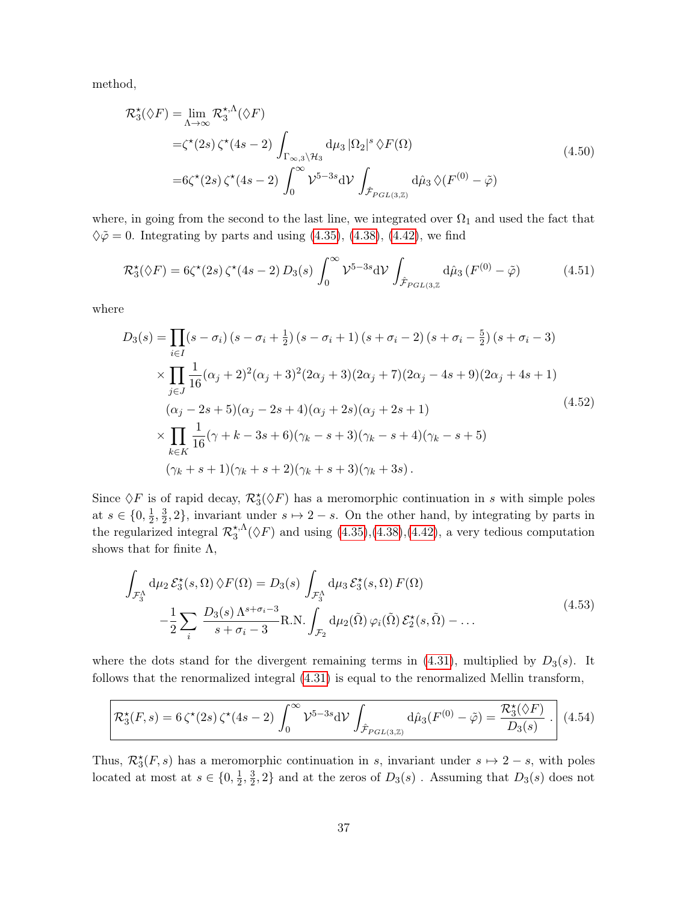method,

$$
\mathcal{R}_{3}^{\star}(\Diamond F) = \lim_{\Lambda \to \infty} \mathcal{R}_{3}^{\star,\Lambda}(\Diamond F)
$$
  
= $\zeta^{\star}(2s) \zeta^{\star}(4s-2) \int_{\Gamma_{\infty,3}\setminus\mathcal{H}_{3}} d\mu_{3} |\Omega_{2}|^{s} \Diamond F(\Omega)$   
= $6\zeta^{\star}(2s) \zeta^{\star}(4s-2) \int_{0}^{\infty} \mathcal{V}^{5-3s} d\mathcal{V} \int_{\hat{\mathcal{F}}_{PGL(3,\mathbb{Z})}} d\hat{\mu}_{3} \Diamond (F^{(0)} - \tilde{\varphi})$ \n(4.50)

where, in going from the second to the last line, we integrated over  $\Omega_1$  and used the fact that  $\Diamond \tilde{\varphi} = 0$ . Integrating by parts and using [\(4.35\)](#page-33-0), [\(4.38\)](#page-34-0), [\(4.42\)](#page-35-0), we find

$$
\mathcal{R}_3^{\star}(\Diamond F) = 6\zeta^{\star}(2s)\,\zeta^{\star}(4s-2)\,D_3(s)\,\int_0^{\infty} \mathcal{V}^{5-3s}\mathrm{d}\mathcal{V}\,\int_{\hat{\mathcal{F}}_{PGL(3,\mathbb{Z}}}\mathrm{d}\hat{\mu}_3\,(F^{(0)}-\tilde{\varphi})\tag{4.51}
$$

where

$$
D_3(s) = \prod_{i \in I} (s - \sigma_i) (s - \sigma_i + \frac{1}{2}) (s - \sigma_i + 1) (s + \sigma_i - 2) (s + \sigma_i - \frac{5}{2}) (s + \sigma_i - 3)
$$
  
\n
$$
\times \prod_{j \in J} \frac{1}{16} (\alpha_j + 2)^2 (\alpha_j + 3)^2 (2\alpha_j + 3) (2\alpha_j + 7) (2\alpha_j - 4s + 9) (2\alpha_j + 4s + 1)
$$
  
\n
$$
(\alpha_j - 2s + 5) (\alpha_j - 2s + 4) (\alpha_j + 2s) (\alpha_j + 2s + 1)
$$
  
\n
$$
\times \prod_{k \in K} \frac{1}{16} (\gamma + k - 3s + 6) (\gamma_k - s + 3) (\gamma_k - s + 4) (\gamma_k - s + 5)
$$
  
\n
$$
(\gamma_k + s + 1) (\gamma_k + s + 2) (\gamma_k + s + 3) (\gamma_k + 3s).
$$
\n(4.52)

Since  $\Diamond F$  is of rapid decay,  $\mathcal{R}_3^{\star}(\Diamond F)$  has a meromorphic continuation in s with simple poles at  $s \in \{0, \frac{1}{2}\}$  $\frac{1}{2}, \frac{3}{2}$  $\frac{3}{2}$ , 2, invariant under  $s \mapsto 2-s$ . On the other hand, by integrating by parts in the regularized integral  $\mathcal{R}_{3}^{\star,\Lambda}$  $\zeta_3^{\star,\Lambda}(\lozenge F)$  and using  $(4.35),(4.38),(4.42)$  $(4.35),(4.38),(4.42)$  $(4.35),(4.38),(4.42)$  $(4.35),(4.38),(4.42)$  $(4.35),(4.38),(4.42)$ , a very tedious computation shows that for finite  $\Lambda$ ,

<span id="page-37-0"></span>
$$
\int_{\mathcal{F}_3^{\Lambda}} d\mu_2 \mathcal{E}_3^{\star}(s, \Omega) \, \diamondsuit F(\Omega) = D_3(s) \int_{\mathcal{F}_3^{\Lambda}} d\mu_3 \mathcal{E}_3^{\star}(s, \Omega) \, F(\Omega) \n- \frac{1}{2} \sum_i \frac{D_3(s) \, \Lambda^{s + \sigma_i - 3}}{s + \sigma_i - 3} \text{R.N.} \int_{\mathcal{F}_2} d\mu_2(\tilde{\Omega}) \, \varphi_i(\tilde{\Omega}) \, \mathcal{E}_2^{\star}(s, \tilde{\Omega}) - \dots
$$
\n(4.53)

where the dots stand for the divergent remaining terms in [\(4.31\)](#page-32-1), multiplied by  $D_3(s)$ . It follows that the renormalized integral [\(4.31\)](#page-32-1) is equal to the renormalized Mellin transform,

$$
\mathcal{R}_3^{\star}(F,s) = 6\,\zeta^{\star}(2s)\,\zeta^{\star}(4s-2)\,\int_0^{\infty} \mathcal{V}^{5-3s}d\mathcal{V}\,\int_{\hat{\mathcal{F}}_{PGL(3,\mathbb{Z})}}d\hat{\mu}_3(F^{(0)}-\tilde{\varphi}) = \frac{\mathcal{R}_3^{\star}(\hat{\varphi}F)}{D_3(s)}\,\,.
$$

Thus,  $\mathcal{R}_{3}^{*}(F, s)$  has a meromorphic continuation in s, invariant under  $s \mapsto 2-s$ , with poles located at most at  $s \in \{0, \frac{1}{2}\}$  $\frac{1}{2}, \frac{3}{2}$  $\frac{3}{2}$ , 2} and at the zeros of  $D_3(s)$ . Assuming that  $D_3(s)$  does not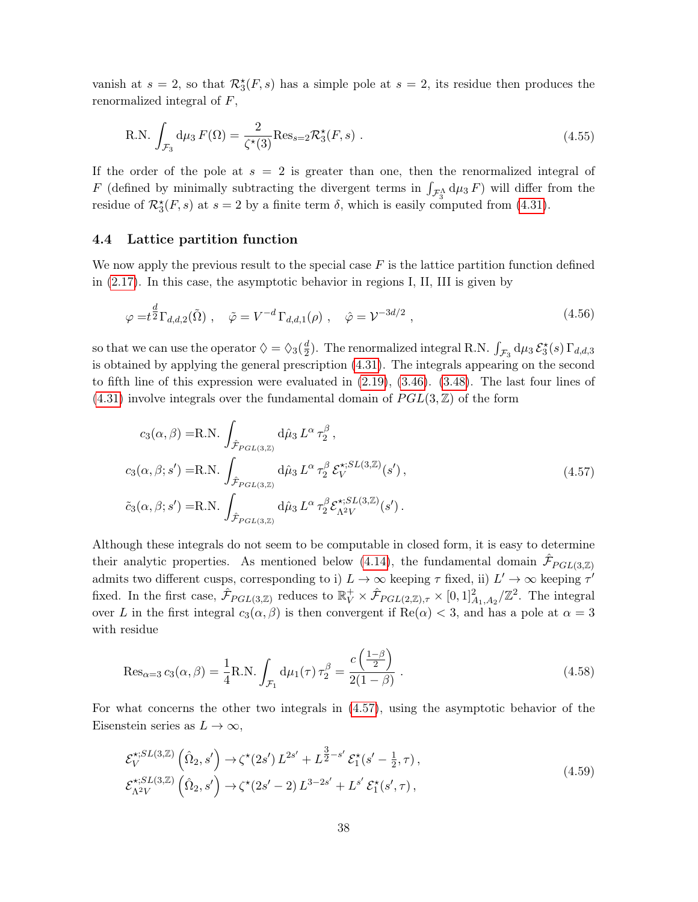vanish at  $s = 2$ , so that  $\mathcal{R}_3^*(F, s)$  has a simple pole at  $s = 2$ , its residue then produces the renormalized integral of F,

R.N. 
$$
\int_{\mathcal{F}_3} d\mu_3 F(\Omega) = \frac{2}{\zeta^*(3)} Res_{s=2} \mathcal{R}_3^*(F, s)
$$
 (4.55)

If the order of the pole at  $s = 2$  is greater than one, then the renormalized integral of F (defined by minimally subtracting the divergent terms in  $\int_{\mathcal{F}_3^{\Lambda}} d\mu_3 F$ ) will differ from the residue of  $\mathcal{R}_3^{\star}(F, s)$  at  $s = 2$  by a finite term  $\delta$ , which is easily computed from [\(4.31\)](#page-32-1).

#### <span id="page-38-0"></span>4.4 Lattice partition function

We now apply the previous result to the special case  $F$  is the lattice partition function defined in [\(2.17\)](#page-8-2). In this case, the asymptotic behavior in regions I, II, III is given by

$$
\varphi = t^{\frac{d}{2}} \Gamma_{d,d,2}(\tilde{\Omega}), \quad \tilde{\varphi} = V^{-d} \Gamma_{d,d,1}(\rho), \quad \hat{\varphi} = V^{-3d/2}, \qquad (4.56)
$$

so that we can use the operator  $\Diamond = \Diamond_3(\frac{d}{2})$  $\frac{d}{2}$ ). The renormalized integral R.N.  $\int_{\mathcal{F}_3} d\mu_3 \, \mathcal{E}_3^\star(s) \, \Gamma_{d,d,3}$ is obtained by applying the general prescription [\(4.31\)](#page-32-1). The integrals appearing on the second to fifth line of this expression were evaluated in [\(2.19\)](#page-9-1), [\(3.46\)](#page-21-1). [\(3.48\)](#page-22-0). The last four lines of  $(4.31)$  involve integrals over the fundamental domain of  $PGL(3, \mathbb{Z})$  of the form

<span id="page-38-1"></span>
$$
c_3(\alpha, \beta) = \text{R.N.} \int_{\hat{\mathcal{F}}_{PGL(3,\mathbb{Z})}} d\hat{\mu}_3 L^{\alpha} \tau_2^{\beta},
$$
  
\n
$$
c_3(\alpha, \beta; s') = \text{R.N.} \int_{\hat{\mathcal{F}}_{PGL(3,\mathbb{Z})}} d\hat{\mu}_3 L^{\alpha} \tau_2^{\beta} \mathcal{E}_V^{*,SL(3,\mathbb{Z})}(s'),
$$
  
\n
$$
\tilde{c}_3(\alpha, \beta; s') = \text{R.N.} \int_{\hat{\mathcal{F}}_{PGL(3,\mathbb{Z})}} d\hat{\mu}_3 L^{\alpha} \tau_2^{\beta} \mathcal{E}_{\Lambda^2 V}^{*,SL(3,\mathbb{Z})}(s').
$$
\n(4.57)

Although these integrals do not seem to be computable in closed form, it is easy to determine their analytic properties. As mentioned below [\(4.14\)](#page-28-0), the fundamental domain  $\hat{\mathcal{F}}_{PGL(3,\mathbb{Z})}$ admits two different cusps, corresponding to i)  $L \to \infty$  keeping  $\tau$  fixed, ii)  $L' \to \infty$  keeping  $\tau'$ fixed. In the first case,  $\hat{\mathcal{F}}_{PGL(3,\mathbb{Z})}$  reduces to  $\mathbb{R}_V^+ \times \hat{\mathcal{F}}_{PGL(2,\mathbb{Z}),\tau} \times [0,1]^2_{A_1,A_2}/\mathbb{Z}^2$ . The integral over L in the first integral  $c_3(\alpha, \beta)$  is then convergent if  $\text{Re}(\alpha) < 3$ , and has a pole at  $\alpha = 3$ with residue

$$
\text{Res}_{\alpha=3} c_3(\alpha, \beta) = \frac{1}{4} \text{R.N.} \int_{\mathcal{F}_1} d\mu_1(\tau) \,\tau_2^{\beta} = \frac{c\left(\frac{1-\beta}{2}\right)}{2(1-\beta)} \,.
$$
 (4.58)

For what concerns the other two integrals in [\(4.57\)](#page-38-1), using the asymptotic behavior of the Eisenstein series as  $L \to \infty$ ,

$$
\mathcal{E}_{V}^{*,SL(3,\mathbb{Z})}(\hat{\Omega}_{2},s') \to \zeta^*(2s') L^{2s'} + L^{\frac{3}{2}-s'} \mathcal{E}_{1}^{*}(s'-\frac{1}{2},\tau),\n\mathcal{E}_{\Lambda^{2}V}^{*,SL(3,\mathbb{Z})}(\hat{\Omega}_{2},s') \to \zeta^*(2s'-2) L^{3-2s'} + L^{s'} \mathcal{E}_{1}^{*}(s',\tau),
$$
\n(4.59)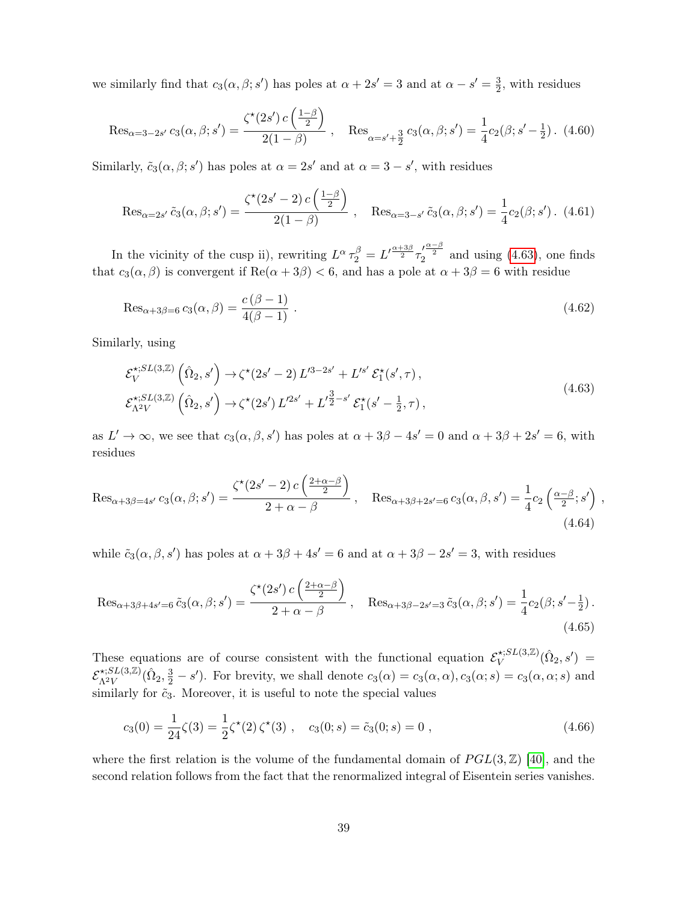we similarly find that  $c_3(\alpha, \beta; s')$  has poles at  $\alpha + 2s' = 3$  and at  $\alpha - s' = \frac{3}{2}$  $\frac{3}{2}$ , with residues

$$
\operatorname{Res}_{\alpha=3-2s'} c_3(\alpha,\beta;s') = \frac{\zeta^*(2s') c\left(\frac{1-\beta}{2}\right)}{2(1-\beta)}, \quad \operatorname{Res}_{\alpha=s'+\frac{3}{2}} c_3(\alpha,\beta;s') = \frac{1}{4}c_2(\beta;s'-\frac{1}{2}) \tag{4.60}
$$

Similarly,  $\tilde{c}_3(\alpha, \beta; s')$  has poles at  $\alpha = 2s'$  and at  $\alpha = 3 - s'$ , with residues

$$
\operatorname{Res}_{\alpha=2s'} \tilde{c}_3(\alpha,\beta;s') = \frac{\zeta^*(2s'-2) c \left(\frac{1-\beta}{2}\right)}{2(1-\beta)}, \quad \operatorname{Res}_{\alpha=3-s'} \tilde{c}_3(\alpha,\beta;s') = \frac{1}{4} c_2(\beta;s'). \tag{4.61}
$$

In the vicinity of the cusp ii), rewriting  $L^{\alpha} \tau_2^{\beta} = L^{\prime \frac{\alpha + 3\beta}{2}} \tau_2^{\prime \frac{\alpha - \beta}{2}}$  and using [\(4.63\)](#page-39-0), one finds that  $c_3(\alpha, \beta)$  is convergent if  $\text{Re}(\alpha + 3\beta) < 6$ , and has a pole at  $\alpha + 3\beta = 6$  with residue

$$
\operatorname{Res}_{\alpha+3\beta=6} c_3(\alpha,\beta) = \frac{c(\beta-1)}{4(\beta-1)} \ . \tag{4.62}
$$

Similarly, using

<span id="page-39-0"></span>
$$
\mathcal{E}_{V}^{\star;SL(3,\mathbb{Z})}(\hat{\Omega}_{2},s') \to \zeta^{\star}(2s'-2) L'^{3-2s'} + L'^{s'} \mathcal{E}_{1}^{\star}(s',\tau), \n\mathcal{E}_{\Lambda^{2}V}^{\star;SL(3,\mathbb{Z})}(\hat{\Omega}_{2},s') \to \zeta^{\star}(2s') L'^{2s'} + L'^{\frac{3}{2}-s'} \mathcal{E}_{1}^{\star}(s'-\frac{1}{2},\tau),
$$
\n(4.63)

as  $L' \to \infty$ , we see that  $c_3(\alpha, \beta, s')$  has poles at  $\alpha + 3\beta - 4s' = 0$  and  $\alpha + 3\beta + 2s' = 6$ , with residues

$$
\operatorname{Res}_{\alpha+3\beta=4s'} c_3(\alpha,\beta;s') = \frac{\zeta^*(2s'-2) c\left(\frac{2+\alpha-\beta}{2}\right)}{2+\alpha-\beta}, \quad \operatorname{Res}_{\alpha+3\beta+2s'=6} c_3(\alpha,\beta,s') = \frac{1}{4}c_2\left(\frac{\alpha-\beta}{2};s'\right),\tag{4.64}
$$

while  $\tilde{c}_3(\alpha, \beta, s')$  has poles at  $\alpha + 3\beta + 4s' = 6$  and at  $\alpha + 3\beta - 2s' = 3$ , with residues

$$
\operatorname{Res}_{\alpha+3\beta+4s'=6}\tilde{c}_3(\alpha,\beta;s') = \frac{\zeta^*(2s')c\left(\frac{2+\alpha-\beta}{2}\right)}{2+\alpha-\beta}, \quad \operatorname{Res}_{\alpha+3\beta-2s'=3}\tilde{c}_3(\alpha,\beta;s') = \frac{1}{4}c_2(\beta;s'-\frac{1}{2}).
$$
\n(4.65)

These equations are of course consistent with the functional equation  $\mathcal{E}_V^{*,SL(3,\mathbb{Z})}$  ${\hat{N}}^{(3,1)}_V(\hat{\Omega}_2,s') \;=\;$  $\mathcal{E}_{\Lambda^2 V}^{\star;SL(3,\mathbb{Z})}$  $\Lambda^{2V}(X_1, X_2)$   $(\hat{\Omega}_2, \frac{3}{2} - s')$ . For brevity, we shall denote  $c_3(\alpha) = c_3(\alpha, \alpha)$ ,  $c_3(\alpha; s) = c_3(\alpha, \alpha; s)$  and similarly for  $\tilde{c}_3$ . Moreover, it is useful to note the special values

$$
c_3(0) = \frac{1}{24}\zeta(3) = \frac{1}{2}\zeta^*(2)\,\zeta^*(3) , \quad c_3(0;s) = \tilde{c}_3(0;s) = 0 , \tag{4.66}
$$

where the first relation is the volume of the fundamental domain of  $PGL(3, \mathbb{Z})$  [\[40\]](#page-52-8), and the second relation follows from the fact that the renormalized integral of Eisentein series vanishes.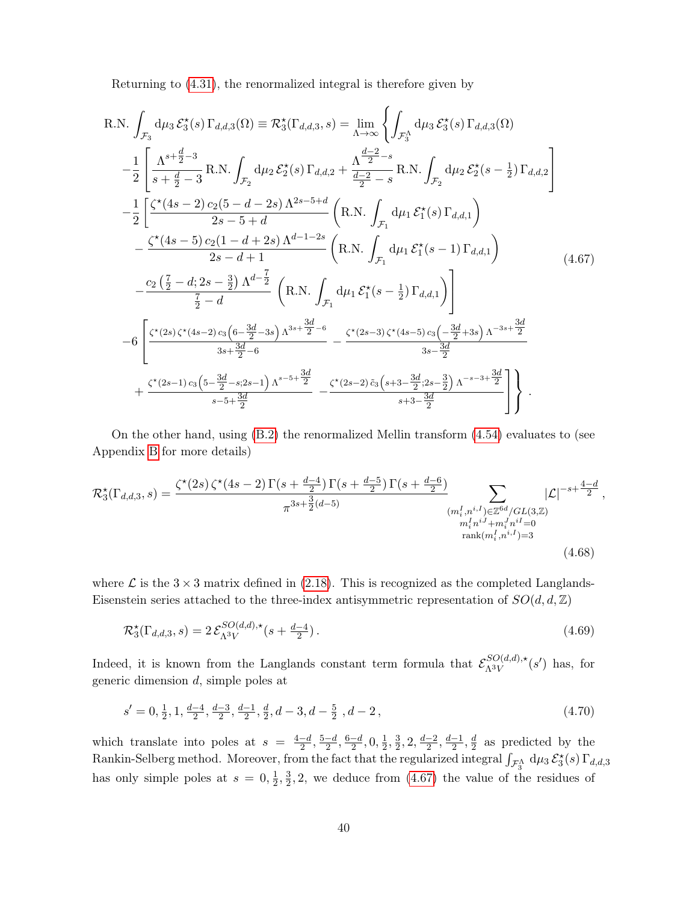<span id="page-40-0"></span>Returning to [\(4.31\)](#page-32-1), the renormalized integral is therefore given by

R.N. 
$$
\int_{\mathcal{F}_3} d\mu_3 \mathcal{E}_3^*(s) \Gamma_{d,d,3}(\Omega) \equiv \mathcal{R}_3^*(\Gamma_{d,d,3}, s) = \lim_{\Lambda \to \infty} \left\{ \int_{\mathcal{F}_3^{\Lambda}} d\mu_3 \mathcal{E}_3^*(s) \Gamma_{d,d,3}(\Omega) - \frac{1}{2} \left[ \frac{\Lambda^{s+\frac{d}{2}-3}}{s+\frac{d}{2}-3} \text{R.N.} \int_{\mathcal{F}_2} d\mu_2 \mathcal{E}_2^*(s) \Gamma_{d,d,2} + \frac{\Lambda^{d-2}_{2}-s}{\frac{d-2}{2}-s} \text{R.N.} \int_{\mathcal{F}_2} d\mu_2 \mathcal{E}_2^*(s-\frac{1}{2}) \Gamma_{d,d,2} \right] - \frac{1}{2} \left[ \frac{\zeta^*(4s-2) c_2(5-d-2s) \Lambda^{2s-5+d}}{2s-5+d} \left( \text{R.N.} \int_{\mathcal{F}_1} d\mu_1 \mathcal{E}_1^*(s) \Gamma_{d,d,1} \right) - \frac{\zeta^*(4s-5) c_2(1-d+2s) \Lambda^{d-1-2s}}{2s-d+1} \left( \text{R.N.} \int_{\mathcal{F}_1} d\mu_1 \mathcal{E}_1^*(s-1) \Gamma_{d,d,1} \right) - \frac{c_2 \left( \frac{7}{2}-d; 2s-\frac{3}{2} \right) \Lambda^{d-\frac{7}{2}}}{\frac{7}{2}-d} \left( \text{R.N.} \int_{\mathcal{F}_1} d\mu_1 \mathcal{E}_1^*(s-\frac{1}{2}) \Gamma_{d,d,1} \right) \right] - 6 \left[ \frac{\zeta^*(2s) \zeta^*(4s-2) c_3 \left(6-\frac{3d}{2}-3s\right) \Lambda^{3s+\frac{3d}{2}-6}}{3s+\frac{3d}{2}-6} - \frac{\zeta^*(2s-3) \zeta^*(4s-5) c_3 \left(-\frac{3d}{2}+3s\right) \Lambda^{-3s+\frac{3d}{2}}}{3s-\frac{3d}{2}} + \frac{\zeta^*(2s-1) c_3 \left(5-\frac{3d}{2}-s; 2s-1\right) \Lambda^{s-5+\frac{3
$$

On the other hand, using [\(B.2\)](#page-46-1) the renormalized Mellin transform [\(4.54\)](#page-37-0) evaluates to (see Appendix [B](#page-46-0) for more details)

$$
\mathcal{R}_{3}^{\star}(\Gamma_{d,d,3},s) = \frac{\zeta^{\star}(2s)\,\zeta^{\star}(4s-2)\,\Gamma(s+\frac{d-4}{2})\,\Gamma(s+\frac{d-5}{2})\,\Gamma(s+\frac{d-6}{2})}{\pi^{3s+\frac{3}{2}(d-5)}}\sum_{\substack{(m_{i}^{I},n^{i,I})\in\mathbb{Z}^{6d}/GL(3,\mathbb{Z})\\m_{i}^{I}n^{iJ}+m_{i}^{J}n^{iI}=0\\rank(m_{i}^{I},n^{i,I})=3}}|\mathcal{L}|^{-s+\frac{4-d}{2}},
$$
\n(4.68)

where  $\mathcal L$  is the 3  $\times$  3 matrix defined in [\(2.18\)](#page-8-3). This is recognized as the completed Langlands-Eisenstein series attached to the three-index antisymmetric representation of  $SO(d, d, \mathbb{Z})$ 

$$
\mathcal{R}_3^{\star}(\Gamma_{d,d,3}, s) = 2 \mathcal{E}_{\Lambda^3 V}^{SO(d,d), \star} (s + \frac{d-4}{2}). \tag{4.69}
$$

Indeed, it is known from the Langlands constant term formula that  $\mathcal{E}_{\Lambda 3V}^{SO(d,d),\star}$  $\Delta^{SO(d,d),\star}(s')$  has, for generic dimension d, simple poles at

<span id="page-40-1"></span>
$$
s' = 0, \frac{1}{2}, 1, \frac{d-4}{2}, \frac{d-3}{2}, \frac{d-1}{2}, \frac{d}{2}, d-3, d-\frac{5}{2}, d-2,
$$
\n
$$
(4.70)
$$

which translate into poles at  $s = \frac{4-d}{2}$  $\frac{-d}{2}, \frac{5-d}{2}$  $\frac{-d}{2}, \frac{6-d}{2}$  $\frac{-d}{2}, 0, \frac{1}{2}$  $\frac{1}{2}, \frac{3}{2}$  $\frac{3}{2}$ , 2,  $\frac{d-2}{2}$  $\frac{-2}{2}, \frac{d-1}{2}$  $\frac{-1}{2}$ ,  $\frac{d}{2}$  $\frac{d}{2}$  as predicted by the Rankin-Selberg method. Moreover, from the fact that the regularized integral  $\int_{\mathcal{F}_3^{\Lambda}} d\mu_3 \mathcal{E}_3^*(s) \Gamma_{d,d,3}$ has only simple poles at  $s = 0, \frac{1}{2}$  $\frac{1}{2}, \frac{3}{2}$  $\frac{3}{2}$ , 2, we deduce from [\(4.67\)](#page-40-0) the value of the residues of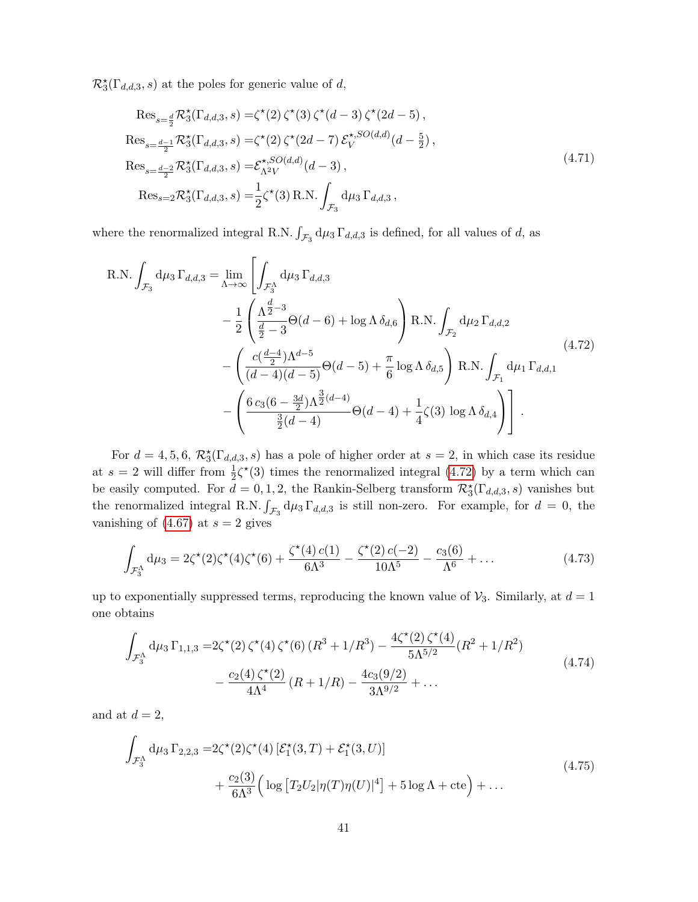$\mathcal{R}_{3}^{\star}(\Gamma_{d,d,3},s)$  at the poles for generic value of d,

<span id="page-41-1"></span><span id="page-41-0"></span>
$$
\operatorname{Res}_{s=\frac{d}{2}} \mathcal{R}_{3}^{\star}(\Gamma_{d,d,3}, s) = \zeta^{\star}(2) \zeta^{\star}(3) \zeta^{\star}(d-3) \zeta^{\star}(2d-5),
$$
\n
$$
\operatorname{Res}_{s=\frac{d-1}{2}} \mathcal{R}_{3}^{\star}(\Gamma_{d,d,3}, s) = \zeta^{\star}(2) \zeta^{\star}(2d-7) \mathcal{E}_{V}^{\star, SO(d,d)}(d-\frac{5}{2}),
$$
\n
$$
\operatorname{Res}_{s=\frac{d-2}{2}} \mathcal{R}_{3}^{\star}(\Gamma_{d,d,3}, s) = \mathcal{E}_{\Lambda^{2}V}^{\star, SO(d,d)}(d-3),
$$
\n
$$
\operatorname{Res}_{s=2} \mathcal{R}_{3}^{\star}(\Gamma_{d,d,3}, s) = \frac{1}{2} \zeta^{\star}(3) \operatorname{R.N.} \int_{\mathcal{F}_{3}} d\mu_{3} \Gamma_{d,d,3},
$$
\n
$$
(4.71)
$$

where the renormalized integral R.N.  $\int_{\mathcal{F}_3} d\mu_3 \Gamma_{d,d,3}$  is defined, for all values of d, as

$$
R.N. \int_{\mathcal{F}_3} d\mu_3 \Gamma_{d,d,3} = \lim_{\Lambda \to \infty} \left[ \int_{\mathcal{F}_3^{\Lambda}} d\mu_3 \Gamma_{d,d,3} - \frac{1}{2} \left( \frac{\Lambda^{\frac{d}{2}-3}}{\frac{d}{2}-3} \Theta(d-6) + \log \Lambda \delta_{d,6} \right) R.N. \int_{\mathcal{F}_2} d\mu_2 \Gamma_{d,d,2} - \left( \frac{c(\frac{d-4}{2})\Lambda^{d-5}}{(d-4)(d-5)} \Theta(d-5) + \frac{\pi}{6} \log \Lambda \delta_{d,5} \right) R.N. \int_{\mathcal{F}_1} d\mu_1 \Gamma_{d,d,1} - \left( \frac{6 c_3 (6 - \frac{3d}{2})\Lambda^{\frac{3}{2}(d-4)}}{\frac{3}{2}(d-4)} \Theta(d-4) + \frac{1}{4} \zeta(3) \log \Lambda \delta_{d,4} \right) \right].
$$
\n
$$
(4.72)
$$

For  $d = 4, 5, 6, \mathcal{R}_{3}^{*}(\Gamma_{d,d,3}, s)$  has a pole of higher order at  $s = 2$ , in which case its residue at  $s = 2$  will differ from  $\frac{1}{2}\zeta^*(3)$  times the renormalized integral [\(4.72\)](#page-41-0) by a term which can be easily computed. For  $d = 0, 1, 2$ , the Rankin-Selberg transform  $\mathcal{R}_3^{\star}(\Gamma_{d,d,3}, s)$  vanishes but the renormalized integral R.N.  $\int_{\mathcal{F}_3} d\mu_3 \Gamma_{d,d,3}$  is still non-zero. For example, for  $d = 0$ , the vanishing of  $(4.67)$  at  $s = 2$  gives

$$
\int_{\mathcal{F}_3^{\Lambda}} d\mu_3 = 2\zeta^*(2)\zeta^*(4)\zeta^*(6) + \frac{\zeta^*(4) c(1)}{6\Lambda^3} - \frac{\zeta^*(2) c(-2)}{10\Lambda^5} - \frac{c_3(6)}{\Lambda^6} + \dots
$$
\n(4.73)

up to exponentially suppressed terms, reproducing the known value of  $\mathcal{V}_3$ . Similarly, at  $d = 1$ one obtains

$$
\int_{\mathcal{F}_3^{\Lambda}} d\mu_3 \Gamma_{1,1,3} = 2\zeta^*(2) \zeta^*(4) \zeta^*(6) (R^3 + 1/R^3) - \frac{4\zeta^*(2) \zeta^*(4)}{5\Lambda^{5/2}} (R^2 + 1/R^2) \n- \frac{c_2(4) \zeta^*(2)}{4\Lambda^4} (R + 1/R) - \frac{4c_3(9/2)}{3\Lambda^{9/2}} + \dots
$$
\n(4.74)

and at  $d = 2$ ,

$$
\int_{\mathcal{F}_3^{\Lambda}} d\mu_3 \Gamma_{2,2,3} = 2\zeta^*(2)\zeta^*(4) \left[ \mathcal{E}_1^*(3,T) + \mathcal{E}_1^*(3,U) \right] + \frac{c_2(3)}{6\Lambda^3} \left( \log \left[ T_2 U_2 |\eta(T)\eta(U)|^4 \right] + 5 \log \Lambda + \text{cte} \right) + \dots
$$
\n(4.75)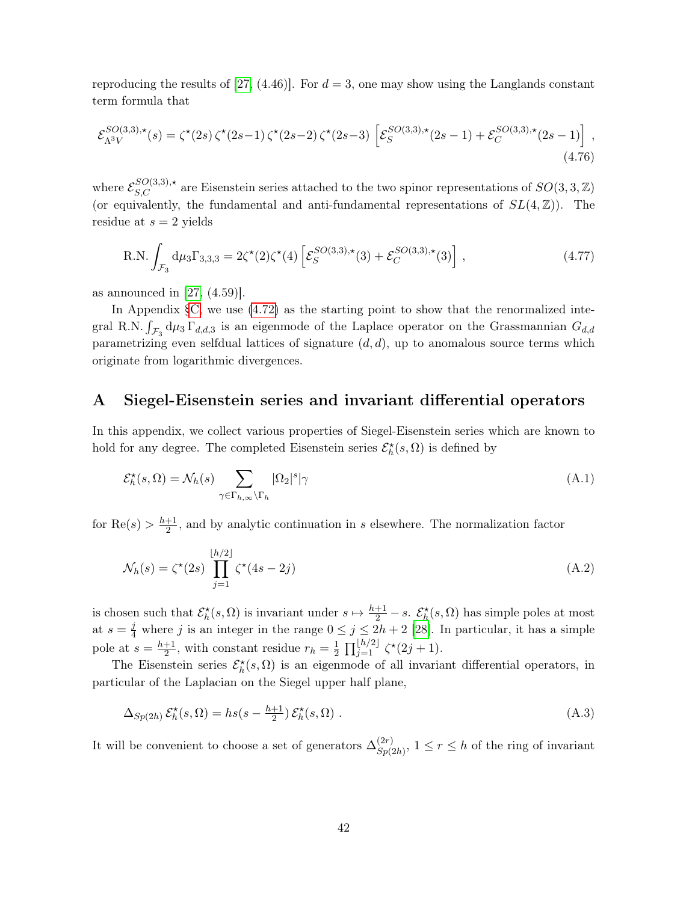reproducing the results of [\[27,](#page-51-7) (4.46)]. For  $d=3$ , one may show using the Langlands constant term formula that

$$
\mathcal{E}_{\Lambda^3 V}^{SO(3,3),\star}(s) = \zeta^{\star}(2s) \zeta^{\star}(2s-1) \zeta^{\star}(2s-2) \zeta^{\star}(2s-3) \left[ \mathcal{E}_{S}^{SO(3,3),\star}(2s-1) + \mathcal{E}_{C}^{SO(3,3),\star}(2s-1) \right],
$$
\n(4.76)

where  $\mathcal{E}_{S,C}^{SO(3,3),\star}$  are Eisenstein series attached to the two spinor representations of  $SO(3,3,\mathbb{Z})$ (or equivalently, the fundamental and anti-fundamental representations of  $SL(4,\mathbb{Z})$ ). The residue at  $s = 2$  yields

R.N. 
$$
\int_{\mathcal{F}_3} d\mu_3 \Gamma_{3,3,3} = 2\zeta^{\star}(2)\zeta^{\star}(4) \left[ \mathcal{E}_S^{SO(3,3),\star}(3) + \mathcal{E}_C^{SO(3,3),\star}(3) \right],
$$
 (4.77)

as announced in  $[27, (4.59)]$  $[27, (4.59)]$ .

In Appendix  $\S$ C, we use  $(4.72)$  as the starting point to show that the renormalized integral R.N.  $\int_{\mathcal{F}_3} d\mu_3 \Gamma_{d,d,3}$  is an eigenmode of the Laplace operator on the Grassmannian  $G_{d,d}$ parametrizing even selfdual lattices of signature  $(d, d)$ , up to anomalous source terms which originate from logarithmic divergences.

## <span id="page-42-0"></span>A Siegel-Eisenstein series and invariant differential operators

In this appendix, we collect various properties of Siegel-Eisenstein series which are known to hold for any degree. The completed Eisenstein series  $\mathcal{E}_{h}^{\star}(s, \Omega)$  is defined by

$$
\mathcal{E}_h^{\star}(s,\Omega) = \mathcal{N}_h(s) \sum_{\gamma \in \Gamma_{h,\infty} \backslash \Gamma_h} |\Omega_2|^s |\gamma
$$
\n(A.1)

for  $\text{Re}(s) > \frac{h+1}{2}$  $\frac{+1}{2}$ , and by analytic continuation in s elsewhere. The normalization factor

$$
\mathcal{N}_h(s) = \zeta^*(2s) \prod_{j=1}^{\lfloor h/2 \rfloor} \zeta^*(4s - 2j) \tag{A.2}
$$

is chosen such that  $\mathcal{E}_h^*(s, \Omega)$  is invariant under  $s \mapsto \frac{h+1}{2} - s$ .  $\mathcal{E}_h^*(s, \Omega)$  has simple poles at most at  $s = \frac{j}{4}$  where j is an integer in the range  $0 \le j \le 2h + 2$  [\[28\]](#page-51-8). In particular, it has a simple pole at  $s=\frac{h+1}{2}$  $\frac{+1}{2}$ , with constant residue  $r_h = \frac{1}{2}$  $\frac{1}{2} \prod_{j=1}^{\lfloor h/2 \rfloor} \zeta^*(2j+1).$ 

The Eisenstein series  $\mathcal{E}_h^{\star}(s, \Omega)$  is an eigenmode of all invariant differential operators, in particular of the Laplacian on the Siegel upper half plane,

<span id="page-42-1"></span>
$$
\Delta_{Sp(2h)} \mathcal{E}_h^{\star}(s, \Omega) = h s(s - \frac{h+1}{2}) \mathcal{E}_h^{\star}(s, \Omega) . \tag{A.3}
$$

It will be convenient to choose a set of generators  $\Delta_{S_0}^{(2r)}$  $(S_p^{(2r)}, 1 \leq r \leq h$  of the ring of invariant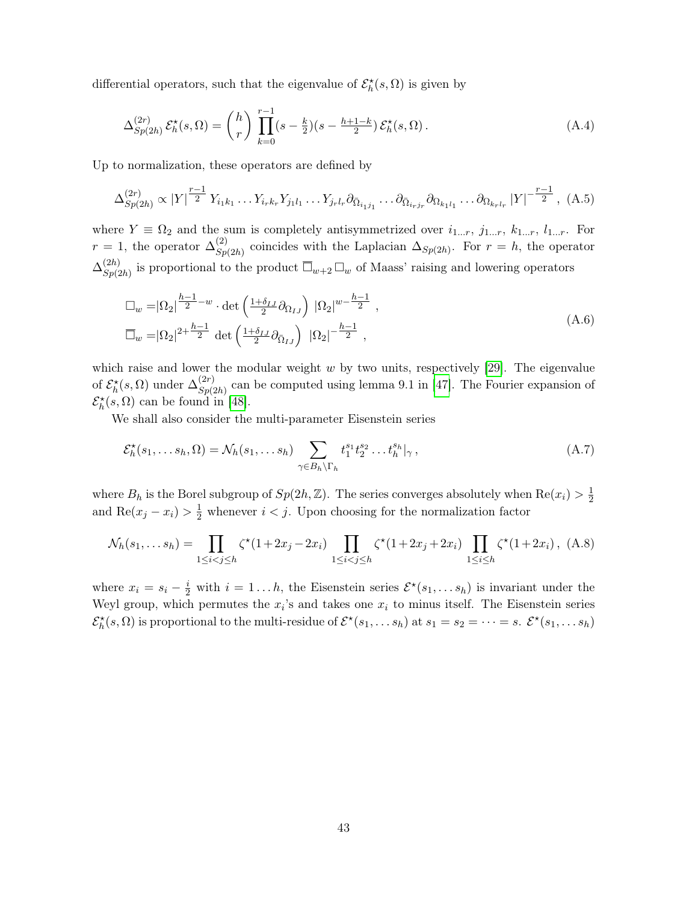differential operators, such that the eigenvalue of  $\mathcal{E}_{h}^{\star}(s, \Omega)$  is given by

<span id="page-43-0"></span>
$$
\Delta_{Sp(2h)}^{(2r)} \mathcal{E}_h^{\star}(s,\Omega) = {h \choose r} \prod_{k=0}^{r-1} (s - \frac{k}{2})(s - \frac{h+1-k}{2}) \mathcal{E}_h^{\star}(s,\Omega). \tag{A.4}
$$

Up to normalization, these operators are defined by

$$
\Delta_{Sp(2h)}^{(2r)} \propto |Y|^{\frac{r-1}{2}} Y_{i_1k_1} \dots Y_{i_rk_r} Y_{j_1l_1} \dots Y_{j_rl_r} \partial_{\bar{\Omega}_{i_1j_1}} \dots \partial_{\bar{\Omega}_{i_rj_r}} \partial_{\Omega_{k_1l_1}} \dots \partial_{\Omega_{k_rl_r}} |Y|^{-\frac{r-1}{2}}, (A.5)
$$

where  $Y \equiv \Omega_2$  and the sum is completely antisymmetrized over  $i_{1...r}, j_{1...r}, k_{1...r}, l_{1...r}$ . For  $r = 1$ , the operator  $\Delta_{S_n}^{(2)}$  $S_{p(2h)}^{(2)}$  coincides with the Laplacian  $\Delta_{Sp(2h)}$ . For  $r = h$ , the operator  $\Delta^{(2h)}_{\varsigma_n(\cdot)}$  $S_{p(2h)}^{(2h)}$  is proportional to the product  $\overline{\Box}_{w+2} \Box_w$  of Maass' raising and lowering operators

$$
\Box_w = |\Omega_2|^{\frac{h-1}{2} - w} \cdot \det\left(\frac{1+\delta_{IJ}}{2} \partial_{\Omega_{IJ}}\right) |\Omega_2|^{w - \frac{h-1}{2}},
$$
\n
$$
\overline{\Box}_w = |\Omega_2|^{2 + \frac{h-1}{2}} \det\left(\frac{1+\delta_{IJ}}{2} \partial_{\overline{\Omega}_{IJ}}\right) |\Omega_2|^{-\frac{h-1}{2}},
$$
\n(A.6)

which raise and lower the modular weight  $w$  by two units, respectively [\[29\]](#page-51-10). The eigenvalue of  $\mathcal{E}_h^{\star}(s,\Omega)$  under  $\Delta_{Sp(\Omega)}^{(2r)}$  $S_{p(2h)}^{(2r)}$  can be computed using lemma 9.1 in [\[47\]](#page-53-1). The Fourier expansion of  $\mathcal{E}_{h}^{\star}(s, \Omega)$  can be found in [\[48\]](#page-53-2).

We shall also consider the multi-parameter Eisenstein series

$$
\mathcal{E}_h^{\star}(s_1,\ldots s_h,\Omega) = \mathcal{N}_h(s_1,\ldots s_h) \sum_{\gamma \in B_h \backslash \Gamma_h} t_1^{s_1} t_2^{s_2} \ldots t_h^{s_h} |_{\gamma},\tag{A.7}
$$

where  $B_h$  is the Borel subgroup of  $Sp(2h, \mathbb{Z})$ . The series converges absolutely when  $\text{Re}(x_i) > \frac{1}{2}$ 2 and  $\text{Re}(x_j - x_i) > \frac{1}{2}$  whenever  $i < j$ . Upon choosing for the normalization factor

$$
\mathcal{N}_h(s_1, \dots s_h) = \prod_{1 \le i < j \le h} \zeta^{\star} (1 + 2x_j - 2x_i) \prod_{1 \le i < j \le h} \zeta^{\star} (1 + 2x_j + 2x_i) \prod_{1 \le i \le h} \zeta^{\star} (1 + 2x_i), \tag{A.8}
$$

where  $x_i = s_i - \frac{i}{2}$  with  $i = 1...h$ , the Eisenstein series  $\mathcal{E}^*(s_1,...s_h)$  is invariant under the Weyl group, which permutes the  $x_i$ 's and takes one  $x_i$  to minus itself. The Eisenstein series  $\mathcal{E}_h^{\star}(s, \Omega)$  is proportional to the multi-residue of  $\mathcal{E}^{\star}(s_1, \ldots s_h)$  at  $s_1 = s_2 = \cdots = s$ .  $\mathcal{E}^{\star}(s_1, \ldots s_h)$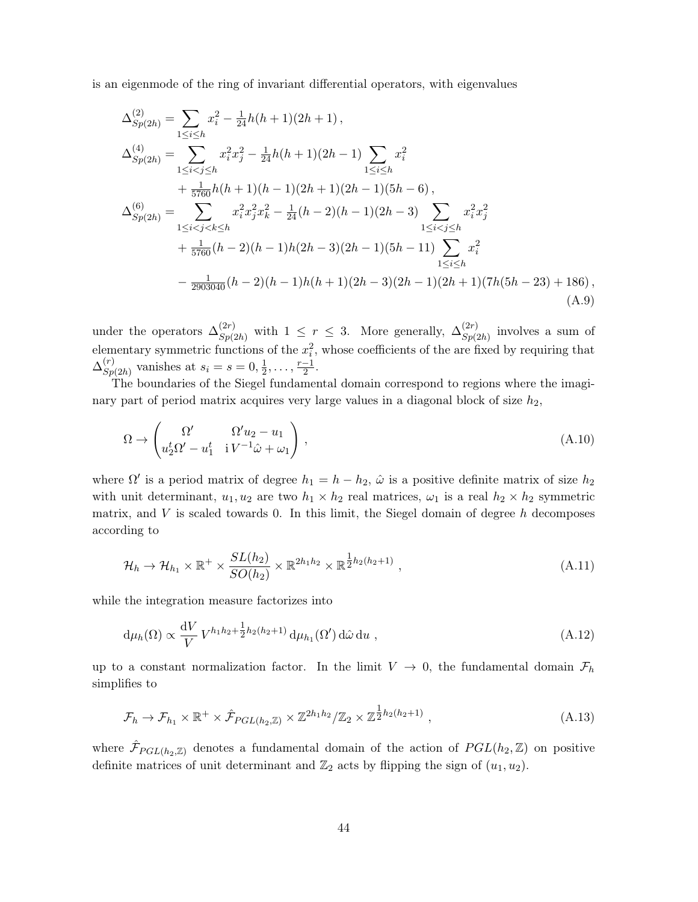is an eigenmode of the ring of invariant differential operators, with eigenvalues

<span id="page-44-0"></span>
$$
\Delta_{Sp(2h)}^{(2)} = \sum_{1 \le i \le h} x_i^2 - \frac{1}{24}h(h+1)(2h+1),
$$
  
\n
$$
\Delta_{Sp(2h)}^{(4)} = \sum_{1 \le i < j \le h} x_i^2 x_j^2 - \frac{1}{24}h(h+1)(2h-1) \sum_{1 \le i \le h} x_i^2
$$
  
\n
$$
+ \frac{1}{5760}h(h+1)(h-1)(2h+1)(2h-1)(5h-6),
$$
  
\n
$$
\Delta_{Sp(2h)}^{(6)} = \sum_{1 \le i < j < k \le h} x_i^2 x_j^2 x_k^2 - \frac{1}{24}(h-2)(h-1)(2h-3) \sum_{1 \le i < j \le h} x_i^2 x_j^2
$$
  
\n
$$
+ \frac{1}{5760}(h-2)(h-1)h(2h-3)(2h-1)(5h-11) \sum_{1 \le i < h} x_i^2
$$
  
\n
$$
- \frac{1}{2903040}(h-2)(h-1)h(h+1)(2h-3)(2h-1)(2h+1)(7h(5h-23) + 186),
$$
  
\n(A.9)

under the operators  $\Delta_{S_n(s)}^{(2r)}$  $(S_p(2r)$  with  $1 \leq r \leq 3$ . More generally,  $\Delta_{Sp(2R)}^{(2r)}$  $\binom{(2r)}{Sp(2h)}$  involves a sum of elementary symmetric functions of the  $x_i^2$ , whose coefficients of the are fixed by requiring that  $\Delta^{(r)}_{S_n}$  $S_p(2h)$  vanishes at  $s_i = s = 0, \frac{1}{2}$  $\frac{1}{2}, \ldots, \frac{r-1}{2}$  $\frac{-1}{2}$ .

The boundaries of the Siegel fundamental domain correspond to regions where the imaginary part of period matrix acquires very large values in a diagonal block of size  $h_2$ ,

$$
\Omega \to \begin{pmatrix} \Omega' & \Omega' u_2 - u_1 \\ u_2^t \Omega' - u_1^t & iV^{-1} \hat{\omega} + \omega_1 \end{pmatrix},
$$
\n(A.10)

where  $\Omega'$  is a period matrix of degree  $h_1 = h - h_2$ ,  $\hat{\omega}$  is a positive definite matrix of size  $h_2$ with unit determinant,  $u_1, u_2$  are two  $h_1 \times h_2$  real matrices,  $\omega_1$  is a real  $h_2 \times h_2$  symmetric matrix, and  $V$  is scaled towards 0. In this limit, the Siegel domain of degree  $h$  decomposes according to

$$
\mathcal{H}_h \to \mathcal{H}_{h_1} \times \mathbb{R}^+ \times \frac{SL(h_2)}{SO(h_2)} \times \mathbb{R}^{2h_1h_2} \times \mathbb{R}^{\frac{1}{2}h_2(h_2+1)} , \qquad (A.11)
$$

while the integration measure factorizes into

<span id="page-44-1"></span>
$$
\mathrm{d}\mu_h(\Omega) \propto \frac{\mathrm{d}V}{V} V^{h_1 h_2 + \frac{1}{2}h_2(h_2 + 1)} \, \mathrm{d}\mu_{h_1}(\Omega') \, \mathrm{d}\hat{\omega} \, \mathrm{d}u \;, \tag{A.12}
$$

up to a constant normalization factor. In the limit  $V \to 0$ , the fundamental domain  $\mathcal{F}_h$ simplifies to

$$
\mathcal{F}_h \to \mathcal{F}_{h_1} \times \mathbb{R}^+ \times \hat{\mathcal{F}}_{PGL(h_2,\mathbb{Z})} \times \mathbb{Z}^{2h_1h_2}/\mathbb{Z}_2 \times \mathbb{Z}^{\frac{1}{2}h_2(h_2+1)} ,
$$
\n(A.13)

where  $\hat{\mathcal{F}}_{PGL(h_2,\mathbb{Z})}$  denotes a fundamental domain of the action of  $PGL(h_2,\mathbb{Z})$  on positive definite matrices of unit determinant and  $\mathbb{Z}_2$  acts by flipping the sign of  $(u_1, u_2)$ .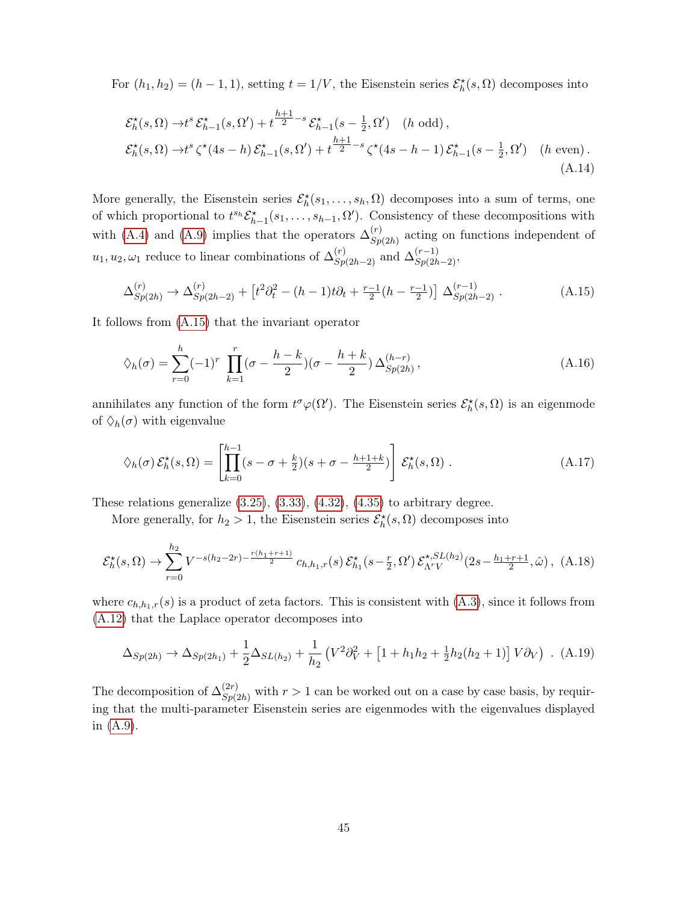For  $(h_1, h_2) = (h - 1, 1)$ , setting  $t = 1/V$ , the Eisenstein series  $\mathcal{E}_h^{\star}(s, \Omega)$  decomposes into

$$
\mathcal{E}_{h}^{\star}(s,\Omega) \to t^{s} \mathcal{E}_{h-1}^{\star}(s,\Omega') + t^{\frac{h+1}{2}-s} \mathcal{E}_{h-1}^{\star}(s - \frac{1}{2},\Omega') \quad (h \text{ odd}),
$$
  

$$
\mathcal{E}_{h}^{\star}(s,\Omega) \to t^{s} \zeta^{\star}(4s - h) \mathcal{E}_{h-1}^{\star}(s,\Omega') + t^{\frac{h+1}{2}-s} \zeta^{\star}(4s - h - 1) \mathcal{E}_{h-1}^{\star}(s - \frac{1}{2},\Omega') \quad (h \text{ even}).
$$
  
(A.14)

More generally, the Eisenstein series  $\mathcal{E}_h^{\star}(s_1,\ldots,s_h,\Omega)$  decomposes into a sum of terms, one of which proportional to  $t^{s_h} \mathcal{E}_{h-1}^*(s_1,\ldots,s_{h-1},\Omega')$ . Consistency of these decompositions with with [\(A.4\)](#page-43-0) and [\(A.9\)](#page-44-0) implies that the operators  $\Delta_{S_n}^{(r)}$  $S_{p(2h)}^{(r)}$  acting on functions independent of  $u_1, u_2, \omega_1$  reduce to linear combinations of  $\Delta_{Sp(2h-2)}^{(r)}$  and  $\Delta_{Sp(2h-2)}^{(r-1)}$ ,

<span id="page-45-0"></span>
$$
\Delta_{Sp(2h)}^{(r)} \to \Delta_{Sp(2h-2)}^{(r)} + \left[ t^2 \partial_t^2 - (h-1)t \partial_t + \frac{r-1}{2} (h - \frac{r-1}{2}) \right] \Delta_{Sp(2h-2)}^{(r-1)}.
$$
 (A.15)

It follows from [\(A.15\)](#page-45-0) that the invariant operator

$$
\Diamond_h(\sigma) = \sum_{r=0}^h (-1)^r \prod_{k=1}^r (\sigma - \frac{h-k}{2}) (\sigma - \frac{h+k}{2}) \Delta_{Sp(2h)}^{(h-r)}, \tag{A.16}
$$

annihilates any function of the form  $t^{\sigma}\varphi(\Omega')$ . The Eisenstein series  $\mathcal{E}_{h}^{\star}(s,\Omega)$  is an eigenmode of  $\Diamond_h(\sigma)$  with eigenvalue

$$
\Diamond_h(\sigma) \mathcal{E}_h^{\star}(s, \Omega) = \left[ \prod_{k=0}^{h-1} (s - \sigma + \frac{k}{2})(s + \sigma - \frac{h+1+k}{2}) \right] \mathcal{E}_h^{\star}(s, \Omega) . \tag{A.17}
$$

These relations generalize  $(3.25), (3.33), (4.32), (4.35)$  $(3.25), (3.33), (4.32), (4.35)$  $(3.25), (3.33), (4.32), (4.35)$  $(3.25), (3.33), (4.32), (4.35)$  $(3.25), (3.33), (4.32), (4.35)$  $(3.25), (3.33), (4.32), (4.35)$  $(3.25), (3.33), (4.32), (4.35)$  to arbitrary degree.

More generally, for  $h_2 > 1$ , the Eisenstein series  $\mathcal{E}_h^{\star}(s, \Omega)$  decomposes into

$$
\mathcal{E}_h^{\star}(s,\Omega) \to \sum_{r=0}^{h_2} V^{-s(h_2-2r) - \frac{r(h_1+r+1)}{2}} c_{h,h_1,r}(s) \, \mathcal{E}_{h_1}^{\star}(s-\frac{r}{2},\Omega') \, \mathcal{E}_{\Lambda^r V}^{\star,SL(h_2)}(2s-\frac{h_1+r+1}{2},\hat{\omega}), \tag{A.18}
$$

where  $c_{h,h_1,r}(s)$  is a product of zeta factors. This is consistent with  $(A.3)$ , since it follows from [\(A.12\)](#page-44-1) that the Laplace operator decomposes into

$$
\Delta_{Sp(2h)} \to \Delta_{Sp(2h_1)} + \frac{1}{2} \Delta_{SL(h_2)} + \frac{1}{h_2} \left( V^2 \partial_V^2 + \left[ 1 + h_1 h_2 + \frac{1}{2} h_2 (h_2 + 1) \right] V \partial_V \right) .
$$
 (A.19)

The decomposition of  $\Delta_{S_n(s)}^{(2r)}$  $S_{p(2h)}^{(2r)}$  with  $r > 1$  can be worked out on a case by case basis, by requiring that the multi-parameter Eisenstein series are eigenmodes with the eigenvalues displayed in [\(A.9\)](#page-44-0).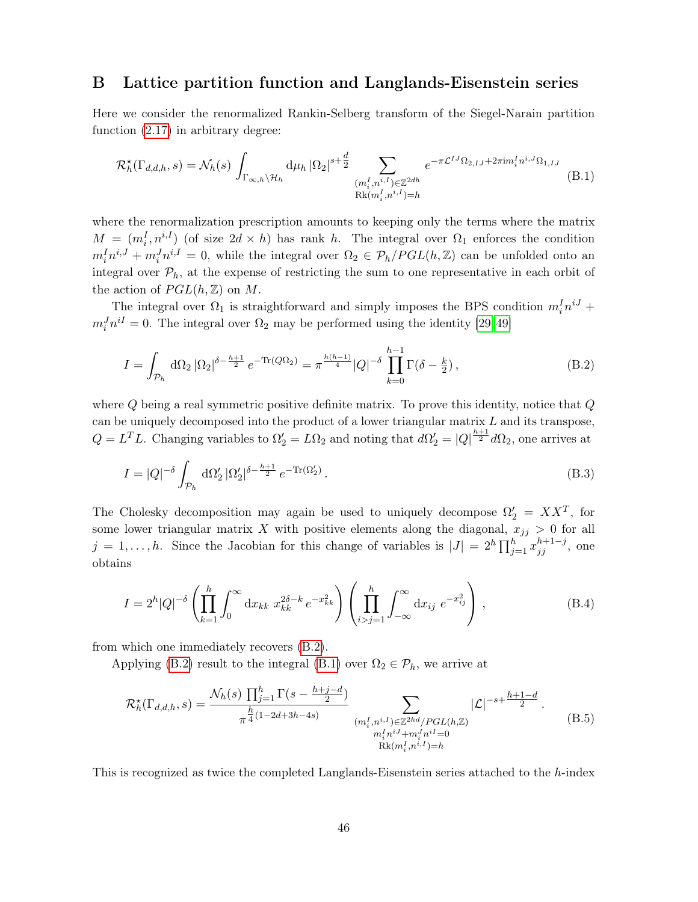## <span id="page-46-0"></span>B Lattice partition function and Langlands-Eisenstein series

Here we consider the renormalized Rankin-Selberg transform of the Siegel-Narain partition function [\(2.17\)](#page-8-2) in arbitrary degree:

<span id="page-46-2"></span>
$$
\mathcal{R}_h^{\star}(\Gamma_{d,d,h},s) = \mathcal{N}_h(s) \int_{\Gamma_{\infty,h}\backslash\mathcal{H}_h} d\mu_h |\Omega_2|^{s+\frac{d}{2}} \sum_{\substack{(m_i^I,n^{i,I}) \in \mathbb{Z}^{2dh} \\ \text{Rk}(m_i^I,n^{i,I})=h}} e^{-\pi \mathcal{L}^{IJ}\Omega_{2,IJ} + 2\pi i m_i^I n^{i,J}\Omega_{1,IJ}} \quad (B.1)
$$

where the renormalization prescription amounts to keeping only the terms where the matrix  $M = (m_i^I, n^{i,I})$  (of size  $2d \times h$ ) has rank h. The integral over  $\Omega_1$  enforces the condition  $m_i^I n^{i,J} + m_i^J n^{i,I} = 0$ , while the integral over  $\Omega_2 \in \mathcal{P}_h/PGL(h,\mathbb{Z})$  can be unfolded onto an integral over  $P_h$ , at the expense of restricting the sum to one representative in each orbit of the action of  $PGL(h,\mathbb{Z})$  on M.

The integral over  $\Omega_1$  is straightforward and simply imposes the BPS condition  $m_i^I n^{iJ}$  +  $m_i^J n^{iI} = 0$ . The integral over  $\Omega_2$  may be performed using the identity [\[29,](#page-51-10)49]

<span id="page-46-1"></span>
$$
I = \int_{\mathcal{P}_h} d\Omega_2 |\Omega_2|^{\delta - \frac{h+1}{2}} e^{-\text{Tr}(Q\Omega_2)} = \pi^{\frac{h(h-1)}{4}} |Q|^{-\delta} \prod_{k=0}^{h-1} \Gamma(\delta - \frac{k}{2}), \tag{B.2}
$$

where  $Q$  being a real symmetric positive definite matrix. To prove this identity, notice that  $Q$ can be uniquely decomposed into the product of a lower triangular matrix  $L$  and its transpose,  $Q = L^T L$ . Changing variables to  $\Omega'_2 = L\Omega_2$  and noting that  $d\Omega'_2 = |Q|^{\frac{h+1}{2}} d\Omega_2$ , one arrives at

$$
I = |Q|^{-\delta} \int_{\mathcal{P}_h} d\Omega_2' |\Omega_2'|^{\delta - \frac{h+1}{2}} e^{-\text{Tr}(\Omega_2')}.
$$
\n(B.3)

The Cholesky decomposition may again be used to uniquely decompose  $\Omega'_{2} = XX^{T}$ , for some lower triangular matrix X with positive elements along the diagonal,  $x_{ij} > 0$  for all  $j = 1, \ldots, h$ . Since the Jacobian for this change of variables is  $|J| = 2<sup>h</sup> \prod_{j=1}^{h} x_{jj}^{h+1-j}$ , one obtains

$$
I = 2^{h} |Q|^{-\delta} \left( \prod_{k=1}^{h} \int_{0}^{\infty} dx_{kk} \ x_{kk}^{2\delta - k} e^{-x_{kk}^{2}} \right) \left( \prod_{i > j=1}^{h} \int_{-\infty}^{\infty} dx_{ij} \ e^{-x_{ij}^{2}} \right) , \tag{B.4}
$$

from which one immediately recovers [\(B.2\)](#page-46-1).

Applying [\(B.2\)](#page-46-1) result to the integral [\(B.1\)](#page-46-2) over  $\Omega_2 \in \mathcal{P}_h$ , we arrive at

$$
\mathcal{R}_{h}^{\star}(\Gamma_{d,d,h},s) = \frac{\mathcal{N}_{h}(s) \prod_{j=1}^{h} \Gamma(s - \frac{h+j-d}{2})}{\pi^{\frac{h}{4}(1-2d+3h-4s)}} \sum_{\substack{(m_i^I, n^{i,I}) \in \mathbb{Z}^{2hd}/PGL(h,\mathbb{Z}) \\ m_i^I n^{iJ} + m_i^J n^{iI} = 0 \\ \text{Rk}(m_i^I, n^{i,I}) = h}} |\mathcal{L}|^{-s + \frac{h+1-d}{2}}.
$$
\n(B.5)

This is recognized as twice the completed Langlands-Eisenstein series attached to the h-index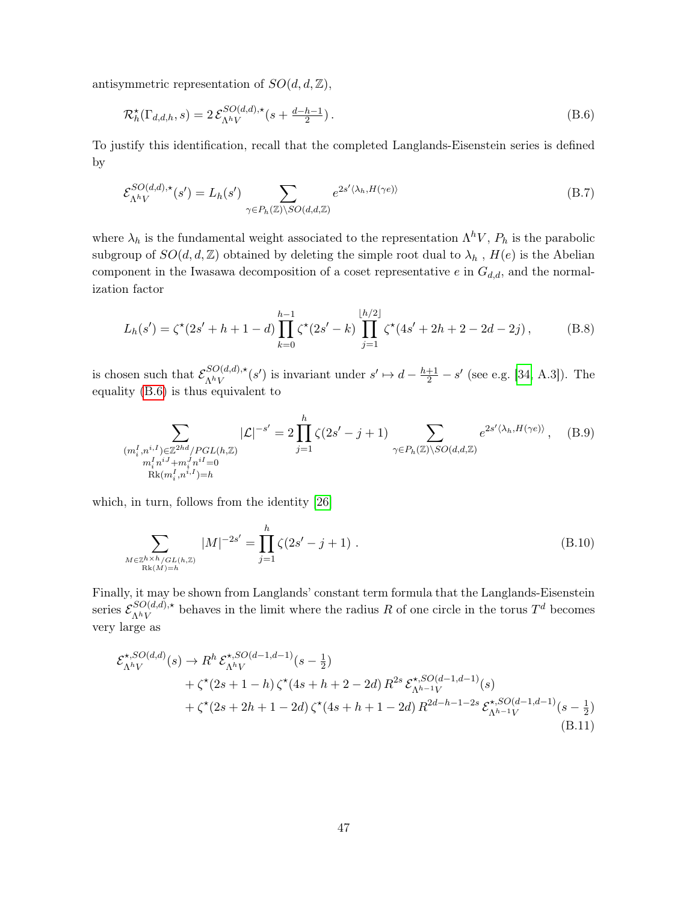antisymmetric representation of  $SO(d, d, \mathbb{Z}),$ 

<span id="page-47-0"></span>
$$
\mathcal{R}_h^{\star}(\Gamma_{d,d,h},s) = 2\,\mathcal{E}_{\Lambda^h V}^{SO(d,d),\star}(s + \frac{d-h-1}{2})\,. \tag{B.6}
$$

To justify this identification, recall that the completed Langlands-Eisenstein series is defined by

$$
\mathcal{E}_{\Lambda^h V}^{SO(d,d),\star}(s') = L_h(s') \sum_{\gamma \in P_h(\mathbb{Z}) \backslash SO(d,d,\mathbb{Z})} e^{2s' \langle \lambda_h, H(\gamma e) \rangle}
$$
(B.7)

where  $\lambda_h$  is the fundamental weight associated to the representation  $\Lambda^h V$ ,  $P_h$  is the parabolic subgroup of  $SO(d, d, \mathbb{Z})$  obtained by deleting the simple root dual to  $\lambda_h$ ,  $H(e)$  is the Abelian component in the Iwasawa decomposition of a coset representative  $e$  in  $G_{d,d}$ , and the normalization factor

$$
L_h(s') = \zeta^{\star}(2s' + h + 1 - d) \prod_{k=0}^{h-1} \zeta^{\star}(2s' - k) \prod_{j=1}^{\lfloor h/2 \rfloor} \zeta^{\star}(4s' + 2h + 2 - 2d - 2j),
$$
 (B.8)

is chosen such that  $\mathcal{E}_{\Lambda hV}^{SO(d,d),\star}$  ${}_{\Lambda^hV}^{SO(d,d),\star}(s')$  is invariant under  $s' \mapsto d - \frac{h+1}{2} - s'$  (see e.g. [\[34,](#page-52-2) A.3]). The equality [\(B.6\)](#page-47-0) is thus equivalent to

$$
\sum_{\substack{(m_i^I, n^{i,I}) \in \mathbb{Z}^{2hd}/PGL(h,\mathbb{Z}) \\ m_i^I n^{iJ} + m_i^J n^{iI} = 0 \\ \text{Rk}(m_i^I, n^{i,I}) = h}} |\mathcal{L}|^{-s'} = 2 \prod_{j=1}^h \zeta(2s' - j + 1) \sum_{\gamma \in P_h(\mathbb{Z}) \backslash SO(d,d,\mathbb{Z})} e^{2s' \langle \lambda_h, H(\gamma e) \rangle}, \quad (B.9)
$$

which, in turn, follows from the identity [\[26\]](#page-51-6)

$$
\sum_{\substack{M \in \mathbb{Z}^{h \times h}/GL(h,\mathbb{Z}) \\ \text{Rk}(M)=h}} |M|^{-2s'} = \prod_{j=1}^{h} \zeta(2s'-j+1) . \tag{B.10}
$$

Finally, it may be shown from Langlands' constant term formula that the Langlands-Eisenstein series  $\mathcal{E}_{\Lambda hV}^{SO(d,d),\star}$  ${}_{\Lambda^hV}^{SO(d,d),\star}$  behaves in the limit where the radius R of one circle in the torus  $T^d$  becomes very large as

$$
\mathcal{E}_{\Lambda^h V}^{\star, SO(d,d)}(s) \to R^h \mathcal{E}_{\Lambda^h V}^{\star, SO(d-1,d-1)}(s-\frac{1}{2}) \n+ \zeta^{\star}(2s+1-h) \zeta^{\star}(4s+h+2-2d) R^{2s} \mathcal{E}_{\Lambda^{h-1} V}^{\star, SO(d-1,d-1)}(s) \n+ \zeta^{\star}(2s+2h+1-2d) \zeta^{\star}(4s+h+1-2d) R^{2d-h-1-2s} \mathcal{E}_{\Lambda^{h-1} V}^{\star, SO(d-1,d-1)}(s-\frac{1}{2})
$$
\n(B.11)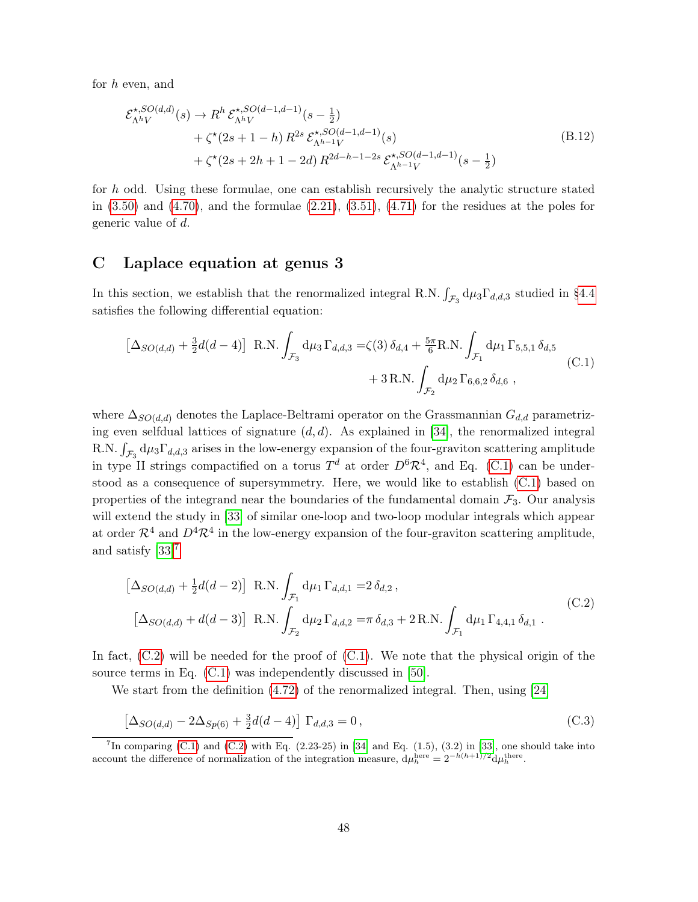for h even, and

$$
\mathcal{E}_{\Lambda^h V}^{*,SO(d,d)}(s) \to R^h \mathcal{E}_{\Lambda^h V}^{*,SO(d-1,d-1)}(s-\frac{1}{2}) \n+ \zeta^{\star}(2s+1-h) R^{2s} \mathcal{E}_{\Lambda^{h-1} V}^{*,SO(d-1,d-1)}(s) \n+ \zeta^{\star}(2s+2h+1-2d) R^{2d-h-1-2s} \mathcal{E}_{\Lambda^{h-1} V}^{*,SO(d-1,d-1)}(s-\frac{1}{2})
$$
\n(B.12)

for h odd. Using these formulae, one can establish recursively the analytic structure stated in  $(3.50)$  and  $(4.70)$ , and the formulae  $(2.21)$ ,  $(3.51)$ ,  $(4.71)$  for the residues at the poles for generic value of d.

## <span id="page-48-0"></span>C Laplace equation at genus 3

In this section, we establish that the renormalized integral R.N.  $\int_{\mathcal{F}_3} d\mu_3 \Gamma_{d,d,3}$  studied in [§4.4](#page-38-0) satisfies the following differential equation:

<span id="page-48-1"></span>
$$
\left[\Delta_{SO(d,d)} + \frac{3}{2}d(d-4)\right] \text{ R.N.} \int_{\mathcal{F}_3} d\mu_3 \Gamma_{d,d,3} = \zeta(3) \,\delta_{d,4} + \frac{5\pi}{6} \text{R.N.} \int_{\mathcal{F}_1} d\mu_1 \Gamma_{5,5,1} \,\delta_{d,5} + 3 \text{ R.N.} \int_{\mathcal{F}_2} d\mu_2 \Gamma_{6,6,2} \,\delta_{d,6} ,
$$
 (C.1)

where  $\Delta_{SO(d,d)}$  denotes the Laplace-Beltrami operator on the Grassmannian  $G_{d,d}$  parametrizing even selfdual lattices of signature  $(d, d)$ . As explained in [\[34\]](#page-52-2), the renormalized integral R.N.  $\int_{\mathcal{F}_3} d\mu_3 \Gamma_{d,d,3}$  arises in the low-energy expansion of the four-graviton scattering amplitude in type II strings compactified on a torus  $T<sup>d</sup>$  at order  $D<sup>6</sup>R<sup>4</sup>$ , and Eq. [\(C.1\)](#page-48-1) can be understood as a consequence of supersymmetry. Here, we would like to establish [\(C.1\)](#page-48-1) based on properties of the integrand near the boundaries of the fundamental domain  $\mathcal{F}_3$ . Our analysis will extend the study in [\[33\]](#page-52-1) of similar one-loop and two-loop modular integrals which appear at order  $\mathcal{R}^4$  and  $D^4\mathcal{R}^4$  in the low-energy expansion of the four-graviton scattering amplitude, and satisfy [\[33\]](#page-52-1)[7](#page-0-0)

<span id="page-48-2"></span>
$$
\begin{aligned}\n\left[\Delta_{SO(d,d)} + \frac{1}{2}d(d-2)\right] \text{ R.N.} \int_{\mathcal{F}_1} d\mu_1 \Gamma_{d,d,1} &= 2 \,\delta_{d,2} \,, \\
\left[\Delta_{SO(d,d)} + d(d-3)\right] \text{ R.N.} \int_{\mathcal{F}_2} d\mu_2 \Gamma_{d,d,2} &= \pi \,\delta_{d,3} + 2 \,\text{R.N.} \int_{\mathcal{F}_1} d\mu_1 \Gamma_{4,4,1} \,\delta_{d,1} \,.\n\end{aligned} \tag{C.2}
$$

In fact,  $(C.2)$  will be needed for the proof of  $(C.1)$ . We note that the physical origin of the source terms in Eq.  $(C.1)$  was independently discussed in [\[50\]](#page-53-4).

We start from the definition  $(4.72)$  of the renormalized integral. Then, using  $[24]$ 

$$
\[\Delta_{SO(d,d)} - 2\Delta_{Sp(6)} + \frac{3}{2}d(d-4)\] \Gamma_{d,d,3} = 0\,,\tag{C.3}
$$

<sup>&</sup>lt;sup>7</sup>In comparing [\(C.1\)](#page-48-1) and [\(C.2\)](#page-48-2) with Eq.  $(2.23-25)$  in [\[34\]](#page-52-2) and Eq.  $(1.5)$ ,  $(3.2)$  in [\[33\]](#page-52-1), one should take into account the difference of normalization of the integration measure,  $d\mu_h^{\text{here}} = 2^{-h(h+1)/2} d\mu_h^{\text{there}}$ .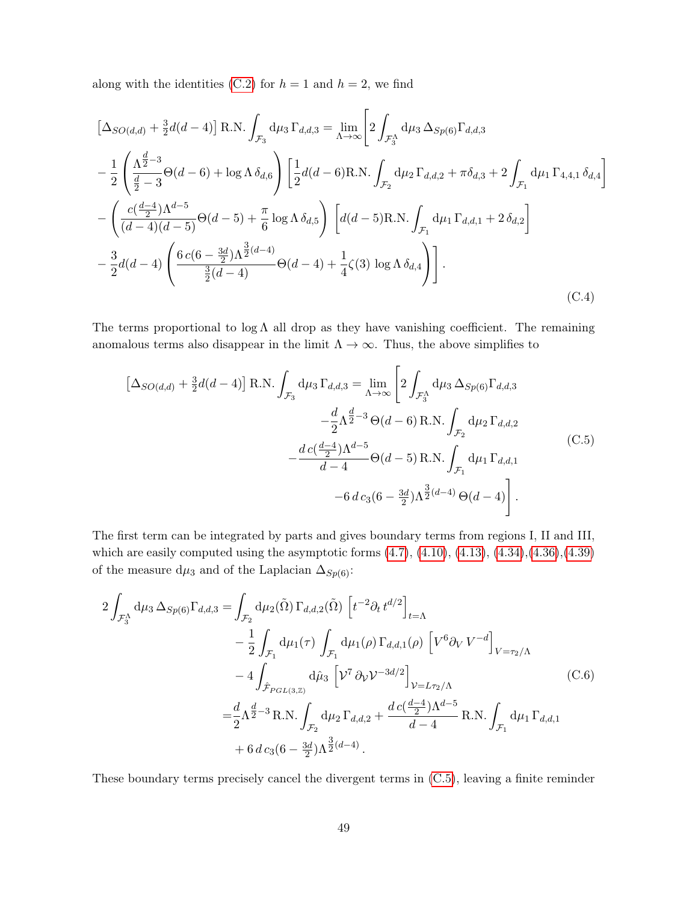along with the identities [\(C.2\)](#page-48-2) for  $h = 1$  and  $h = 2$ , we find

$$
\left[\Delta_{SO(d,d)} + \frac{3}{2}d(d-4)\right] \text{ R.N.} \int_{\mathcal{F}_3} d\mu_3 \Gamma_{d,d,3} = \lim_{\Lambda \to \infty} \left[2 \int_{\mathcal{F}_3^{\Lambda}} d\mu_3 \Delta_{Sp(6)} \Gamma_{d,d,3} \n- \frac{1}{2} \left(\frac{\Lambda^{\frac{d}{2}-3}}{\frac{d}{2}-3} \Theta(d-6) + \log \Lambda \delta_{d,6}\right) \left[\frac{1}{2}d(d-6)\text{R.N.} \int_{\mathcal{F}_2} d\mu_2 \Gamma_{d,d,2} + \pi \delta_{d,3} + 2 \int_{\mathcal{F}_1} d\mu_1 \Gamma_{4,4,1} \delta_{d,4}\right] \n- \left(\frac{c(\frac{d-4}{2})\Lambda^{d-5}}{(d-4)(d-5)} \Theta(d-5) + \frac{\pi}{6} \log \Lambda \delta_{d,5}\right) \left[d(d-5)\text{R.N.} \int_{\mathcal{F}_1} d\mu_1 \Gamma_{d,d,1} + 2 \delta_{d,2}\right] \n- \frac{3}{2}d(d-4) \left(\frac{6 c(6-\frac{3d}{2})\Lambda^{\frac{3}{2}(d-4)}}{\frac{3}{2}(d-4)} \Theta(d-4) + \frac{1}{4}\zeta(3) \log \Lambda \delta_{d,4}\right)\right].
$$
\n(C.4)

The terms proportional to  $\log \Lambda$  all drop as they have vanishing coefficient. The remaining anomalous terms also disappear in the limit  $\Lambda \to \infty$ . Thus, the above simplifies to

<span id="page-49-0"></span>
$$
\left[\Delta_{SO(d,d)} + \frac{3}{2}d(d-4)\right] \text{ R.N.} \int_{\mathcal{F}_3} d\mu_3 \Gamma_{d,d,3} = \lim_{\Lambda \to \infty} \left[2 \int_{\mathcal{F}_3^{\Lambda}} d\mu_3 \Delta_{Sp(6)} \Gamma_{d,d,3} -\frac{d}{2} \Lambda^{\frac{d}{2}-3} \Theta(d-6) \text{ R.N.} \int_{\mathcal{F}_2} d\mu_2 \Gamma_{d,d,2} -\frac{d}{2} \Lambda^{\frac{d-4}{2}} \Lambda^{d-5} \Theta(d-5) \text{ R.N.} \int_{\mathcal{F}_1} d\mu_1 \Gamma_{d,d,1} -6 \, d c_3 (6 - \frac{3d}{2}) \Lambda^{\frac{3}{2}(d-4)} \Theta(d-4) \right]. \tag{C.5}
$$

The first term can be integrated by parts and gives boundary terms from regions I, II and III, which are easily computed using the asymptotic forms  $(4.7)$ ,  $(4.10)$ ,  $(4.13)$ ,  $(4.34)$ , $(4.36)$ , $(4.39)$ of the measure d $\mu_3$  and of the Laplacian  $\Delta_{Sp(6)}$ :

$$
2\int_{\mathcal{F}_3^{\Lambda}} d\mu_3 \,\Delta_{Sp(6)} \Gamma_{d,d,3} = \int_{\mathcal{F}_2} d\mu_2(\tilde{\Omega}) \,\Gamma_{d,d,2}(\tilde{\Omega}) \left[ t^{-2} \partial_t t^{d/2} \right]_{t=\Lambda} - \frac{1}{2} \int_{\mathcal{F}_1} d\mu_1(\tau) \int_{\mathcal{F}_1} d\mu_1(\rho) \,\Gamma_{d,d,1}(\rho) \left[ V^6 \partial_V V^{-d} \right]_{V=\tau_2/\Lambda} - 4 \int_{\hat{\mathcal{F}}_{PGL(3,\mathbb{Z})}} d\hat{\mu}_3 \left[ V^7 \partial_V V^{-3d/2} \right]_{V=L\tau_2/\Lambda} = \frac{d}{2} \Lambda^{\frac{d}{2}-3} \,\text{R.N.} \int_{\mathcal{F}_2} d\mu_2 \,\Gamma_{d,d,2} + \frac{d \, c(\frac{d-4}{2}) \Lambda^{d-5}}{d-4} \,\text{R.N.} \int_{\mathcal{F}_1} d\mu_1 \,\Gamma_{d,d,1} + 6 \, d \, c_3 (6 - \frac{3d}{2}) \Lambda^{\frac{3}{2}(d-4)}.
$$
 (C.6)

These boundary terms precisely cancel the divergent terms in [\(C.5\)](#page-49-0), leaving a finite reminder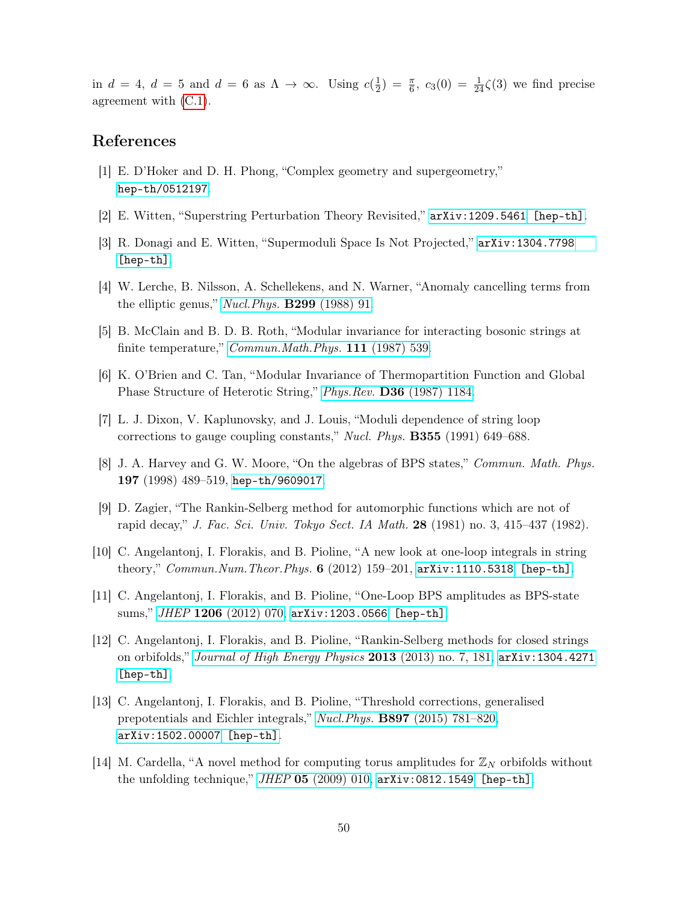in  $d = 4$ ,  $d = 5$  and  $d = 6$  as  $\Lambda \to \infty$ . Using  $c(\frac{1}{2})$  $(\frac{1}{2}) = \frac{\pi}{6}, c_3(0) = \frac{1}{24}\zeta(3)$  we find precise agreement with [\(C.1\)](#page-48-1).

# References

- <span id="page-50-0"></span>[1] E. D'Hoker and D. H. Phong, "Complex geometry and supergeometry," [hep-th/0512197](http://arxiv.org/abs/hep-th/0512197).
- <span id="page-50-1"></span>[2] E. Witten, "Superstring Perturbation Theory Revisited," [arXiv:1209.5461 \[hep-th\]](http://arxiv.org/abs/1209.5461).
- <span id="page-50-2"></span>[3] R. Donagi and E. Witten, "Supermoduli Space Is Not Projected," [arXiv:1304.7798](http://arxiv.org/abs/1304.7798) [\[hep-th\]](http://arxiv.org/abs/1304.7798).
- <span id="page-50-3"></span>[4] W. Lerche, B. Nilsson, A. Schellekens, and N. Warner, "Anomaly cancelling terms from the elliptic genus," [Nucl.Phys.](http://dx.doi.org/10.1016/0550-3213(88)90468-3) B299 (1988) 91.
- <span id="page-50-4"></span>[5] B. McClain and B. D. B. Roth, "Modular invariance for interacting bosonic strings at finite temperature," *[Commun.Math.Phys.](http://dx.doi.org/10.1007/BF01219073)* 111 (1987) 539.
- [6] K. O'Brien and C. Tan, "Modular Invariance of Thermopartition Function and Global Phase Structure of Heterotic String," Phys.Rev. D36 [\(1987\) 1184.](http://dx.doi.org/10.1103/PhysRevD.36.1184)
- <span id="page-50-10"></span>[7] L. J. Dixon, V. Kaplunovsky, and J. Louis, "Moduli dependence of string loop corrections to gauge coupling constants," Nucl. Phys. B355 (1991) 649–688.
- <span id="page-50-5"></span>[8] J. A. Harvey and G. W. Moore, "On the algebras of BPS states," Commun. Math. Phys. 197 (1998) 489–519, [hep-th/9609017](http://arxiv.org/abs/hep-th/9609017).
- <span id="page-50-6"></span>[9] D. Zagier, "The Rankin-Selberg method for automorphic functions which are not of rapid decay," J. Fac. Sci. Univ. Tokyo Sect. IA Math. 28 (1981) no. 3, 415–437 (1982).
- <span id="page-50-7"></span>[10] C. Angelantonj, I. Florakis, and B. Pioline, "A new look at one-loop integrals in string theory," Commun. Num. Theor. Phys.  $6$  (2012) 159-201,  $arXiv:1110.5318$  [hep-th].
- [11] C. Angelantonj, I. Florakis, and B. Pioline, "One-Loop BPS amplitudes as BPS-state sums," JHEP 1206 [\(2012\) 070,](http://dx.doi.org/10.1007/JHEP06(2012)070) [arXiv:1203.0566 \[hep-th\]](http://arxiv.org/abs/1203.0566).
- [12] C. Angelantonj, I. Florakis, and B. Pioline, "Rankin-Selberg methods for closed strings on orbifolds," [Journal of High Energy Physics](http://dx.doi.org/10.1007/JHEP07(2013)181) 2013 (2013) no. 7, 181, [arXiv:1304.4271](http://arxiv.org/abs/1304.4271) [\[hep-th\]](http://arxiv.org/abs/1304.4271).
- <span id="page-50-8"></span>[13] C. Angelantonj, I. Florakis, and B. Pioline, "Threshold corrections, generalised prepotentials and Eichler integrals," Nucl.Phys. B897 [\(2015\) 781–820,](http://dx.doi.org/10.1016/j.nuclphysb.2015.06.009) [arXiv:1502.00007 \[hep-th\]](http://arxiv.org/abs/1502.00007).
- <span id="page-50-9"></span>[14] M. Cardella, "A novel method for computing torus amplitudes for  $\mathbb{Z}_N$  orbifolds without the unfolding technique,"  $JHEP$  05 [\(2009\) 010,](http://dx.doi.org/10.1088/1126-6708/2009/05/010)  $arXiv:0812.1549$  [hep-th].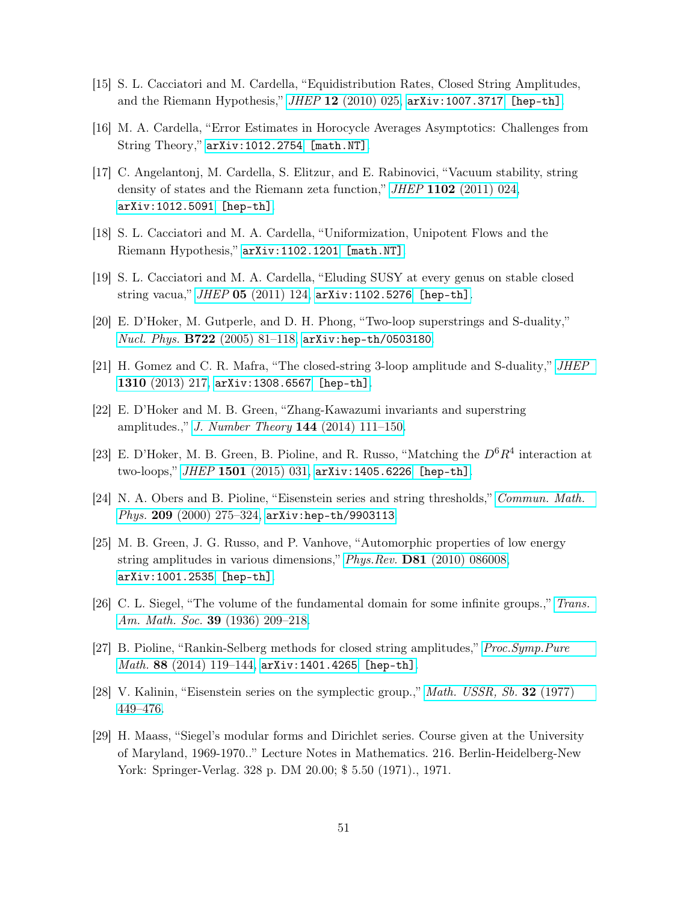- [15] S. L. Cacciatori and M. Cardella, "Equidistribution Rates, Closed String Amplitudes, and the Riemann Hypothesis,"  $JHEP$  12 [\(2010\) 025,](http://dx.doi.org/10.1007/JHEP12(2010)025) [arXiv:1007.3717 \[hep-th\]](http://arxiv.org/abs/1007.3717).
- [16] M. A. Cardella, "Error Estimates in Horocycle Averages Asymptotics: Challenges from String Theory," [arXiv:1012.2754 \[math.NT\]](http://arxiv.org/abs/1012.2754).
- [17] C. Angelantonj, M. Cardella, S. Elitzur, and E. Rabinovici, "Vacuum stability, string density of states and the Riemann zeta function," JHEP 1102 [\(2011\) 024,](http://dx.doi.org/10.1007/JHEP02(2011)024) [arXiv:1012.5091 \[hep-th\]](http://arxiv.org/abs/1012.5091).
- [18] S. L. Cacciatori and M. A. Cardella, "Uniformization, Unipotent Flows and the Riemann Hypothesis," [arXiv:1102.1201 \[math.NT\]](http://arxiv.org/abs/1102.1201).
- <span id="page-51-9"></span>[19] S. L. Cacciatori and M. A. Cardella, "Eluding SUSY at every genus on stable closed string vacua," JHEP 05 [\(2011\) 124,](http://dx.doi.org/10.1007/JHEP05(2011)124) [arXiv:1102.5276 \[hep-th\]](http://arxiv.org/abs/1102.5276).
- <span id="page-51-0"></span>[20] E. D'Hoker, M. Gutperle, and D. H. Phong, "Two-loop superstrings and S-duality," Nucl. Phys. B722 [\(2005\) 81–118,](http://dx.doi.org/10.1016/j.nuclphysb.2005.06.010) [arXiv:hep-th/0503180](http://arxiv.org/abs/hep-th/0503180).
- <span id="page-51-1"></span>[21] H. Gomez and C. R. Mafra, "The closed-string 3-loop amplitude and S-duality," [JHEP](http://dx.doi.org/10.1007/JHEP10(2013)217) 1310 [\(2013\) 217,](http://dx.doi.org/10.1007/JHEP10(2013)217) [arXiv:1308.6567 \[hep-th\]](http://arxiv.org/abs/1308.6567).
- <span id="page-51-2"></span>[22] E. D'Hoker and M. B. Green, "Zhang-Kawazumi invariants and superstring amplitudes.," [J. Number Theory](http://dx.doi.org/10.1016/j.jnt.2014.03.021) 144 (2014) 111–150.
- <span id="page-51-3"></span>[23] E. D'Hoker, M. B. Green, B. Pioline, and R. Russo, "Matching the  $D^6R^4$  interaction at two-loops," JHEP 1501 [\(2015\) 031,](http://dx.doi.org/10.1007/JHEP01(2015)031) [arXiv:1405.6226 \[hep-th\]](http://arxiv.org/abs/1405.6226).
- <span id="page-51-4"></span>[24] N. A. Obers and B. Pioline, "Eisenstein series and string thresholds," [Commun. Math.](http://dx.doi.org/10.1007/s002200050022) Phys. 209 [\(2000\) 275–324,](http://dx.doi.org/10.1007/s002200050022) [arXiv:hep-th/9903113](http://arxiv.org/abs/hep-th/9903113).
- <span id="page-51-5"></span>[25] M. B. Green, J. G. Russo, and P. Vanhove, "Automorphic properties of low energy string amplitudes in various dimensions," Phys.Rev. D81 [\(2010\) 086008,](http://dx.doi.org/10.1103/PhysRevD.81.086008) [arXiv:1001.2535 \[hep-th\]](http://arxiv.org/abs/1001.2535).
- <span id="page-51-6"></span>[26] C. L. Siegel, "The volume of the fundamental domain for some infinite groups.," [Trans.](http://dx.doi.org/10.2307/1989745) [Am. Math. Soc.](http://dx.doi.org/10.2307/1989745) 39 (1936) 209–218.
- <span id="page-51-7"></span>[27] B. Pioline, "Rankin-Selberg methods for closed string amplitudes," [Proc.Symp.Pure](http://dx.doi.org/10.1090/pspum/088/01457) Math. 88 (2014) 119-144, arXiv: 1401.4265 [hep-th].
- <span id="page-51-8"></span>[28] V. Kalinin, "Eisenstein series on the symplectic group.," *[Math. USSR, Sb.](http://dx.doi.org/10.1070/SM1977v032n04ABEH002399)* 32 (1977) [449–476.](http://dx.doi.org/10.1070/SM1977v032n04ABEH002399)
- <span id="page-51-10"></span>[29] H. Maass, "Siegel's modular forms and Dirichlet series. Course given at the University of Maryland, 1969-1970.." Lecture Notes in Mathematics. 216. Berlin-Heidelberg-New York: Springer-Verlag. 328 p. DM 20.00; \$ 5.50 (1971)., 1971.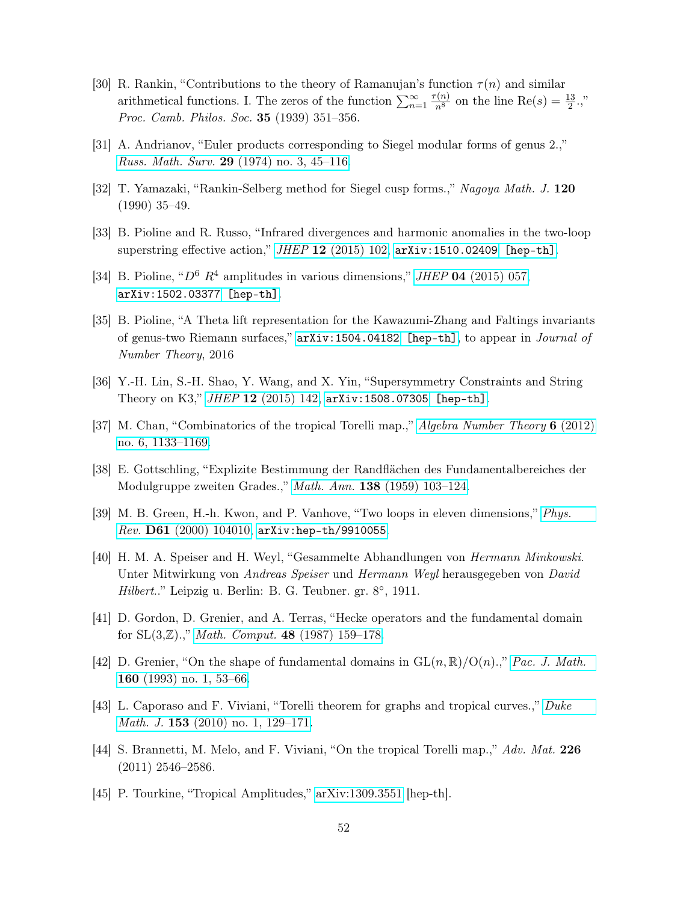- [30] R. Rankin, "Contributions to the theory of Ramanujan's function  $\tau(n)$  and similar arithmetical functions. I. The zeros of the function  $\sum_{n=1}^{\infty}$  $\frac{\tau(n)}{n^8}$  on the line  $\text{Re}(s) = \frac{13}{2}$ .," Proc. Camb. Philos. Soc. **35** (1939) 351-356.
- [31] A. Andrianov, "Euler products corresponding to Siegel modular forms of genus 2.," Russ. Math. Surv. 29 [\(1974\) no. 3, 45–116.](http://dx.doi.org/10.1070/RM1974v029n03ABEH001285)
- <span id="page-52-0"></span>[32] T. Yamazaki, "Rankin-Selberg method for Siegel cusp forms.," Nagoya Math. J. 120 (1990) 35–49.
- <span id="page-52-1"></span>[33] B. Pioline and R. Russo, "Infrared divergences and harmonic anomalies in the two-loop superstring effective action,"  $JHEP$  12 [\(2015\) 102,](http://dx.doi.org/10.1007/JHEP12(2015)102) [arXiv:1510.02409 \[hep-th\]](http://arxiv.org/abs/1510.02409).
- <span id="page-52-2"></span>[34] B. Pioline, " $D^6$   $R^4$  amplitudes in various dimensions," JHEP 04 [\(2015\) 057,](http://dx.doi.org/10.1007/JHEP04(2015)057) [arXiv:1502.03377 \[hep-th\]](http://arxiv.org/abs/1502.03377).
- <span id="page-52-3"></span>[35] B. Pioline, "A Theta lift representation for the Kawazumi-Zhang and Faltings invariants of genus-two Riemann surfaces," [arXiv:1504.04182 \[hep-th\]](http://arxiv.org/abs/1504.04182), to appear in Journal of Number Theory, 2016
- <span id="page-52-4"></span>[36] Y.-H. Lin, S.-H. Shao, Y. Wang, and X. Yin, "Supersymmetry Constraints and String Theory on K3," JHEP 12 [\(2015\) 142,](http://dx.doi.org/10.1007/JHEP12(2015)142) [arXiv:1508.07305 \[hep-th\]](http://arxiv.org/abs/1508.07305).
- <span id="page-52-5"></span>[37] M. Chan, "Combinatorics of the tropical Torelli map.," [Algebra Number Theory](http://dx.doi.org/10.2140/ant.2012.6.1133) 6 (2012) [no. 6, 1133–1169.](http://dx.doi.org/10.2140/ant.2012.6.1133)
- <span id="page-52-6"></span>[38] E. Gottschling, "Explizite Bestimmung der Randflächen des Fundamentalbereiches der Modulgruppe zweiten Grades.," *Math. Ann.* **138** [\(1959\) 103–124.](http://dx.doi.org/10.1007/BF01342938)
- <span id="page-52-7"></span>[39] M. B. Green, H.-h. Kwon, and P. Vanhove, "Two loops in eleven dimensions," [Phys.](http://dx.doi.org/10.1103/PhysRevD.61.104010) Rev. D61 [\(2000\) 104010,](http://dx.doi.org/10.1103/PhysRevD.61.104010) [arXiv:hep-th/9910055](http://arxiv.org/abs/hep-th/9910055).
- <span id="page-52-8"></span>[40] H. M. A. Speiser and H. Weyl, "Gesammelte Abhandlungen von Hermann Minkowski. Unter Mitwirkung von Andreas Speiser und Hermann Weyl herausgegeben von David Hilbert.." Leipzig u. Berlin: B. G. Teubner. gr. 8°, 1911.
- [41] D. Gordon, D. Grenier, and A. Terras, "Hecke operators and the fundamental domain for  $SL(3,\mathbb{Z})$ .," *Math. Comput.* **48** [\(1987\) 159–178.](http://dx.doi.org/10.2307/2007881)
- <span id="page-52-9"></span>[42] D. Grenier, "On the shape of fundamental domains in  $GL(n,\mathbb{R})/O(n)$ .," [Pac. J. Math.](http://dx.doi.org/10.2140/pjm.1993.160.53) 160 [\(1993\) no. 1, 53–66.](http://dx.doi.org/10.2140/pjm.1993.160.53)
- <span id="page-52-10"></span>[43] L. Caporaso and F. Viviani, "Torelli theorem for graphs and tropical curves.," [Duke](http://dx.doi.org/10.1215/00127094-2010-022) Math. J. 153 [\(2010\) no. 1, 129–171.](http://dx.doi.org/10.1215/00127094-2010-022)
- <span id="page-52-11"></span>[44] S. Brannetti, M. Melo, and F. Viviani, "On the tropical Torelli map.," Adv. Mat. 226 (2011) 2546–2586.
- <span id="page-52-12"></span>[45] P. Tourkine, "Tropical Amplitudes," [arXiv:1309.3551](http://arxiv.org/abs/1309.3551) [hep-th].